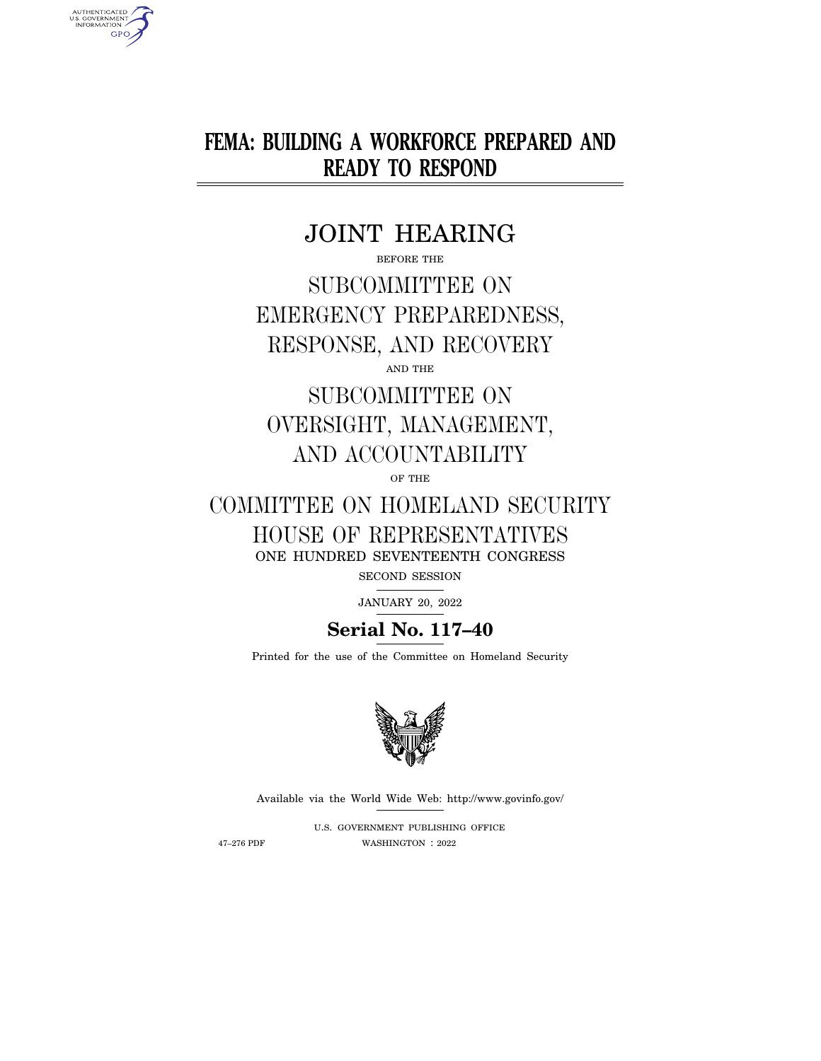**FEMA: BUILDING A WORKFORCE PREPARED AND READY TO RESPOND** 

## JOINT HEARING

BEFORE THE

SUBCOMMITTEE ON EMERGENCY PREPAREDNESS, RESPONSE, AND RECOVERY

AND THE

# SUBCOMMITTEE ON OVERSIGHT, MANAGEMENT, AND ACCOUNTABILITY

OF THE

# COMMITTEE ON HOMELAND SECURITY HOUSE OF REPRESENTATIVES ONE HUNDRED SEVENTEENTH CONGRESS

SECOND SESSION

JANUARY 20, 2022

## **Serial No. 117–40**

Printed for the use of the Committee on Homeland Security



Available via the World Wide Web: http://www.govinfo.gov/

U.S. GOVERNMENT PUBLISHING OFFICE 47–276 PDF WASHINGTON : 2022

AUTHENTICATED<br>U.S. GOVERNMENT<br>INFORMATION **GPO**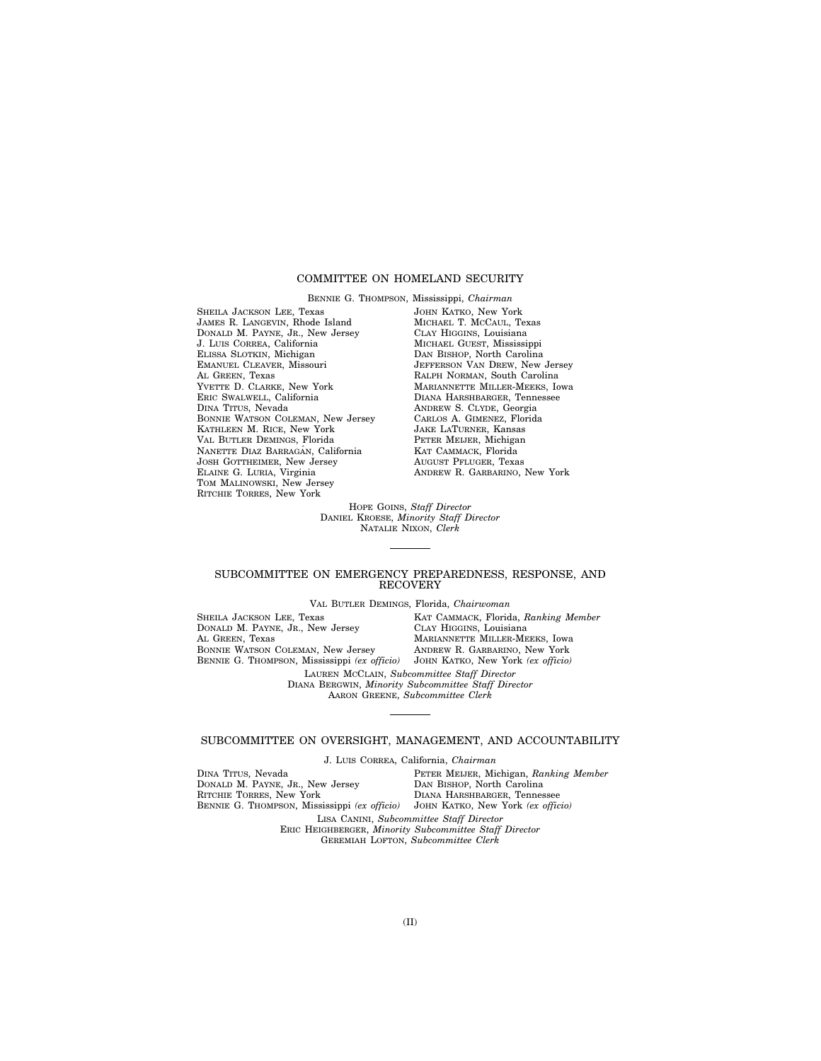## COMMITTEE ON HOMELAND SECURITY

BENNIE G. THOMPSON, Mississippi, *Chairman*  SHEILA JACKSON LEE, Texas JAMES R. LANGEVIN, Rhode Island DONALD M. PAYNE, JR., New Jersey J. LUIS CORREA, California ELISSA SLOTKIN, Michigan EMANUEL CLEAVER, Missouri AL GREEN, Texas YVETTE D. CLARKE, New York ERIC SWALWELL, California DINA TITUS, Nevada BONNIE WATSON COLEMAN, New Jersey KATHLEEN M. RICE, New York VAL BUTLER DEMINGS, Florida NANETTE DIAZ BARRAGÁN, California JOSH GOTTHEIMER, New Jersey ELAINE G. LURIA, Virginia TOM MALINOWSKI, New Jersey RITCHIE TORRES, New York

JOHN KATKO, New York MICHAEL T. MCCAUL, Texas CLAY HIGGINS, Louisiana MICHAEL GUEST, Mississippi DAN BISHOP, North Carolina JEFFERSON VAN DREW, New Jersey RALPH NORMAN, South Carolina MARIANNETTE MILLER-MEEKS, Iowa DIANA HARSHBARGER, Tennessee ANDREW S. CLYDE, Georgia CARLOS A. GIMENEZ, Florida JAKE LATURNER, Kansas PETER MEIJER, Michigan KAT CAMMACK, Florida AUGUST PFLUGER, Texas ANDREW R. GARBARINO, New York

HOPE GOINS, *Staff Director*  DANIEL KROESE, *Minority Staff Director*  NATALIE NIXON, *Clerk* 

## SUBCOMMITTEE ON EMERGENCY PREPAREDNESS, RESPONSE, AND **RECOVERY**

VAL BUTLER DEMINGS, Florida, *Chairwoman* 

SHEILA JACKSON LEE, Texas DONALD M. PAYNE, JR., New Jersey AL GREEN, Texas BONNIE WATSON COLEMAN, New Jersey BENNIE G. THOMPSON, Mississippi *(ex officio)*  KAT CAMMACK, Florida, *Ranking Member*  CLAY HIGGINS, Louisiana MARIANNETTE MILLER-MEEKS, Iowa ANDREW R. GARBARINO, New York JOHN KATKO, New York *(ex officio)*  LAUREN MCCLAIN, *Subcommittee Staff Director*  DIANA BERGWIN, *Minority Subcommittee Staff Director*  AARON GREENE, *Subcommittee Clerk* 

## SUBCOMMITTEE ON OVERSIGHT, MANAGEMENT, AND ACCOUNTABILITY

J. LUIS CORREA, California, *Chairman* 

DINA TITUS, Nevada DONALD M. PAYNE, JR., New Jersey RITCHIE TORRES, New York BENNIE G. THOMPSON, Mississippi *(ex officio)*  PETER MEIJER, Michigan, *Ranking Member*  DAN BISHOP, North Carolina DIANA HARSHBARGER, Tennessee JOHN KATKO, New York *(ex officio)*  LISA CANINI, *Subcommittee Staff Director*  ERIC HEIGHBERGER, *Minority Subcommittee Staff Director*  GEREMIAH LOFTON, *Subcommittee Clerk*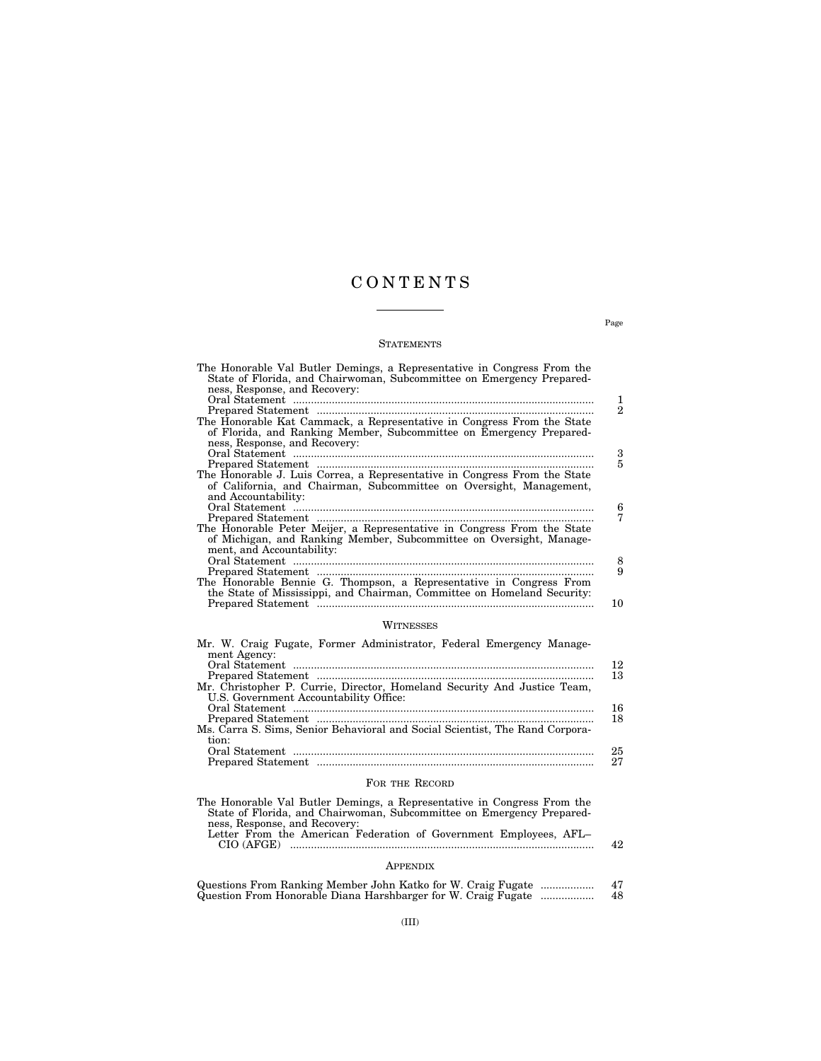## C O N T E N T S

## **STATEMENTS**

| The Honorable Val Butler Demings, a Representative in Congress From the<br>State of Florida, and Chairwoman, Subcommittee on Emergency Prepared-<br>ness, Response, and Recovery: | 1  |
|-----------------------------------------------------------------------------------------------------------------------------------------------------------------------------------|----|
|                                                                                                                                                                                   | 2  |
| The Honorable Kat Cammack, a Representative in Congress From the State                                                                                                            |    |
| of Florida, and Ranking Member, Subcommittee on Emergency Prepared-<br>ness, Response, and Recovery:                                                                              |    |
|                                                                                                                                                                                   | 3  |
|                                                                                                                                                                                   | 5  |
| The Honorable J. Luis Correa, a Representative in Congress From the State<br>of California, and Chairman, Subcommittee on Oversight, Management,<br>and Accountability:           |    |
|                                                                                                                                                                                   | 6  |
|                                                                                                                                                                                   | 7  |
| The Honorable Peter Meijer, a Representative in Congress From the State<br>of Michigan, and Ranking Member, Subcommittee on Oversight, Manage-<br>ment, and Accountability:       |    |
|                                                                                                                                                                                   | 8  |
| The Honorable Bennie G. Thompson, a Representative in Congress From<br>the State of Mississippi, and Chairman, Committee on Homeland Security:                                    | 9  |
|                                                                                                                                                                                   | 10 |
|                                                                                                                                                                                   |    |

## WITNESSES

| Mr. W. Craig Fugate, Former Administrator, Federal Emergency Manage-         |    |
|------------------------------------------------------------------------------|----|
| ment Agency:                                                                 |    |
|                                                                              | 12 |
|                                                                              | 13 |
| Mr. Christopher P. Currie, Director, Homeland Security And Justice Team,     |    |
| U.S. Government Accountability Office:                                       |    |
|                                                                              | 16 |
|                                                                              | 18 |
| Ms. Carra S. Sims, Senior Behavioral and Social Scientist, The Rand Corpora- |    |
| tion:                                                                        |    |
|                                                                              | 25 |
|                                                                              | 27 |

## FOR THE RECORD

| The Honorable Val Butler Demings, a Representative in Congress From the<br>State of Florida, and Chairwoman, Subcommittee on Emergency Prepared- |     |
|--------------------------------------------------------------------------------------------------------------------------------------------------|-----|
| ness, Response, and Recovery:<br>Letter From the American Federation of Government Employees, AFL-                                               |     |
| CIO (AFGE)                                                                                                                                       | 42. |

## APPENDIX

| Questions From Ranking Member John Katko for W. Craig Fugate  | 47 |
|---------------------------------------------------------------|----|
| Question From Honorable Diana Harshbarger for W. Craig Fugate | 48 |

Page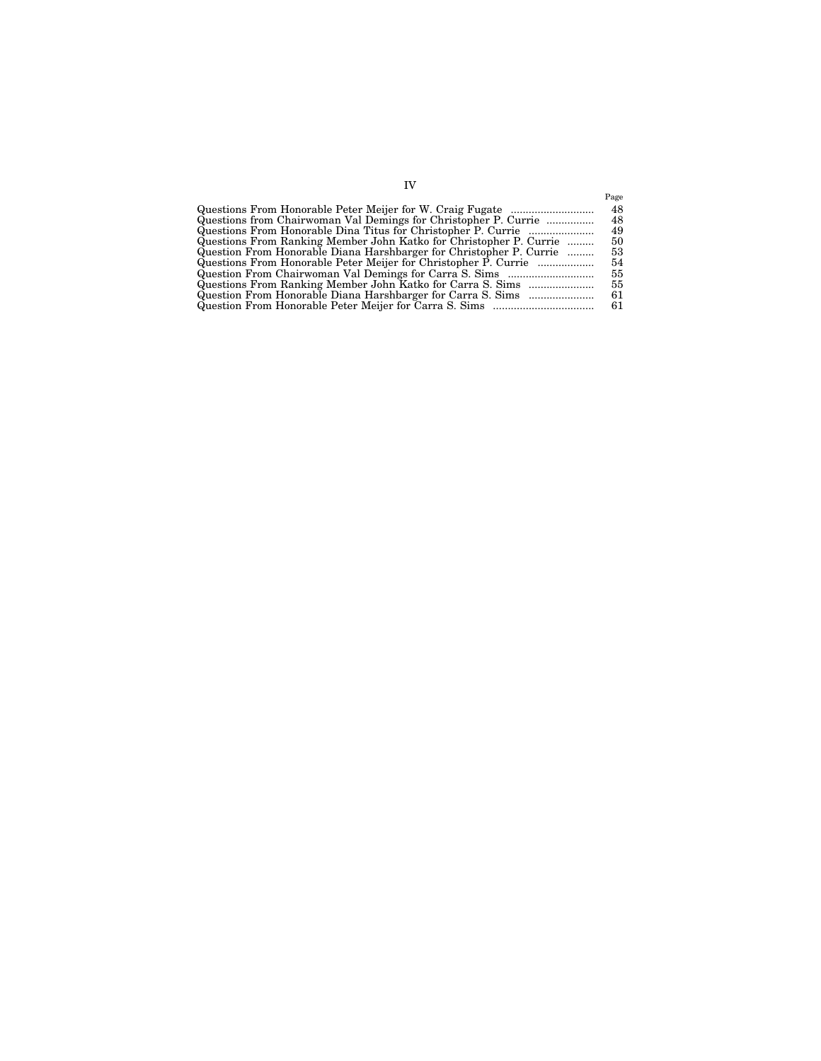|                                                                     | Page |
|---------------------------------------------------------------------|------|
|                                                                     | 48   |
| Questions from Chairwoman Val Demings for Christopher P. Currie     | 48   |
|                                                                     | 49   |
| Questions From Ranking Member John Katko for Christopher P. Currie  | 50   |
| Question From Honorable Diana Harshbarger for Christopher P. Currie | 53   |
|                                                                     | 54   |
|                                                                     | 55   |
| Questions From Ranking Member John Katko for Carra S. Sims          | 55   |
|                                                                     | 61   |
|                                                                     | 61   |
|                                                                     |      |
|                                                                     |      |

IV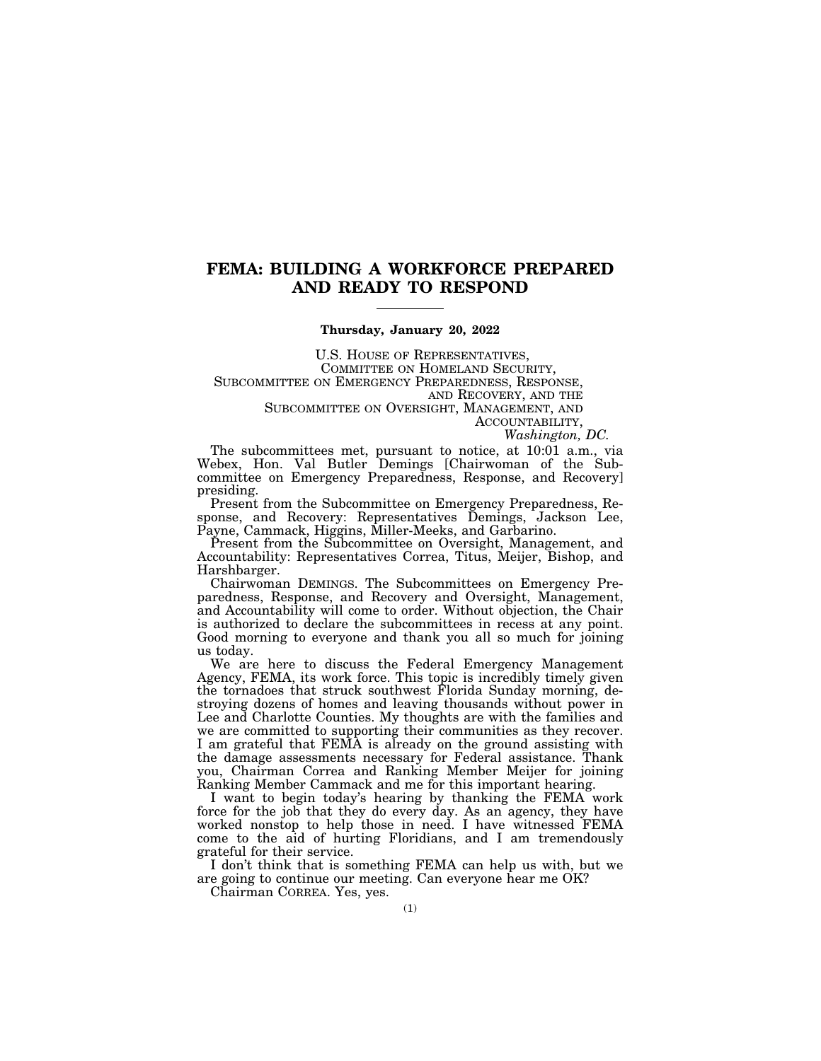## **FEMA: BUILDING A WORKFORCE PREPARED AND READY TO RESPOND**

## **Thursday, January 20, 2022**

U.S. HOUSE OF REPRESENTATIVES,<br>COMMITTEE ON HOMELAND SECURITY,<br>SUBCOMMITTEE ON EMERGENCY PREPAREDNESS, RESPONSE,<br>AND RECOVERY, AND THE

SUBCOMMITTEE ON OVERSIGHT, MANAGEMENT, AND<br>ACCOUNTABILITY,

*Washington, DC.* 

The subcommittees met, pursuant to notice, at 10:01 a.m., via Webex, Hon. Val Butler Demings [Chairwoman of the Subcommittee on Emergency Preparedness, Response, and Recovery] presiding.

Present from the Subcommittee on Emergency Preparedness, Response, and Recovery: Representatives Demings, Jackson Lee, Payne, Cammack, Higgins, Miller-Meeks, and Garbarino.

Present from the Subcommittee on Oversight, Management, and Accountability: Representatives Correa, Titus, Meijer, Bishop, and Harshbarger.

Chairwoman DEMINGS. The Subcommittees on Emergency Preparedness, Response, and Recovery and Oversight, Management, and Accountability will come to order. Without objection, the Chair is authorized to declare the subcommittees in recess at any point. Good morning to everyone and thank you all so much for joining us today.

We are here to discuss the Federal Emergency Management Agency, FEMA, its work force. This topic is incredibly timely given the tornadoes that struck southwest Florida Sunday morning, destroying dozens of homes and leaving thousands without power in Lee and Charlotte Counties. My thoughts are with the families and we are committed to supporting their communities as they recover. I am grateful that FEMA is already on the ground assisting with the damage assessments necessary for Federal assistance. Thank you, Chairman Correa and Ranking Member Meijer for joining Ranking Member Cammack and me for this important hearing.

I want to begin today's hearing by thanking the FEMA work force for the job that they do every day. As an agency, they have worked nonstop to help those in need. I have witnessed FEMA come to the aid of hurting Floridians, and I am tremendously grateful for their service.

I don't think that is something FEMA can help us with, but we are going to continue our meeting. Can everyone hear me OK?

Chairman CORREA. Yes, yes.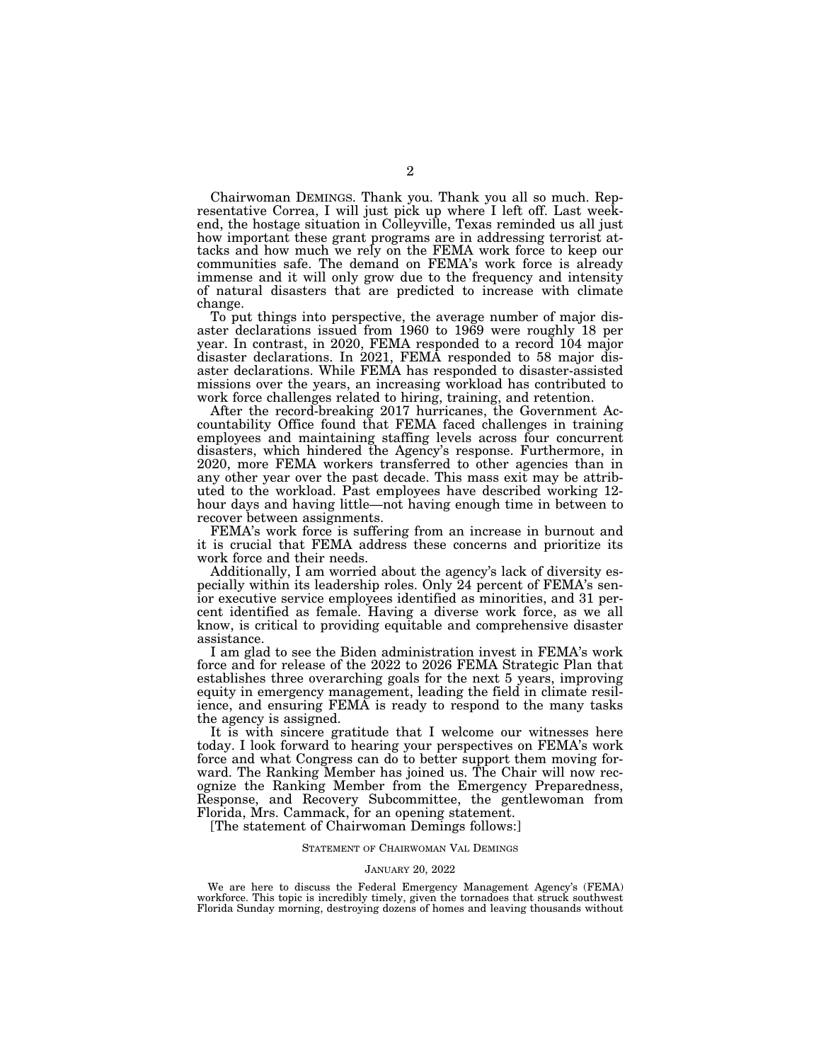Chairwoman DEMINGS. Thank you. Thank you all so much. Representative Correa, I will just pick up where I left off. Last weekend, the hostage situation in Colleyville, Texas reminded us all just how important these grant programs are in addressing terrorist attacks and how much we rely on the FEMA work force to keep our communities safe. The demand on FEMA's work force is already immense and it will only grow due to the frequency and intensity of natural disasters that are predicted to increase with climate change.

To put things into perspective, the average number of major disaster declarations issued from 1960 to 1969 were roughly 18 per year. In contrast, in 2020, FEMA responded to a record 104 major disaster declarations. In 2021, FEMA responded to 58 major disaster declarations. While FEMA has responded to disaster-assisted missions over the years, an increasing workload has contributed to work force challenges related to hiring, training, and retention.

After the record-breaking 2017 hurricanes, the Government Accountability Office found that FEMA faced challenges in training employees and maintaining staffing levels across four concurrent disasters, which hindered the Agency's response. Furthermore, in 2020, more FEMA workers transferred to other agencies than in any other year over the past decade. This mass exit may be attributed to the workload. Past employees have described working 12 hour days and having little—not having enough time in between to recover between assignments.

FEMA's work force is suffering from an increase in burnout and it is crucial that FEMA address these concerns and prioritize its work force and their needs.

Additionally, I am worried about the agency's lack of diversity especially within its leadership roles. Only 24 percent of FEMA's senior executive service employees identified as minorities, and 31 percent identified as female. Having a diverse work force, as we all know, is critical to providing equitable and comprehensive disaster assistance.

I am glad to see the Biden administration invest in FEMA's work force and for release of the 2022 to 2026 FEMA Strategic Plan that establishes three overarching goals for the next 5 years, improving equity in emergency management, leading the field in climate resilience, and ensuring FEMA is ready to respond to the many tasks the agency is assigned.

It is with sincere gratitude that I welcome our witnesses here today. I look forward to hearing your perspectives on FEMA's work force and what Congress can do to better support them moving forward. The Ranking Member has joined us. The Chair will now recognize the Ranking Member from the Emergency Preparedness, Response, and Recovery Subcommittee, the gentlewoman from Florida, Mrs. Cammack, for an opening statement.

[The statement of Chairwoman Demings follows:]

#### STATEMENT OF CHAIRWOMAN VAL DEMINGS

#### JANUARY 20, 2022

We are here to discuss the Federal Emergency Management Agency's (FEMA) workforce. This topic is incredibly timely, given the tornadoes that struck southwest Florida Sunday morning, destroying dozens of homes and leaving thousands without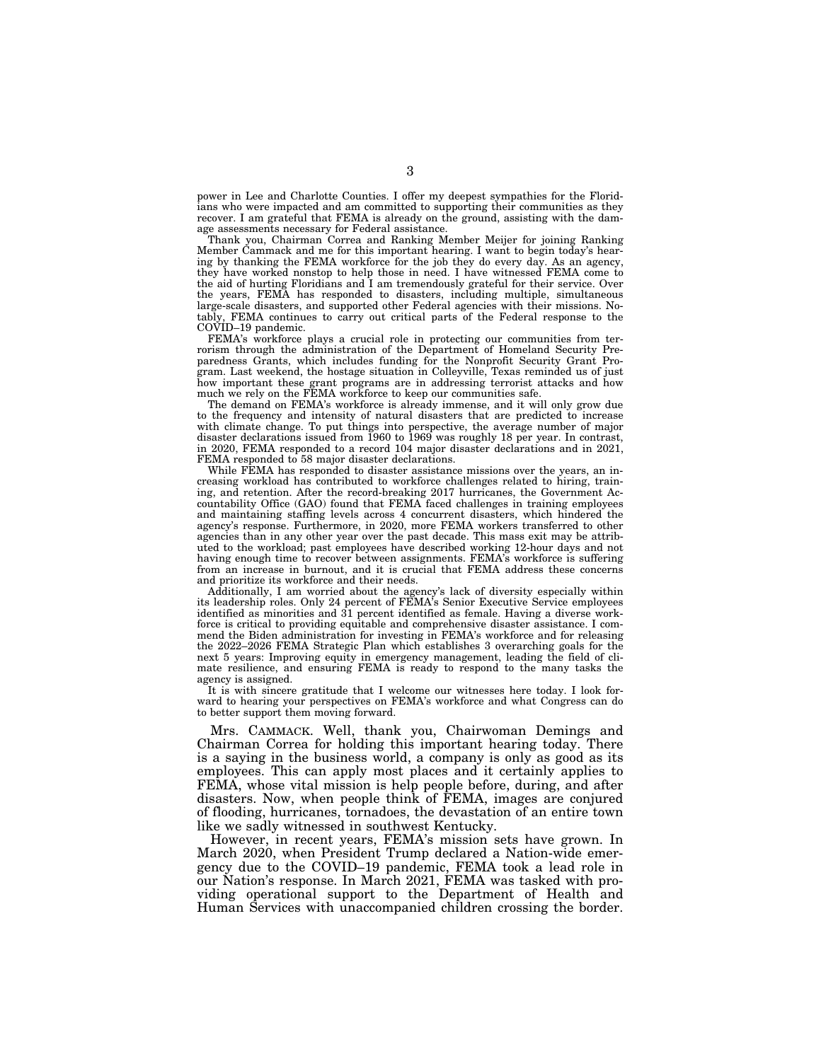power in Lee and Charlotte Counties. I offer my deepest sympathies for the Floridians who were impacted and am committed to supporting their communities as they recover. I am grateful that FEMA is already on the ground, assisting with the damage assessments necessary for Federal assistance.

Thank you, Chairman Correa and Ranking Member Meijer for joining Ranking Member Cammack and me for this important hearing. I want to begin today's hearing by thanking the FEMA workforce for the job they do every day. As an agency, they have worked nonstop to help those in need. I have witnessed FEMA come to the aid of hurting Floridians and I am tremendously grateful for their service. Over the years, FEMA has responded to disasters, including multiple, simultaneous large-scale disasters, and supported other Federal agencies with their missions. Notably, FEMA continues to carry out critical parts of the Federal response to the COVID–19 pandemic.

FEMA's workforce plays a crucial role in protecting our communities from terrorism through the administration of the Department of Homeland Security Preparedness Grants, which includes funding for the Nonprofit Security Grant Program. Last weekend, the hostage situation in Colleyville, Texas reminded us of just how important these grant programs are in addressing terrorist attacks and how much we rely on the FEMA workforce to keep our communities safe.

The demand on FEMA's workforce is already immense, and it will only grow due to the frequency and intensity of natural disasters that are predicted to increase with climate change. To put things into perspective, the average number of major disaster declarations issued from 1960 to 1969 was roughly 18 per year. In contrast, in 2020, FEMA responded to a record 104 major disaster declarations and in 2021, FEMA responded to 58 major disaster declarations.

While FEMA has responded to disaster assistance missions over the years, an increasing workload has contributed to workforce challenges related to hiring, training, and retention. After the record-breaking 2017 hurricanes, the Government Accountability Office (GAO) found that FEMA faced challenges in training employees and maintaining staffing levels across 4 concurrent disasters, which hindered the agency's response. Furthermore, in 2020, more FEMA workers transferred to other agencies than in any other year over the past decade. This mass exit may be attributed to the workload; past employees have described working 12-hour days and not having enough time to recover between assignments. FEMA's workforce is suffering from an increase in burnout, and it is crucial that FEMA address these concerns and prioritize its workforce and their needs.

Additionally, I am worried about the agency's lack of diversity especially within its leadership roles. Only 24 percent of FEMA's Senior Executive Service employees identified as minorities and 31 percent identified as female. Having a diverse workforce is critical to providing equitable and comprehensive disaster assistance. I commend the Biden administration for investing in FEMA's workforce and for releasing the 2022–2026 FEMA Strategic Plan which establishes 3 overarching goals for the next 5 years: Improving equity in emergency management, leading the field of climate resilience, and ensuring FEMA is ready to respond to the many tasks the agency is assigned.

It is with sincere gratitude that I welcome our witnesses here today. I look forward to hearing your perspectives on FEMA's workforce and what Congress can do to better support them moving forward.

Mrs. CAMMACK. Well, thank you, Chairwoman Demings and Chairman Correa for holding this important hearing today. There is a saying in the business world, a company is only as good as its employees. This can apply most places and it certainly applies to FEMA, whose vital mission is help people before, during, and after disasters. Now, when people think of FEMA, images are conjured of flooding, hurricanes, tornadoes, the devastation of an entire town like we sadly witnessed in southwest Kentucky.

However, in recent years, FEMA's mission sets have grown. In March 2020, when President Trump declared a Nation-wide emergency due to the COVID–19 pandemic, FEMA took a lead role in our Nation's response. In March 2021, FEMA was tasked with providing operational support to the Department of Health and Human Services with unaccompanied children crossing the border.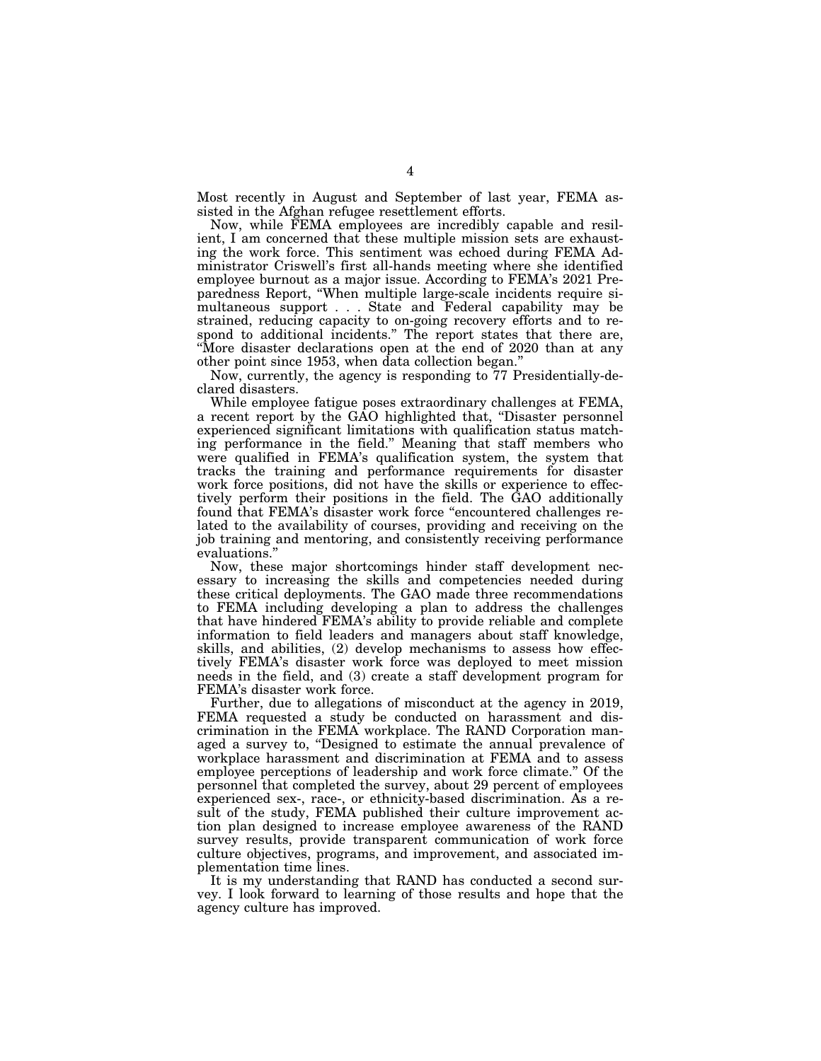Most recently in August and September of last year, FEMA assisted in the Afghan refugee resettlement efforts.

Now, while FEMA employees are incredibly capable and resilient, I am concerned that these multiple mission sets are exhausting the work force. This sentiment was echoed during FEMA Administrator Criswell's first all-hands meeting where she identified employee burnout as a major issue. According to FEMA's 2021 Preparedness Report, ''When multiple large-scale incidents require simultaneous support... State and Federal capability may be strained, reducing capacity to on-going recovery efforts and to respond to additional incidents.'' The report states that there are, ''More disaster declarations open at the end of 2020 than at any other point since 1953, when data collection began.''

Now, currently, the agency is responding to 77 Presidentially-declared disasters.

While employee fatigue poses extraordinary challenges at FEMA, a recent report by the GAO highlighted that, ''Disaster personnel experienced significant limitations with qualification status matching performance in the field.'' Meaning that staff members who were qualified in FEMA's qualification system, the system that tracks the training and performance requirements for disaster work force positions, did not have the skills or experience to effectively perform their positions in the field. The GAO additionally found that FEMA's disaster work force "encountered challenges related to the availability of courses, providing and receiving on the job training and mentoring, and consistently receiving performance evaluations.''

Now, these major shortcomings hinder staff development necessary to increasing the skills and competencies needed during these critical deployments. The GAO made three recommendations to FEMA including developing a plan to address the challenges that have hindered FEMA's ability to provide reliable and complete information to field leaders and managers about staff knowledge, skills, and abilities, (2) develop mechanisms to assess how effectively FEMA's disaster work force was deployed to meet mission needs in the field, and (3) create a staff development program for FEMA's disaster work force.

Further, due to allegations of misconduct at the agency in 2019, FEMA requested a study be conducted on harassment and discrimination in the FEMA workplace. The RAND Corporation managed a survey to, ''Designed to estimate the annual prevalence of workplace harassment and discrimination at FEMA and to assess employee perceptions of leadership and work force climate.'' Of the personnel that completed the survey, about 29 percent of employees experienced sex-, race-, or ethnicity-based discrimination. As a result of the study, FEMA published their culture improvement action plan designed to increase employee awareness of the RAND survey results, provide transparent communication of work force culture objectives, programs, and improvement, and associated implementation time lines.

It is my understanding that RAND has conducted a second survey. I look forward to learning of those results and hope that the agency culture has improved.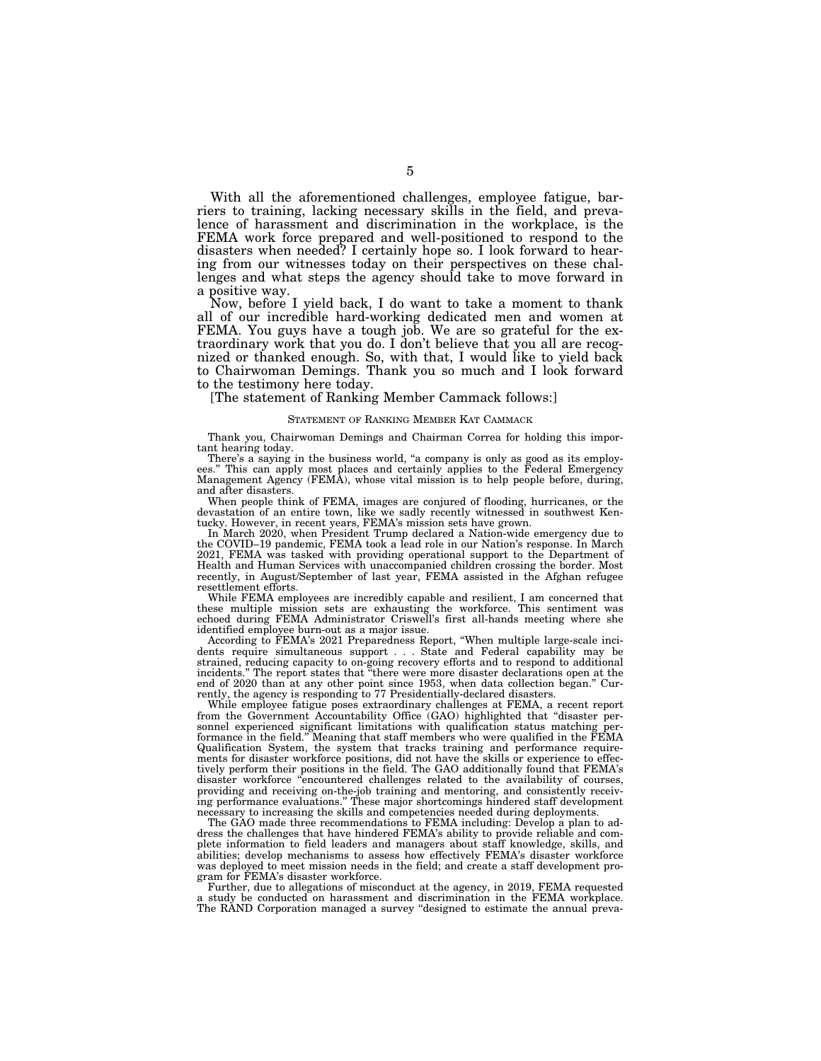With all the aforementioned challenges, employee fatigue, barriers to training, lacking necessary skills in the field, and prevalence of harassment and discrimination in the workplace, is the FEMA work force prepared and well-positioned to respond to the disasters when needed? I certainly hope so. I look forward to hearing from our witnesses today on their perspectives on these challenges and what steps the agency should take to move forward in a positive way.

Now, before I yield back, I do want to take a moment to thank all of our incredible hard-working dedicated men and women at FEMA. You guys have a tough job. We are so grateful for the extraordinary work that you do. I don't believe that you all are recognized or thanked enough. So, with that, I would like to yield back to Chairwoman Demings. Thank you so much and I look forward to the testimony here today.

[The statement of Ranking Member Cammack follows:]

#### STATEMENT OF RANKING MEMBER KAT CAMMACK

Thank you, Chairwoman Demings and Chairman Correa for holding this important hearing today.

There's a saying in the business world, "a company is only as good as its employees.'' This can apply most places and certainly applies to the Federal Emergency Management Agency (FEMA), whose vital mission is to help people before, during, and after disasters.

When people think of FEMA, images are conjured of flooding, hurricanes, or the devastation of an entire town, like we sadly recently witnessed in southwest Kentucky. However, in recent years, FEMA's mission sets have grown.

In March 2020, when President Trump declared a Nation-wide emergency due to the COVID–19 pandemic, FEMA took a lead role in our Nation's response. In March 2021, FEMA was tasked with providing operational support to the Department of Health and Human Services with unaccompanied children crossing the border. Most recently, in August/September of last year, FEMA assisted in the Afghan refugee resettlement efforts.

While FEMA employees are incredibly capable and resilient, I am concerned that these multiple mission sets are exhausting the workforce. This sentiment was echoed during FEMA Administrator Criswell's first all-hands meeting where she identified employee burn-out as a major issue.

According to FEMA's 2021 Preparedness Report, ''When multiple large-scale incidents require simultaneous support . . . State and Federal capability may be strained, reducing capacity to on-going recovery efforts and to respond to additional incidents.'' The report states that ''there were more disaster declarations open at the end of 2020 than at any other point since 1953, when data collection began.'' Currently, the agency is responding to 77 Presidentially-declared disasters.

While employee fatigue poses extraordinary challenges at FEMA, a recent report from the Government Accountability Office (GAO) highlighted that ''disaster personnel experienced significant limitations with qualification status matching performance in the field.'' Meaning that staff members who were qualified in the FEMA Qualification System, the system that tracks training and performance requirements for disaster workforce positions, did not have the skills or experience to effectively perform their positions in the field. The GAO additionally found that FEMA's disaster workforce ''encountered challenges related to the availability of courses, providing and receiving on-the-job training and mentoring, and consistently receiving performance evaluations.'' These major shortcomings hindered staff development necessary to increasing the skills and competencies needed during deployments.

The GAO made three recommendations to FEMA including: Develop a plan to address the challenges that have hindered FEMA's ability to provide reliable and complete information to field leaders and managers about staff knowledge, skills, and abilities; develop mechanisms to assess how effectively FEMA's disaster workforce was deployed to meet mission needs in the field; and create a staff development program for FEMA's disaster workforce.

Further, due to allegations of misconduct at the agency, in 2019, FEMA requested a study be conducted on harassment and discrimination in the FEMA workplace. The RAND Corporation managed a survey "designed to estimate the annual preva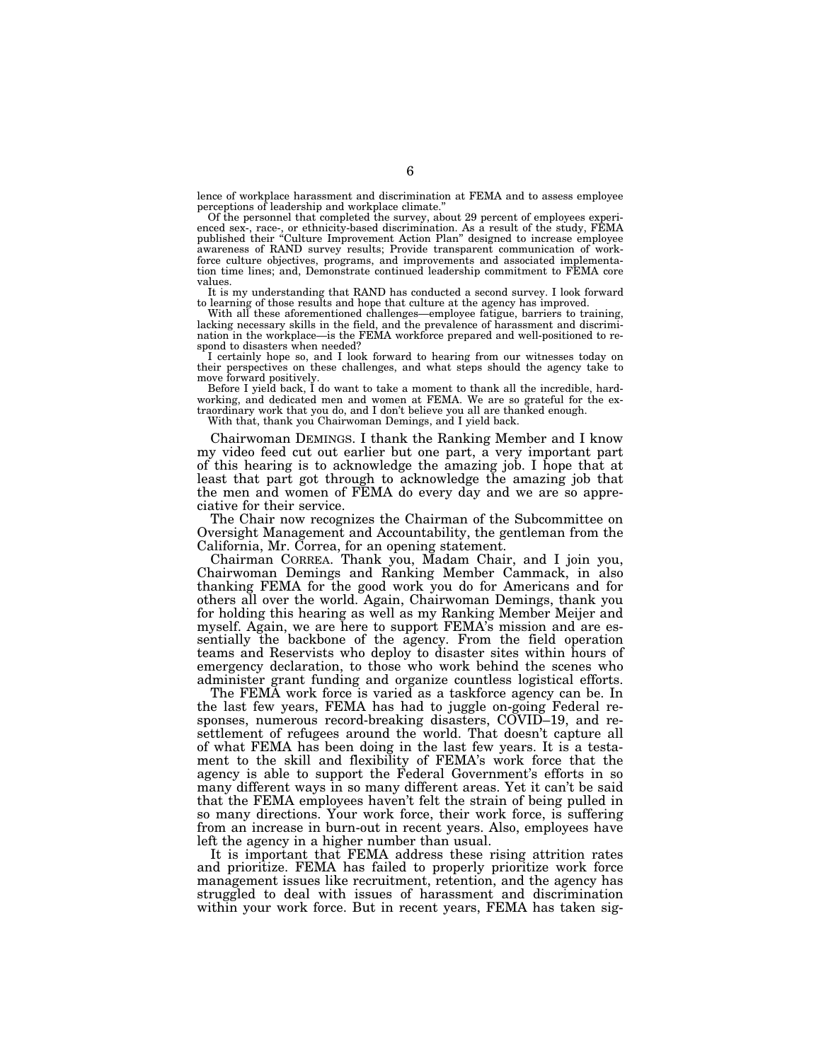lence of workplace harassment and discrimination at FEMA and to assess employee perceptions of leadership and workplace climate.

Of the personnel that completed the survey, about 29 percent of employees experienced sex-, race-, or ethnicity-based discrimination. As a result of the study, FEMA published their ''Culture Improvement Action Plan'' designed to increase employee awareness of RAND survey results; Provide transparent communication of workforce culture objectives, programs, and improvements and associated implementation time lines; and, Demonstrate continued leadership commitment to FEMA core values.

It is my understanding that RAND has conducted a second survey. I look forward to learning of those results and hope that culture at the agency has improved.

With all these aforementioned challenges—employee fatigue, barriers to training, lacking necessary skills in the field, and the prevalence of harassment and discrimination in the workplace—is the FEMA workforce prepared and well-positioned to respond to disasters when needed?

I certainly hope so, and I look forward to hearing from our witnesses today on their perspectives on these challenges, and what steps should the agency take to move forward positively.

Before I yield back, I do want to take a moment to thank all the incredible, hardworking, and dedicated men and women at FEMA. We are so grateful for the extraordinary work that you do, and I don't believe you all are thanked enough.

With that, thank you Chairwoman Demings, and I yield back.

Chairwoman DEMINGS. I thank the Ranking Member and I know my video feed cut out earlier but one part, a very important part of this hearing is to acknowledge the amazing job. I hope that at least that part got through to acknowledge the amazing job that the men and women of FEMA do every day and we are so appreciative for their service.

The Chair now recognizes the Chairman of the Subcommittee on Oversight Management and Accountability, the gentleman from the California, Mr. Correa, for an opening statement.

Chairman CORREA. Thank you, Madam Chair, and I join you, Chairwoman Demings and Ranking Member Cammack, in also thanking FEMA for the good work you do for Americans and for others all over the world. Again, Chairwoman Demings, thank you for holding this hearing as well as my Ranking Member Meijer and myself. Again, we are here to support FEMA's mission and are essentially the backbone of the agency. From the field operation teams and Reservists who deploy to disaster sites within hours of emergency declaration, to those who work behind the scenes who administer grant funding and organize countless logistical efforts.

The FEMA work force is varied as a taskforce agency can be. In the last few years, FEMA has had to juggle on-going Federal responses, numerous record-breaking disasters, COVID–19, and resettlement of refugees around the world. That doesn't capture all of what FEMA has been doing in the last few years. It is a testament to the skill and flexibility of FEMA's work force that the agency is able to support the Federal Government's efforts in so many different ways in so many different areas. Yet it can't be said that the FEMA employees haven't felt the strain of being pulled in so many directions. Your work force, their work force, is suffering from an increase in burn-out in recent years. Also, employees have left the agency in a higher number than usual.

It is important that FEMA address these rising attrition rates and prioritize. FEMA has failed to properly prioritize work force management issues like recruitment, retention, and the agency has struggled to deal with issues of harassment and discrimination within your work force. But in recent years, FEMA has taken sig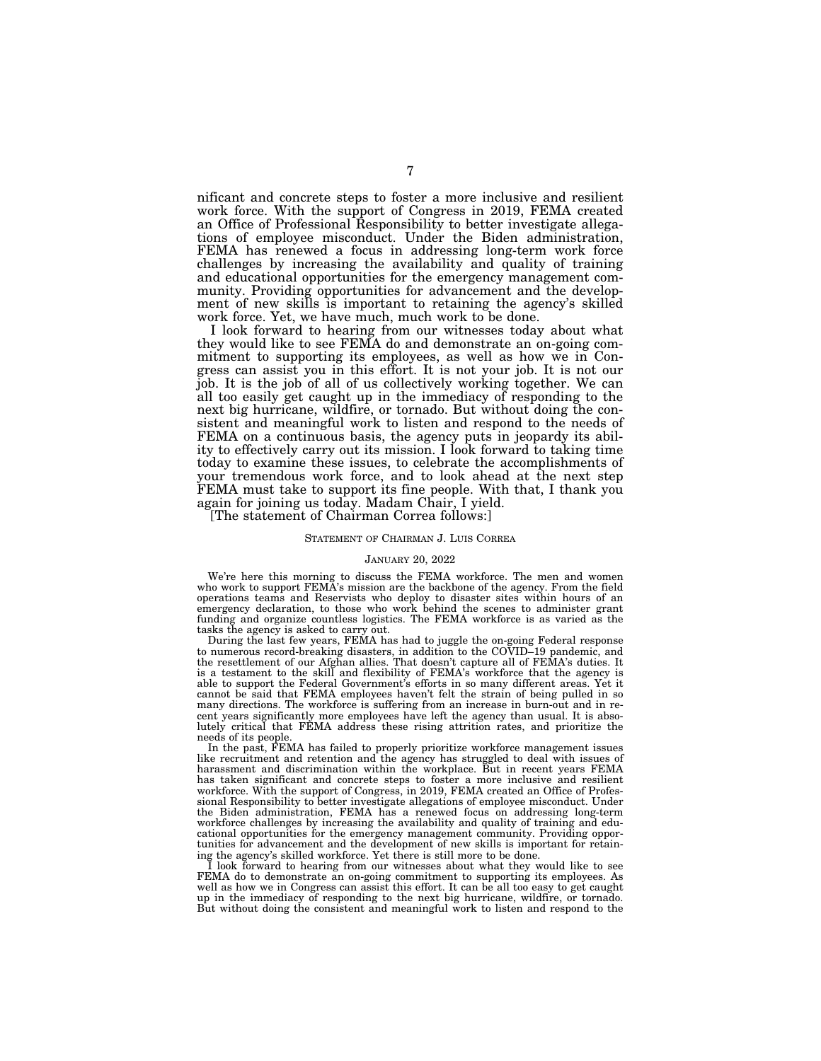nificant and concrete steps to foster a more inclusive and resilient work force. With the support of Congress in 2019, FEMA created an Office of Professional Responsibility to better investigate allegations of employee misconduct. Under the Biden administration, FEMA has renewed a focus in addressing long-term work force challenges by increasing the availability and quality of training and educational opportunities for the emergency management community. Providing opportunities for advancement and the development of new skills is important to retaining the agency's skilled work force. Yet, we have much, much work to be done.

I look forward to hearing from our witnesses today about what they would like to see FEMA do and demonstrate an on-going commitment to supporting its employees, as well as how we in Congress can assist you in this effort. It is not your job. It is not our job. It is the job of all of us collectively working together. We can all too easily get caught up in the immediacy of responding to the next big hurricane, wildfire, or tornado. But without doing the consistent and meaningful work to listen and respond to the needs of FEMA on a continuous basis, the agency puts in jeopardy its ability to effectively carry out its mission. I look forward to taking time today to examine these issues, to celebrate the accomplishments of your tremendous work force, and to look ahead at the next step FEMA must take to support its fine people. With that, I thank you again for joining us today. Madam Chair, I yield.

[The statement of Chairman Correa follows:]

#### STATEMENT OF CHAIRMAN J. LUIS CORREA

#### JANUARY 20, 2022

We're here this morning to discuss the FEMA workforce. The men and women who work to support FEMA's mission are the backbone of the agency. From the field operations teams and Reservists who deploy to disaster sites within hours of an emergency declaration, to those who work behind the scenes to administer grant funding and organize countless logistics. The FEMA workforce is as varied as the tasks the agency is asked to carry out.

During the last few years, FEMA has had to juggle the on-going Federal response to numerous record-breaking disasters, in addition to the COVID–19 pandemic, and the resettlement of our Afghan allies. That doesn't capture all of FEMA's duties. It is a testament to the skill and flexibility of FEMA's workforce that the agency is able to support the Federal Government's efforts in so many different areas. Yet it cannot be said that FEMA employees haven't felt the strain of being pulled in so many directions. The workforce is suffering from an increase in burn-out and in recent years significantly more employees have left the agency than usual. It is absolutely critical that FEMA address these rising attrition rates, and prioritize the needs of its people.

In the past, FEMA has failed to properly prioritize workforce management issues like recruitment and retention and the agency has struggled to deal with issues of harassment and discrimination within the workplace. But in recent years FEMA has taken significant and concrete steps to foster a more inclusive and resilient workforce. With the support of Congress, in 2019, FEMA created an Office of Professional Responsibility to better investigate allegations of employee misconduct. Under the Biden administration, FEMA has a renewed focus on addressing long-term workforce challenges by increasing the availability and quality of training and educational opportunities for the emergency management community. Providing opportunities for advancement and the development of new skills is important for retaining the agency's skilled workforce. Yet there is still more to be done.

I look forward to hearing from our witnesses about what they would like to see FEMA do to demonstrate an on-going commitment to supporting its employees. As well as how we in Congress can assist this effort. It can be all too easy to get caught up in the immediacy of responding to the next big hurricane, wildfire, or tornado. But without doing the consistent and meaningful work to listen and respond to the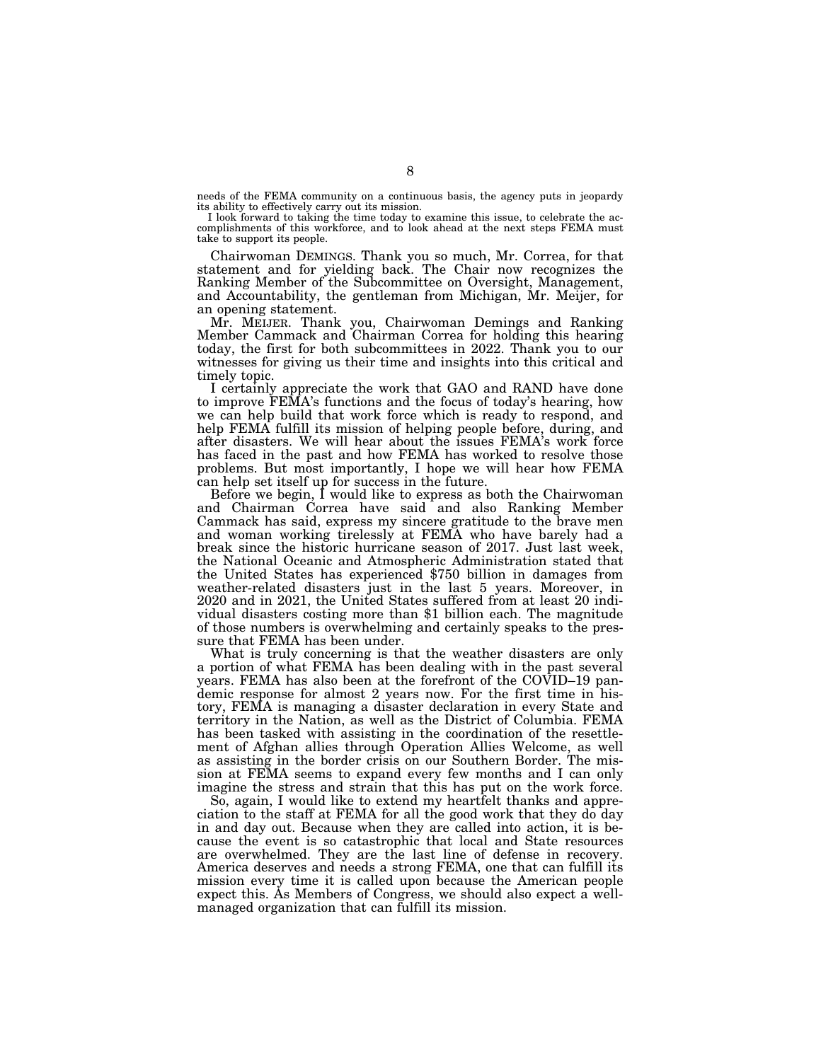needs of the FEMA community on a continuous basis, the agency puts in jeopardy its ability to effectively carry out its mission.

I look forward to taking the time today to examine this issue, to celebrate the accomplishments of this workforce, and to look ahead at the next steps FEMA must take to support its people.

Chairwoman DEMINGS. Thank you so much, Mr. Correa, for that statement and for yielding back. The Chair now recognizes the Ranking Member of the Subcommittee on Oversight, Management, and Accountability, the gentleman from Michigan, Mr. Meijer, for an opening statement.

Mr. MEIJER. Thank you, Chairwoman Demings and Ranking Member Cammack and Chairman Correa for holding this hearing today, the first for both subcommittees in 2022. Thank you to our witnesses for giving us their time and insights into this critical and timely topic.

I certainly appreciate the work that GAO and RAND have done to improve FEMA's functions and the focus of today's hearing, how we can help build that work force which is ready to respond, and help FEMA fulfill its mission of helping people before, during, and after disasters. We will hear about the issues FEMA's work force has faced in the past and how FEMA has worked to resolve those problems. But most importantly, I hope we will hear how FEMA can help set itself up for success in the future.

Before we begin, I would like to express as both the Chairwoman and Chairman Correa have said and also Ranking Member Cammack has said, express my sincere gratitude to the brave men and woman working tirelessly at FEMA who have barely had a break since the historic hurricane season of 2017. Just last week, the National Oceanic and Atmospheric Administration stated that the United States has experienced \$750 billion in damages from weather-related disasters just in the last 5 years. Moreover, in 2020 and in 2021, the United States suffered from at least 20 individual disasters costing more than \$1 billion each. The magnitude of those numbers is overwhelming and certainly speaks to the pressure that FEMA has been under.

What is truly concerning is that the weather disasters are only a portion of what FEMA has been dealing with in the past several years. FEMA has also been at the forefront of the COVID–19 pandemic response for almost 2 years now. For the first time in history, FEMA is managing a disaster declaration in every State and territory in the Nation, as well as the District of Columbia. FEMA has been tasked with assisting in the coordination of the resettlement of Afghan allies through Operation Allies Welcome, as well as assisting in the border crisis on our Southern Border. The mission at FEMA seems to expand every few months and I can only imagine the stress and strain that this has put on the work force.

So, again, I would like to extend my heartfelt thanks and appreciation to the staff at FEMA for all the good work that they do day in and day out. Because when they are called into action, it is because the event is so catastrophic that local and State resources are overwhelmed. They are the last line of defense in recovery. America deserves and needs a strong FEMA, one that can fulfill its mission every time it is called upon because the American people expect this. As Members of Congress, we should also expect a wellmanaged organization that can fulfill its mission.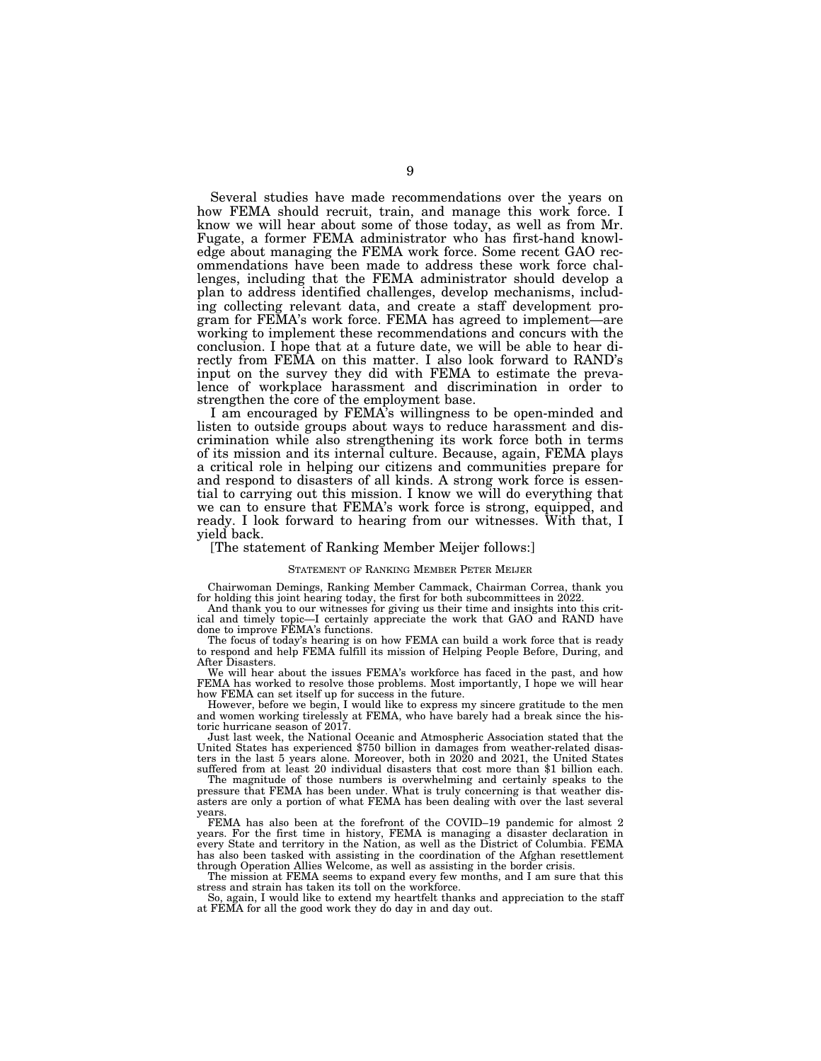Several studies have made recommendations over the years on how FEMA should recruit, train, and manage this work force. I know we will hear about some of those today, as well as from Mr. Fugate, a former FEMA administrator who has first-hand knowledge about managing the FEMA work force. Some recent GAO recommendations have been made to address these work force challenges, including that the FEMA administrator should develop a plan to address identified challenges, develop mechanisms, including collecting relevant data, and create a staff development program for FEMA's work force. FEMA has agreed to implement—are working to implement these recommendations and concurs with the conclusion. I hope that at a future date, we will be able to hear directly from FEMA on this matter. I also look forward to RAND's input on the survey they did with FEMA to estimate the prevalence of workplace harassment and discrimination in order to strengthen the core of the employment base.

I am encouraged by FEMA's willingness to be open-minded and listen to outside groups about ways to reduce harassment and discrimination while also strengthening its work force both in terms of its mission and its internal culture. Because, again, FEMA plays a critical role in helping our citizens and communities prepare for and respond to disasters of all kinds. A strong work force is essential to carrying out this mission. I know we will do everything that we can to ensure that FEMA's work force is strong, equipped, and ready. I look forward to hearing from our witnesses. With that, I yield back.

#### [The statement of Ranking Member Meijer follows:]

#### STATEMENT OF RANKING MEMBER PETER MEIJER

Chairwoman Demings, Ranking Member Cammack, Chairman Correa, thank you for holding this joint hearing today, the first for both subcommittees in 2022.

And thank you to our witnesses for giving us their time and insights into this critical and timely topic—I certainly appreciate the work that GAO and RAND have done to improve FEMA's functions.

The focus of today's hearing is on how FEMA can build a work force that is ready to respond and help FEMA fulfill its mission of Helping People Before, During, and After Disasters.

We will hear about the issues FEMA's workforce has faced in the past, and how FEMA has worked to resolve those problems. Most importantly, I hope we will hear how FEMA can set itself up for success in the future.

However, before we begin, I would like to express my sincere gratitude to the men and women working tirelessly at FEMA, who have barely had a break since the historic hurricane season of 2017.

Just last week, the National Oceanic and Atmospheric Association stated that the United States has experienced \$750 billion in damages from weather-related disasters in the last 5 years alone. Moreover, both in 2020 and 2021, the United States suffered from at least 20 individual disasters that cost more than \$1 billion each.

The magnitude of those numbers is overwhelming and certainly speaks to the pressure that FEMA has been under. What is truly concerning is that weather disasters are only a portion of what FEMA has been dealing with over the last several years.

FEMA has also been at the forefront of the COVID–19 pandemic for almost 2 years. For the first time in history, FEMA is managing a disaster declaration in every State and territory in the Nation, as well as the District of Columbia. FEMA has also been tasked with assisting in the coordination of the Afghan resettlement through Operation Allies Welcome, as well as assisting in the border crisis.

The mission at FEMA seems to expand every few months, and I am sure that this stress and strain has taken its toll on the workforce.

So, again, I would like to extend my heartfelt thanks and appreciation to the staff at FEMA for all the good work they do day in and day out.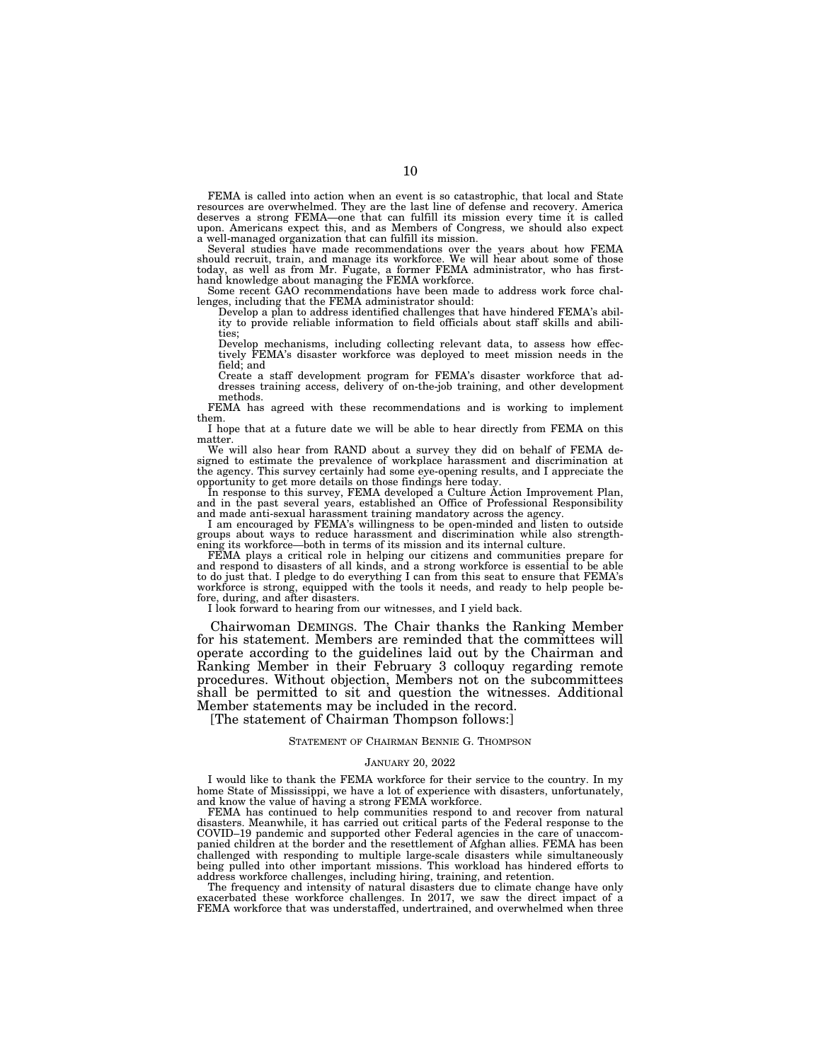FEMA is called into action when an event is so catastrophic, that local and State resources are overwhelmed. They are the last line of defense and recovery. America deserves a strong FEMA—one that can fulfill its mission every time it is called upon. Americans expect this, and as Members of Congress, we should also expect a well-managed organization that can fulfill its mission.

Several studies have made recommendations over the years about how FEMA should recruit, train, and manage its workforce. We will hear about some of those today, as well as from Mr. Fugate, a former FEMA administrator, who has first-hand knowledge about managing the FEMA workforce. Some recent GAO recommendations have been made to address work force chal-

lenges, including that the FEMA administrator should:

Develop a plan to address identified challenges that have hindered FEMA's ability to provide reliable information to field officials about staff skills and abilities;

Develop mechanisms, including collecting relevant data, to assess how effectively FEMA's disaster workforce was deployed to meet mission needs in the field; and

Create a staff development program for FEMA's disaster workforce that ad-dresses training access, delivery of on-the-job training, and other development methods.

FEMA has agreed with these recommendations and is working to implement them.

I hope that at a future date we will be able to hear directly from FEMA on this matter.

We will also hear from RAND about a survey they did on behalf of FEMA designed to estimate the prevalence of workplace harassment and discrimination at the agency. This survey certainly had some eye-opening results, and I appreciate the opportunity to get more details on those findings here today.

In response to this survey, FEMA developed a Culture Action Improvement Plan, and in the past several years, established an Office of Professional Responsibility and made anti-sexual harassment training mandatory across the agency.

I am encouraged by FEMA's willingness to be open-minded and listen to outside groups about ways to reduce harassment and discrimination while also strengthening its workforce—both in terms of its mission and its internal culture.

FEMA plays a critical role in helping our citizens and communities prepare for and respond to disasters of all kinds, and a strong workforce is essential to be able to do just that. I pledge to do everything I can from this seat to ensure that FEMA's workforce is strong, equipped with the tools it needs, and ready to help people before, during, and after disasters.

I look forward to hearing from our witnesses, and I yield back.

Chairwoman DEMINGS. The Chair thanks the Ranking Member for his statement. Members are reminded that the committees will operate according to the guidelines laid out by the Chairman and Ranking Member in their February 3 colloquy regarding remote procedures. Without objection, Members not on the subcommittees shall be permitted to sit and question the witnesses. Additional Member statements may be included in the record.

[The statement of Chairman Thompson follows:]

#### STATEMENT OF CHAIRMAN BENNIE G. THOMPSON

#### JANUARY 20, 2022

I would like to thank the FEMA workforce for their service to the country. In my home State of Mississippi, we have a lot of experience with disasters, unfortunately, and know the value of having a strong FEMA workforce.

FEMA has continued to help communities respond to and recover from natural disasters. Meanwhile, it has carried out critical parts of the Federal response to the COVID–19 pandemic and supported other Federal agencies in the care of unaccompanied children at the border and the resettlement of Afghan allies. FEMA has been challenged with responding to multiple large-scale disasters while simultaneously being pulled into other important missions. This workload has hindered efforts to address workforce challenges, including hiring, training, and retention.

The frequency and intensity of natural disasters due to climate change have only exacerbated these workforce challenges. In 2017, we saw the direct impact of a FEMA workforce that was understaffed, undertrained, and overwhelmed when three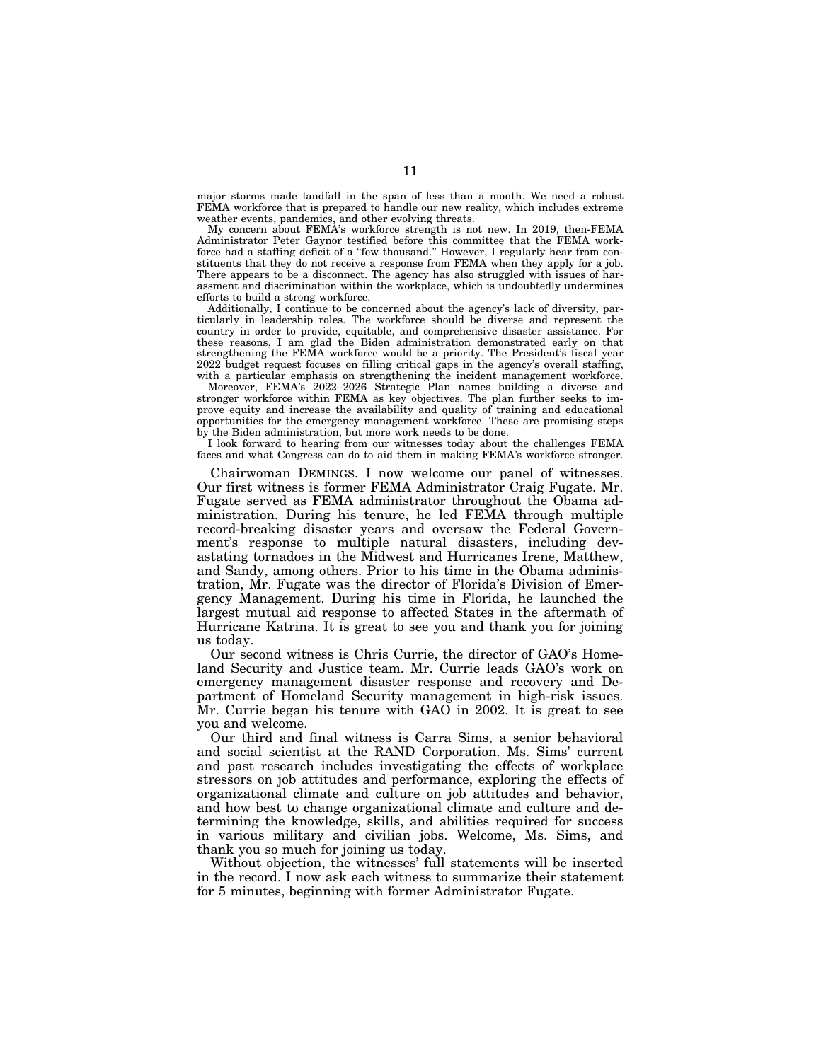major storms made landfall in the span of less than a month. We need a robust FEMA workforce that is prepared to handle our new reality, which includes extreme weather events, pandemics, and other evolving threats.

My concern about FEMA's workforce strength is not new. In 2019, then-FEMA Administrator Peter Gaynor testified before this committee that the FEMA workforce had a staffing deficit of a ''few thousand.'' However, I regularly hear from constituents that they do not receive a response from FEMA when they apply for a job. There appears to be a disconnect. The agency has also struggled with issues of harassment and discrimination within the workplace, which is undoubtedly undermines efforts to build a strong workforce.

Additionally, I continue to be concerned about the agency's lack of diversity, particularly in leadership roles. The workforce should be diverse and represent the country in order to provide, equitable, and comprehensive disaster assistance. For these reasons, I am glad the Biden administration demonstrated early on that strengthening the FEMA workforce would be a priority. The President's fiscal year 2022 budget request focuses on filling critical gaps in the agency's overall staffing, with a particular emphasis on strengthening the incident management workforce.

Moreover, FEMA's 2022–2026 Strategic Plan names building a diverse and stronger workforce within FEMA as key objectives. The plan further seeks to improve equity and increase the availability and quality of training and educational opportunities for the emergency management workforce. These are promising steps by the Biden administration, but more work needs to be done.

I look forward to hearing from our witnesses today about the challenges FEMA faces and what Congress can do to aid them in making FEMA's workforce stronger.

Chairwoman DEMINGS. I now welcome our panel of witnesses. Our first witness is former FEMA Administrator Craig Fugate. Mr. Fugate served as FEMA administrator throughout the Obama administration. During his tenure, he led FEMA through multiple record-breaking disaster years and oversaw the Federal Government's response to multiple natural disasters, including devastating tornadoes in the Midwest and Hurricanes Irene, Matthew, and Sandy, among others. Prior to his time in the Obama administration, Mr. Fugate was the director of Florida's Division of Emergency Management. During his time in Florida, he launched the largest mutual aid response to affected States in the aftermath of Hurricane Katrina. It is great to see you and thank you for joining us today.

Our second witness is Chris Currie, the director of GAO's Homeland Security and Justice team. Mr. Currie leads GAO's work on emergency management disaster response and recovery and Department of Homeland Security management in high-risk issues. Mr. Currie began his tenure with GAO in 2002. It is great to see you and welcome.

Our third and final witness is Carra Sims, a senior behavioral and social scientist at the RAND Corporation. Ms. Sims' current and past research includes investigating the effects of workplace stressors on job attitudes and performance, exploring the effects of organizational climate and culture on job attitudes and behavior, and how best to change organizational climate and culture and determining the knowledge, skills, and abilities required for success in various military and civilian jobs. Welcome, Ms. Sims, and thank you so much for joining us today.

Without objection, the witnesses' full statements will be inserted in the record. I now ask each witness to summarize their statement for 5 minutes, beginning with former Administrator Fugate.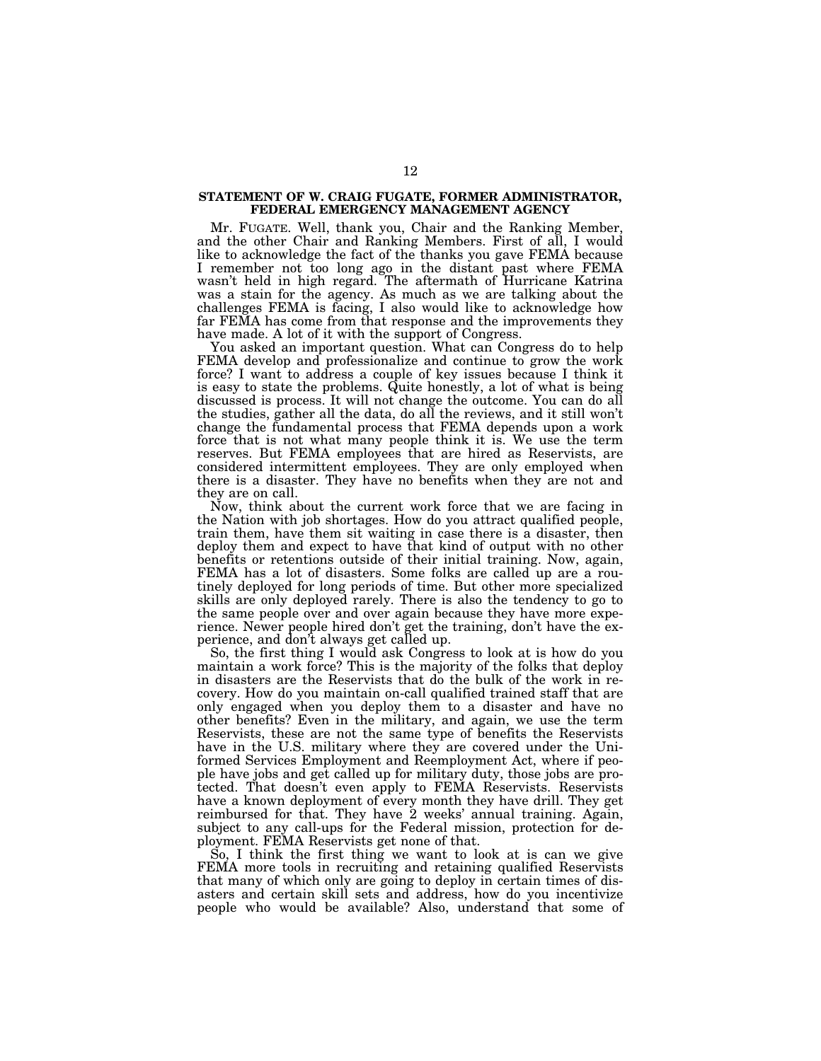## **STATEMENT OF W. CRAIG FUGATE, FORMER ADMINISTRATOR, FEDERAL EMERGENCY MANAGEMENT AGENCY**

Mr. FUGATE. Well, thank you, Chair and the Ranking Member, and the other Chair and Ranking Members. First of all, I would like to acknowledge the fact of the thanks you gave FEMA because I remember not too long ago in the distant past where FEMA wasn't held in high regard. The aftermath of Hurricane Katrina was a stain for the agency. As much as we are talking about the challenges FEMA is facing, I also would like to acknowledge how far FEMA has come from that response and the improvements they have made. A lot of it with the support of Congress.

You asked an important question. What can Congress do to help FEMA develop and professionalize and continue to grow the work force? I want to address a couple of key issues because I think it is easy to state the problems. Quite honestly, a lot of what is being discussed is process. It will not change the outcome. You can do all the studies, gather all the data, do all the reviews, and it still won't change the fundamental process that FEMA depends upon a work force that is not what many people think it is. We use the term reserves. But FEMA employees that are hired as Reservists, are considered intermittent employees. They are only employed when there is a disaster. They have no benefits when they are not and they are on call.

Now, think about the current work force that we are facing in the Nation with job shortages. How do you attract qualified people, train them, have them sit waiting in case there is a disaster, then deploy them and expect to have that kind of output with no other benefits or retentions outside of their initial training. Now, again, FEMA has a lot of disasters. Some folks are called up are a routinely deployed for long periods of time. But other more specialized skills are only deployed rarely. There is also the tendency to go to the same people over and over again because they have more experience. Newer people hired don't get the training, don't have the experience, and don't always get called up.

So, the first thing I would ask Congress to look at is how do you maintain a work force? This is the majority of the folks that deploy in disasters are the Reservists that do the bulk of the work in recovery. How do you maintain on-call qualified trained staff that are only engaged when you deploy them to a disaster and have no other benefits? Even in the military, and again, we use the term Reservists, these are not the same type of benefits the Reservists have in the U.S. military where they are covered under the Uniformed Services Employment and Reemployment Act, where if people have jobs and get called up for military duty, those jobs are protected. That doesn't even apply to FEMA Reservists. Reservists have a known deployment of every month they have drill. They get reimbursed for that. They have 2 weeks' annual training. Again, subject to any call-ups for the Federal mission, protection for deployment. FEMA Reservists get none of that.

So, I think the first thing we want to look at is can we give FEMA more tools in recruiting and retaining qualified Reservists that many of which only are going to deploy in certain times of disasters and certain skill sets and address, how do you incentivize people who would be available? Also, understand that some of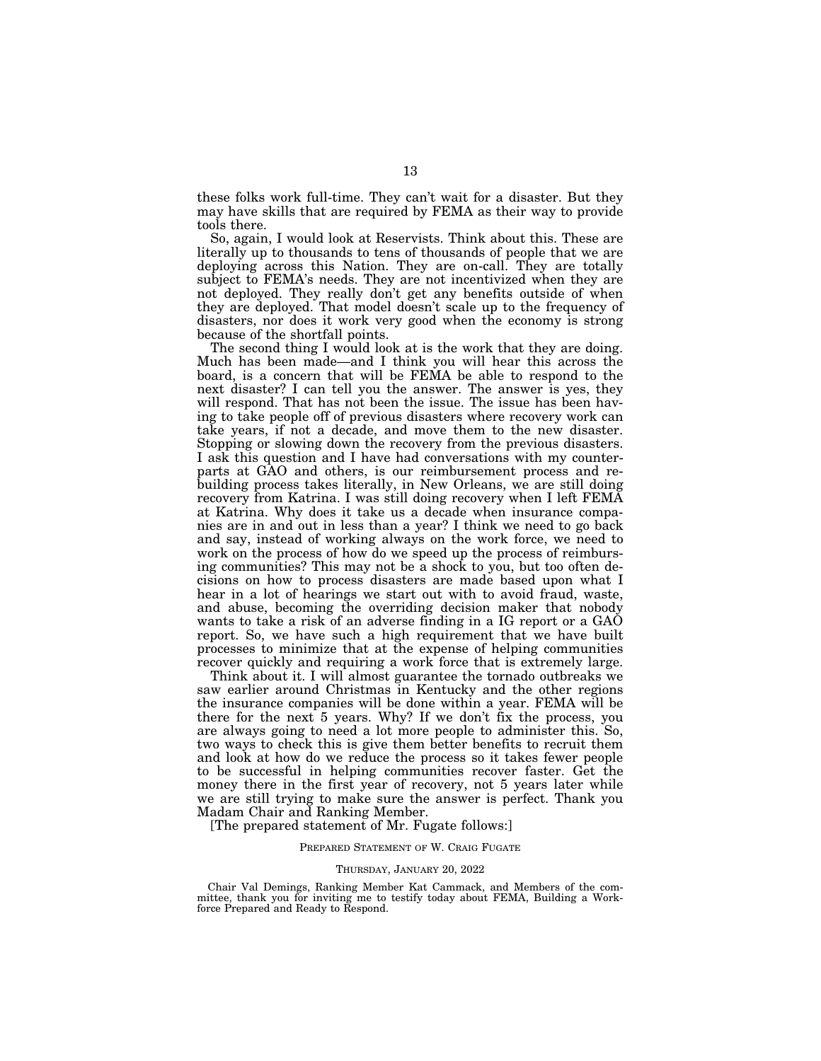these folks work full-time. They can't wait for a disaster. But they may have skills that are required by FEMA as their way to provide tools there.

So, again, I would look at Reservists. Think about this. These are literally up to thousands to tens of thousands of people that we are deploying across this Nation. They are on-call. They are totally subject to FEMA's needs. They are not incentivized when they are not deployed. They really don't get any benefits outside of when they are deployed. That model doesn't scale up to the frequency of disasters, nor does it work very good when the economy is strong because of the shortfall points.

The second thing I would look at is the work that they are doing. Much has been made—and I think you will hear this across the board, is a concern that will be FEMA be able to respond to the next disaster? I can tell you the answer. The answer is yes, they will respond. That has not been the issue. The issue has been having to take people off of previous disasters where recovery work can take years, if not a decade, and move them to the new disaster. Stopping or slowing down the recovery from the previous disasters. I ask this question and I have had conversations with my counterparts at GAO and others, is our reimbursement process and rebuilding process takes literally, in New Orleans, we are still doing recovery from Katrina. I was still doing recovery when I left FEMA at Katrina. Why does it take us a decade when insurance companies are in and out in less than a year? I think we need to go back and say, instead of working always on the work force, we need to work on the process of how do we speed up the process of reimbursing communities? This may not be a shock to you, but too often decisions on how to process disasters are made based upon what I hear in a lot of hearings we start out with to avoid fraud, waste, and abuse, becoming the overriding decision maker that nobody wants to take a risk of an adverse finding in a IG report or a GAO report. So, we have such a high requirement that we have built processes to minimize that at the expense of helping communities recover quickly and requiring a work force that is extremely large.

Think about it. I will almost guarantee the tornado outbreaks we saw earlier around Christmas in Kentucky and the other regions the insurance companies will be done within a year. FEMA will be there for the next 5 years. Why? If we don't fix the process, you are always going to need a lot more people to administer this. So, two ways to check this is give them better benefits to recruit them and look at how do we reduce the process so it takes fewer people to be successful in helping communities recover faster. Get the money there in the first year of recovery, not 5 years later while we are still trying to make sure the answer is perfect. Thank you Madam Chair and Ranking Member.

[The prepared statement of Mr. Fugate follows:]

#### PREPARED STATEMENT OF W. CRAIG FUGATE

#### THURSDAY, JANUARY 20, 2022

Chair Val Demings, Ranking Member Kat Cammack, and Members of the committee, thank you for inviting me to testify today about FEMA, Building a Workforce Prepared and Ready to Respond.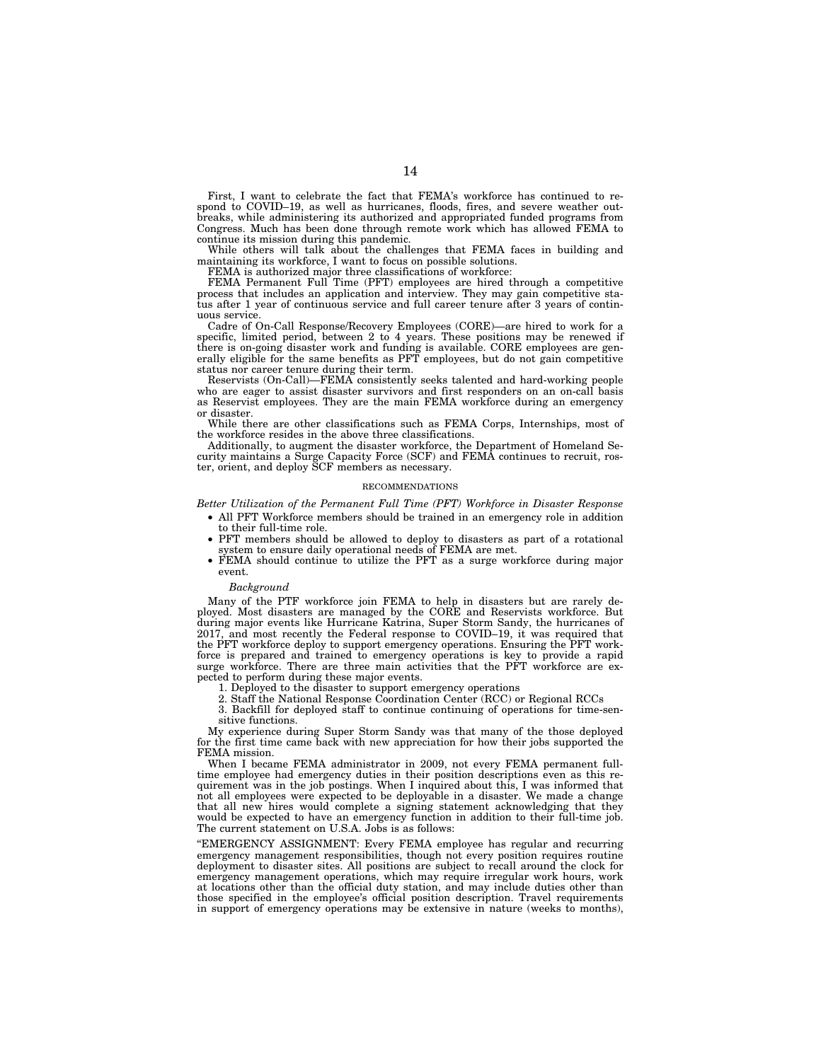First, I want to celebrate the fact that FEMA's workforce has continued to respond to COVID–19, as well as hurricanes, floods, fires, and severe weather outbreaks, while administering its authorized and appropriated funded programs from Congress. Much has been done through remote work which has allowed FEMA to continue its mission during this pandemic.

While others will talk about the challenges that FEMA faces in building and maintaining its workforce, I want to focus on possible solutions.

FEMA is authorized major three classifications of workforce:

FEMA Permanent Full Time (PFT) employees are hired through a competitive process that includes an application and interview. They may gain competitive status after 1 year of continuous service and full career tenure after 3 years of continuous service.

Cadre of On-Call Response/Recovery Employees (CORE)—are hired to work for a specific, limited period, between 2 to 4 years. These positions may be renewed if there is on-going disaster work and funding is available. CORE employees are generally eligible for the same benefits as PFT employees, but do not gain competitive status nor career tenure during their term.

Reservists (On-Call)—FEMA consistently seeks talented and hard-working people who are eager to assist disaster survivors and first responders on an on-call basis as Reservist employees. They are the main FEMA workforce during an emergency or disaster.

While there are other classifications such as FEMA Corps, Internships, most of the workforce resides in the above three classifications.

Additionally, to augment the disaster workforce, the Department of Homeland Security maintains a Surge Capacity Force (SCF) and FEMA continues to recruit, roster, orient, and deploy SCF members as necessary.

#### RECOMMENDATIONS

*Better Utilization of the Permanent Full Time (PFT) Workforce in Disaster Response* 

- All PFT Workforce members should be trained in an emergency role in addition to their full-time role.
- PFT members should be allowed to deploy to disasters as part of a rotational system to ensure daily operational needs of FEMA are met.
- FEMA should continue to utilize the PFT as a surge workforce during major event.

#### *Background*

Many of the PTF workforce join FEMA to help in disasters but are rarely deployed. Most disasters are managed by the CORE and Reservists workforce. But during major events like Hurricane Katrina, Super Storm Sandy, the hurricanes of 2017, and most recently the Federal response to COVID–19, it was required that the PFT workforce deploy to support emergency operations. Ensuring the PFT workforce is prepared and trained to emergency operations is key to provide a rapid surge workforce. There are three main activities that the PFT workforce are expected to perform during these major events.

1. Deployed to the disaster to support emergency operations

2. Staff the National Response Coordination Center (RCC) or Regional RCCs

3. Backfill for deployed staff to continue continuing of operations for time-sensitive functions.

My experience during Super Storm Sandy was that many of the those deployed for the first time came back with new appreciation for how their jobs supported the FEMA mission.

When I became FEMA administrator in 2009, not every FEMA permanent fulltime employee had emergency duties in their position descriptions even as this requirement was in the job postings. When I inquired about this, I was informed that not all employees were expected to be deployable in a disaster. We made a change that all new hires would complete a signing statement acknowledging that they would be expected to have an emergency function in addition to their full-time job. The current statement on U.S.A. Jobs is as follows:

''EMERGENCY ASSIGNMENT: Every FEMA employee has regular and recurring emergency management responsibilities, though not every position requires routine deployment to disaster sites. All positions are subject to recall around the clock for emergency management operations, which may require irregular work hours, work at locations other than the official duty station, and may include duties other than those specified in the employee's official position description. Travel requirements in support of emergency operations may be extensive in nature (weeks to months),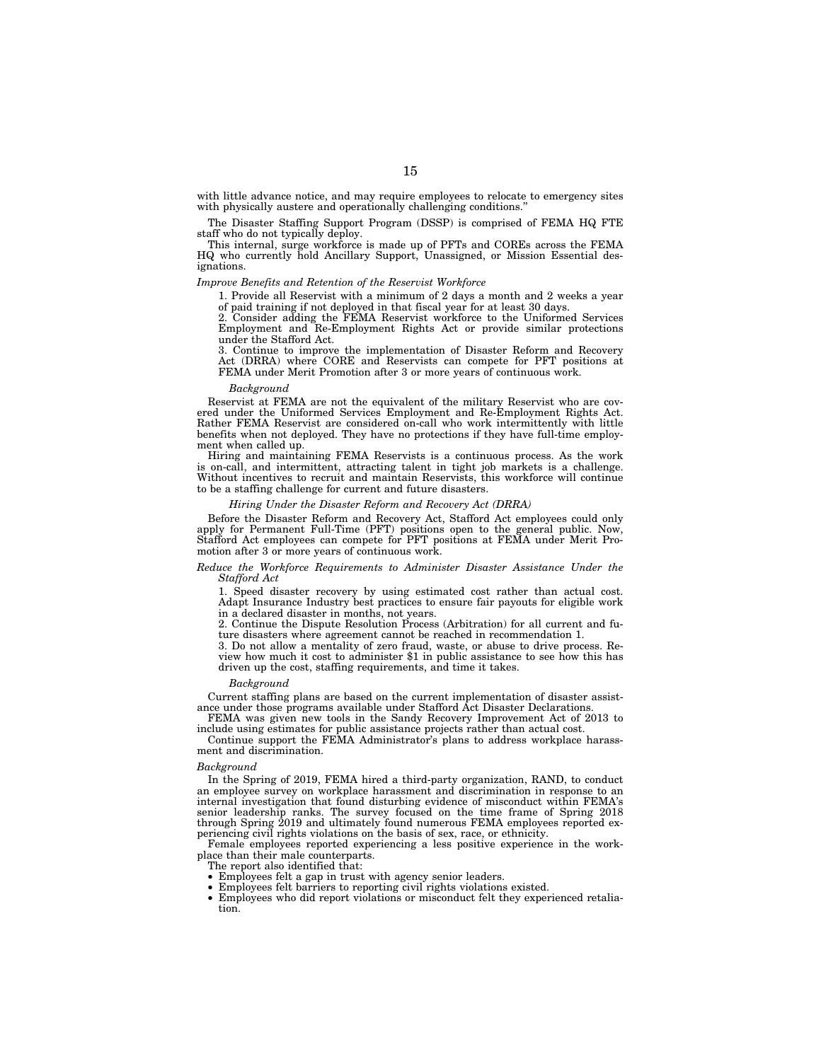with little advance notice, and may require employees to relocate to emergency sites with physically austere and operationally challenging conditions.

The Disaster Staffing Support Program (DSSP) is comprised of FEMA HQ FTE staff who do not typically deploy.

This internal, surge workforce is made up of PFTs and COREs across the FEMA HQ who currently hold Ancillary Support, Unassigned, or Mission Essential designations.

#### *Improve Benefits and Retention of the Reservist Workforce*

1. Provide all Reservist with a minimum of 2 days a month and 2 weeks a year of paid training if not deployed in that fiscal year for at least 30 days.

2. Consider adding the FEMA Reservist workforce to the Uniformed Services Employment and Re-Employment Rights Act or provide similar protections under the Stafford Act.

3. Continue to improve the implementation of Disaster Reform and Recovery Act (DRRA) where CORE and Reservists can compete for PFT positions at FEMA under Merit Promotion after 3 or more years of continuous work.

#### *Background*

Reservist at FEMA are not the equivalent of the military Reservist who are covered under the Uniformed Services Employment and Re-Employment Rights Act. Rather FEMA Reservist are considered on-call who work intermittently with little benefits when not deployed. They have no protections if they have full-time employment when called up.

Hiring and maintaining FEMA Reservists is a continuous process. As the work is on-call, and intermittent, attracting talent in tight job markets is a challenge. Without incentives to recruit and maintain Reservists, this workforce will continue to be a staffing challenge for current and future disasters.

#### *Hiring Under the Disaster Reform and Recovery Act (DRRA)*

Before the Disaster Reform and Recovery Act, Stafford Act employees could only apply for Permanent Full-Time (PFT) positions open to the general public. Now, Stafford Act employees can compete for PFT positions at FEMA under Merit Promotion after 3 or more years of continuous work.

#### *Reduce the Workforce Requirements to Administer Disaster Assistance Under the Stafford Act*

1. Speed disaster recovery by using estimated cost rather than actual cost. Adapt Insurance Industry best practices to ensure fair payouts for eligible work in a declared disaster in months, not years.

2. Continue the Dispute Resolution Process (Arbitration) for all current and future disasters where agreement cannot be reached in recommendation 1.

3. Do not allow a mentality of zero fraud, waste, or abuse to drive process. Review how much it cost to administer \$1 in public assistance to see how this has driven up the cost, staffing requirements, and time it takes.

#### *Background*

Current staffing plans are based on the current implementation of disaster assistance under those programs available under Stafford Act Disaster Declarations.

FEMA was given new tools in the Sandy Recovery Improvement Act of 2013 to include using estimates for public assistance projects rather than actual cost.

Continue support the FEMA Administrator's plans to address workplace harassment and discrimination.

#### *Background*

In the Spring of 2019, FEMA hired a third-party organization, RAND, to conduct an employee survey on workplace harassment and discrimination in response to an internal investigation that found disturbing evidence of misconduct within FEMA's senior leadership ranks. The survey focused on the time frame of Spring 2018 through Spring 2019 and ultimately found numerous FEMA employees reported experiencing civil rights violations on the basis of sex, race, or ethnicity.

Female employees reported experiencing a less positive experience in the workplace than their male counterparts.

The report also identified that:

- Employees felt a gap in trust with agency senior leaders.
- Employees felt barriers to reporting civil rights violations existed.
- Employees who did report violations or misconduct felt they experienced retaliation.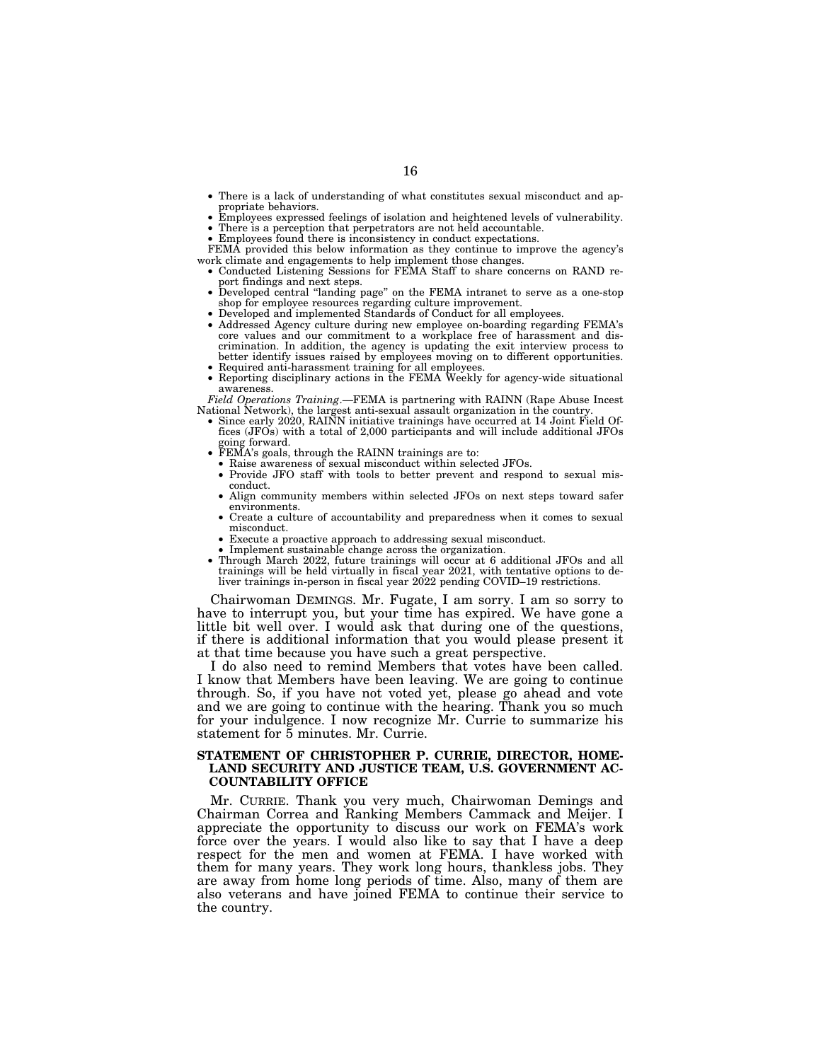- There is a lack of understanding of what constitutes sexual misconduct and appropriate behaviors.
- Employees expressed feelings of isolation and heightened levels of vulnerability.
- There is a perception that perpetrators are not held accountable.
- Employees found there is inconsistency in conduct expectations. FEMA provided this below information as they continue to improve the agency's work climate and engagements to help implement those changes.
	- Conducted Listening Sessions for FEMA Staff to share concerns on RAND report findings and next steps.
	- Developed central ''landing page'' on the FEMA intranet to serve as a one-stop shop for employee resources regarding culture improvement.
	- Developed and implemented Standards of Conduct for all employees.
	- Addressed Agency culture during new employee on-boarding regarding FEMA's core values and our commitment to a workplace free of harassment and discrimination. In addition, the agency is updating the exit interview process to better identify issues raised by employees moving on to different opportunities.
	- Required anti-harassment training for all employees.
	- Reporting disciplinary actions in the FEMA Weekly for agency-wide situational awareness.

*Field Operations Training*.—FEMA is partnering with RAINN (Rape Abuse Incest National Network), the largest anti-sexual assault organization in the country.

- Since early 2020, RAINN initiative trainings have occurred at 14 Joint Field Offices (JFOs) with a total of 2,000 participants and will include additional JFOs going forward.
- FEMA's goals, through the RAINN trainings are to:
	- Raise awareness of sexual misconduct within selected JFOs.
	- Provide JFO staff with tools to better prevent and respond to sexual misconduct.
	- Align community members within selected JFOs on next steps toward safer environments.
	- Create a culture of accountability and preparedness when it comes to sexual misconduct.
	- Execute a proactive approach to addressing sexual misconduct.
- Implement sustainable change across the organization. • Through March 2022, future trainings will occur at 6 additional JFOs and all trainings will be held virtually in fiscal year 2021, with tentative options to deliver trainings in-person in fiscal year 2022 pending COVID–19 restrictions.

Chairwoman DEMINGS. Mr. Fugate, I am sorry. I am so sorry to have to interrupt you, but your time has expired. We have gone a little bit well over. I would ask that during one of the questions, if there is additional information that you would please present it at that time because you have such a great perspective.

I do also need to remind Members that votes have been called. I know that Members have been leaving. We are going to continue through. So, if you have not voted yet, please go ahead and vote and we are going to continue with the hearing. Thank you so much for your indulgence. I now recognize Mr. Currie to summarize his statement for 5 minutes. Mr. Currie.

## **STATEMENT OF CHRISTOPHER P. CURRIE, DIRECTOR, HOME-LAND SECURITY AND JUSTICE TEAM, U.S. GOVERNMENT AC-COUNTABILITY OFFICE**

Mr. CURRIE. Thank you very much, Chairwoman Demings and Chairman Correa and Ranking Members Cammack and Meijer. I appreciate the opportunity to discuss our work on FEMA's work force over the years. I would also like to say that I have a deep respect for the men and women at FEMA. I have worked with them for many years. They work long hours, thankless jobs. They are away from home long periods of time. Also, many of them are also veterans and have joined FEMA to continue their service to the country.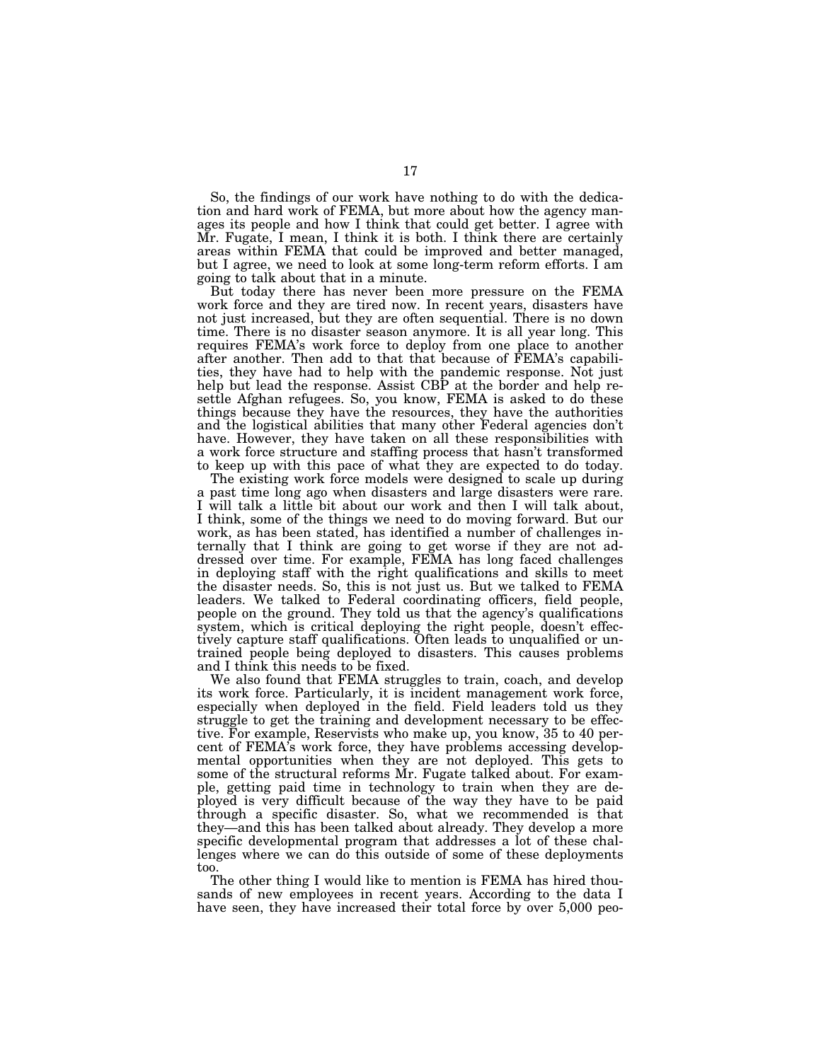So, the findings of our work have nothing to do with the dedication and hard work of FEMA, but more about how the agency manages its people and how I think that could get better. I agree with Mr. Fugate, I mean, I think it is both. I think there are certainly areas within FEMA that could be improved and better managed, but I agree, we need to look at some long-term reform efforts. I am going to talk about that in a minute.

But today there has never been more pressure on the FEMA work force and they are tired now. In recent years, disasters have not just increased, but they are often sequential. There is no down time. There is no disaster season anymore. It is all year long. This requires FEMA's work force to deploy from one place to another after another. Then add to that that because of FEMA's capabilities, they have had to help with the pandemic response. Not just help but lead the response. Assist CBP at the border and help resettle Afghan refugees. So, you know, FEMA is asked to do these things because they have the resources, they have the authorities and the logistical abilities that many other Federal agencies don't have. However, they have taken on all these responsibilities with a work force structure and staffing process that hasn't transformed to keep up with this pace of what they are expected to do today.

The existing work force models were designed to scale up during a past time long ago when disasters and large disasters were rare. I will talk a little bit about our work and then I will talk about, I think, some of the things we need to do moving forward. But our work, as has been stated, has identified a number of challenges internally that I think are going to get worse if they are not addressed over time. For example, FEMA has long faced challenges in deploying staff with the right qualifications and skills to meet the disaster needs. So, this is not just us. But we talked to FEMA leaders. We talked to Federal coordinating officers, field people, people on the ground. They told us that the agency's qualifications system, which is critical deploying the right people, doesn't effectively capture staff qualifications. Often leads to unqualified or untrained people being deployed to disasters. This causes problems and I think this needs to be fixed.

We also found that FEMA struggles to train, coach, and develop its work force. Particularly, it is incident management work force, especially when deployed in the field. Field leaders told us they struggle to get the training and development necessary to be effective. For example, Reservists who make up, you know, 35 to 40 percent of FEMA's work force, they have problems accessing developmental opportunities when they are not deployed. This gets to some of the structural reforms Mr. Fugate talked about. For example, getting paid time in technology to train when they are deployed is very difficult because of the way they have to be paid through a specific disaster. So, what we recommended is that they—and this has been talked about already. They develop a more specific developmental program that addresses a lot of these challenges where we can do this outside of some of these deployments too.

The other thing I would like to mention is FEMA has hired thousands of new employees in recent years. According to the data I have seen, they have increased their total force by over 5,000 peo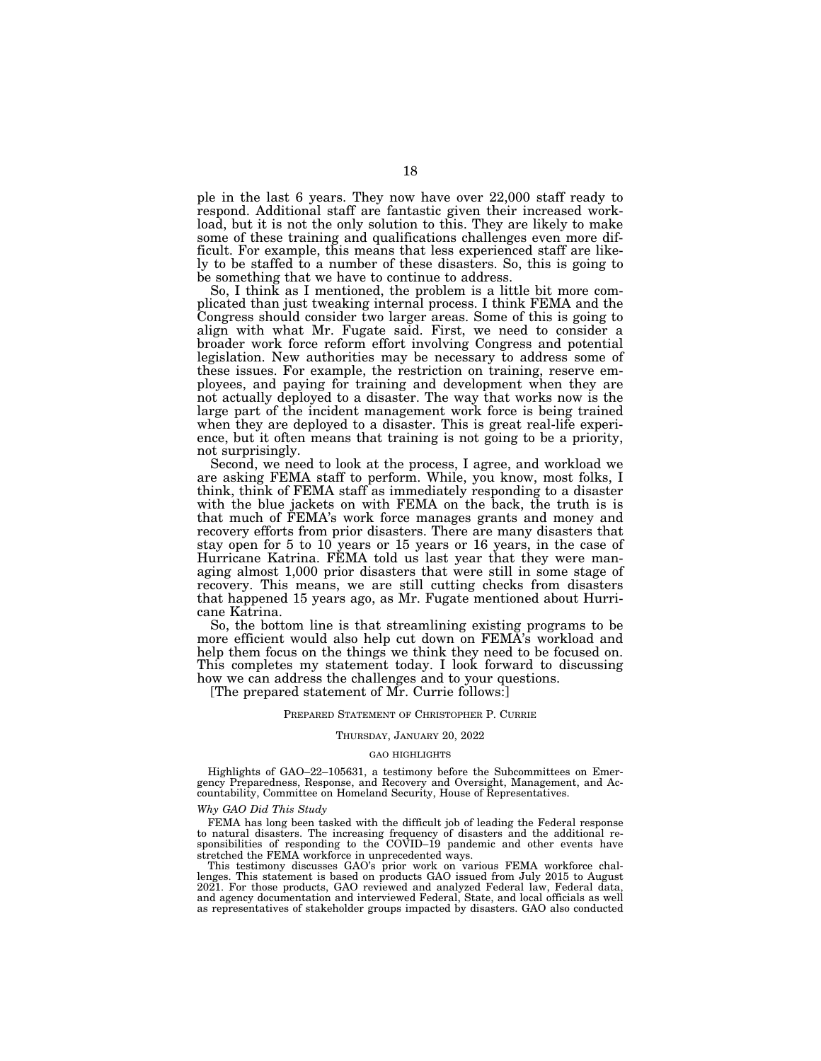ple in the last 6 years. They now have over 22,000 staff ready to respond. Additional staff are fantastic given their increased workload, but it is not the only solution to this. They are likely to make some of these training and qualifications challenges even more difficult. For example, this means that less experienced staff are likely to be staffed to a number of these disasters. So, this is going to be something that we have to continue to address.

So, I think as I mentioned, the problem is a little bit more complicated than just tweaking internal process. I think FEMA and the Congress should consider two larger areas. Some of this is going to align with what Mr. Fugate said. First, we need to consider a broader work force reform effort involving Congress and potential legislation. New authorities may be necessary to address some of these issues. For example, the restriction on training, reserve employees, and paying for training and development when they are not actually deployed to a disaster. The way that works now is the large part of the incident management work force is being trained when they are deployed to a disaster. This is great real-life experience, but it often means that training is not going to be a priority, not surprisingly.

Second, we need to look at the process, I agree, and workload we are asking FEMA staff to perform. While, you know, most folks, I think, think of FEMA staff as immediately responding to a disaster with the blue jackets on with FEMA on the back, the truth is is that much of FEMA's work force manages grants and money and recovery efforts from prior disasters. There are many disasters that stay open for 5 to 10 years or 15 years or 16 years, in the case of Hurricane Katrina. FEMA told us last year that they were managing almost 1,000 prior disasters that were still in some stage of recovery. This means, we are still cutting checks from disasters that happened 15 years ago, as Mr. Fugate mentioned about Hurricane Katrina.

So, the bottom line is that streamlining existing programs to be more efficient would also help cut down on FEMA's workload and help them focus on the things we think they need to be focused on. This completes my statement today. I look forward to discussing how we can address the challenges and to your questions.

[The prepared statement of Mr. Currie follows:]

#### PREPARED STATEMENT OF CHRISTOPHER P. CURRIE

#### THURSDAY, JANUARY 20, 2022

#### GAO HIGHLIGHTS

Highlights of GAO–22–105631, a testimony before the Subcommittees on Emergency Preparedness, Response, and Recovery and Oversight, Management, and Accountability, Committee on Homeland Security, House of Representatives.

#### *Why GAO Did This Study*

FEMA has long been tasked with the difficult job of leading the Federal response to natural disasters. The increasing frequency of disasters and the additional responsibilities of responding to the COVID–19 pandemic and other events have stretched the FEMA workforce in unprecedented ways.

This testimony discusses GAO's prior work on various FEMA workforce challenges. This statement is based on products GAO issued from July 2015 to August 2021. For those products, GAO reviewed and analyzed Federal law, Federal data, and agency documentation and interviewed Federal, State, and local officials as well as representatives of stakeholder groups impacted by disasters. GAO also conducted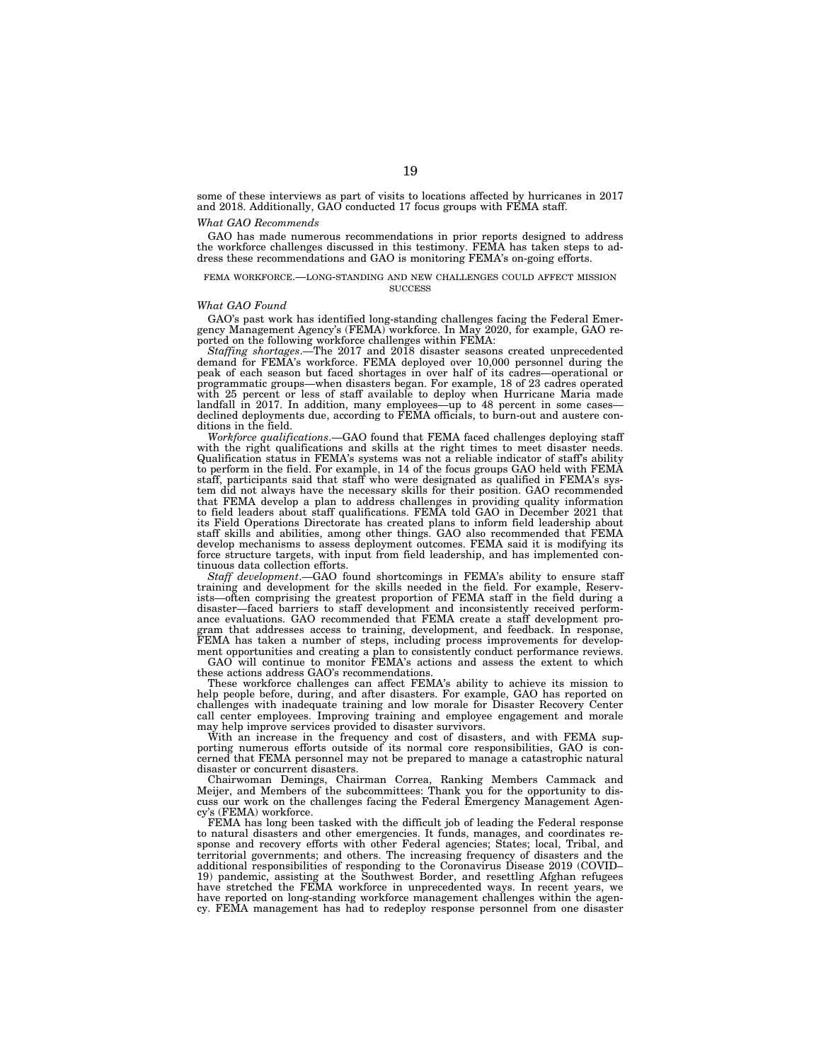some of these interviews as part of visits to locations affected by hurricanes in 2017 and 2018. Additionally, GAO conducted 17 focus groups with FEMA staff.

#### *What GAO Recommends*

GAO has made numerous recommendations in prior reports designed to address the workforce challenges discussed in this testimony. FEMA has taken steps to address these recommendations and GAO is monitoring FEMA's on-going efforts.

#### FEMA WORKFORCE.—LONG-STANDING AND NEW CHALLENGES COULD AFFECT MISSION **SUCCESS**

#### *What GAO Found*

GAO's past work has identified long-standing challenges facing the Federal Emergency Management Agency's (FEMA) workforce. In May 2020, for example, GAO reported on the following workforce challenges within FEMA:

*Staffing shortages*.—The 2017 and 2018 disaster seasons created unprecedented demand for FEMA's workforce. FEMA deployed over 10,000 personnel during the peak of each season but faced shortages in over half of its cadres—operational or programmatic groups—when disasters began. For example, 18 of 23 cadres operated with 25 percent or less of staff available to deploy when Hurricane Maria made landfall in 2017. In addition, many employees—up to 48 percent in some cases declined deployments due, according to FEMA officials, to burn-out and austere conditions in the field.

*Workforce qualifications*.—GAO found that FEMA faced challenges deploying staff with the right qualifications and skills at the right times to meet disaster needs. Qualification status in FEMA's systems was not a reliable indicator of staff's ability to perform in the field. For example, in 14 of the focus groups GAO held with FEMA staff, participants said that staff who were designated as qualified in FEMA's system did not always have the necessary skills for their position. GAO recommended that FEMA develop a plan to address challenges in providing quality information to field leaders about staff qualifications. FEMA told GAO in December 2021 that its Field Operations Directorate has created plans to inform field leadership about staff skills and abilities, among other things. GAO also recommended that FEMA develop mechanisms to assess deployment outcomes. FEMA said it is modifying its force structure targets, with input from field leadership, and has implemented continuous data collection efforts.

*Staff development*.—GAO found shortcomings in FEMA's ability to ensure staff training and development for the skills needed in the field. For example, Reservists—often comprising the greatest proportion of FEMA staff in the field during a disaster—faced barriers to staff development and inconsistently received performance evaluations. GAO recommended that FEMA create a staff development program that addresses access to training, development, and feedback. In response, FEMA has taken a number of steps, including process improvements for development opportunities and creating a plan to consistently conduct performance reviews.

GAO will continue to monitor FEMA's actions and assess the extent to which these actions address GAO's recommendations.

These workforce challenges can affect FEMA's ability to achieve its mission to help people before, during, and after disasters. For example, GAO has reported on challenges with inadequate training and low morale for Disaster Recovery Center call center employees. Improving training and employee engagement and morale may help improve services provided to disaster survivors.

With an increase in the frequency and cost of disasters, and with FEMA supporting numerous efforts outside of its normal core responsibilities, GAO is concerned that FEMA personnel may not be prepared to manage a catastrophic natural disaster or concurrent disasters.

Chairwoman Demings, Chairman Correa, Ranking Members Cammack and Meijer, and Members of the subcommittees: Thank you for the opportunity to discuss our work on the challenges facing the Federal Emergency Management Agency's (FEMA) workforce.

FEMA has long been tasked with the difficult job of leading the Federal response to natural disasters and other emergencies. It funds, manages, and coordinates response and recovery efforts with other Federal agencies; States; local, Tribal, and territorial governments; and others. The increasing frequency of disasters and the additional responsibilities of responding to the Coronavirus Disease 2019 (COVID– 19) pandemic, assisting at the Southwest Border, and resettling Afghan refugees have stretched the FEMA workforce in unprecedented ways. In recent years, we have reported on long-standing workforce management challenges within the agency. FEMA management has had to redeploy response personnel from one disaster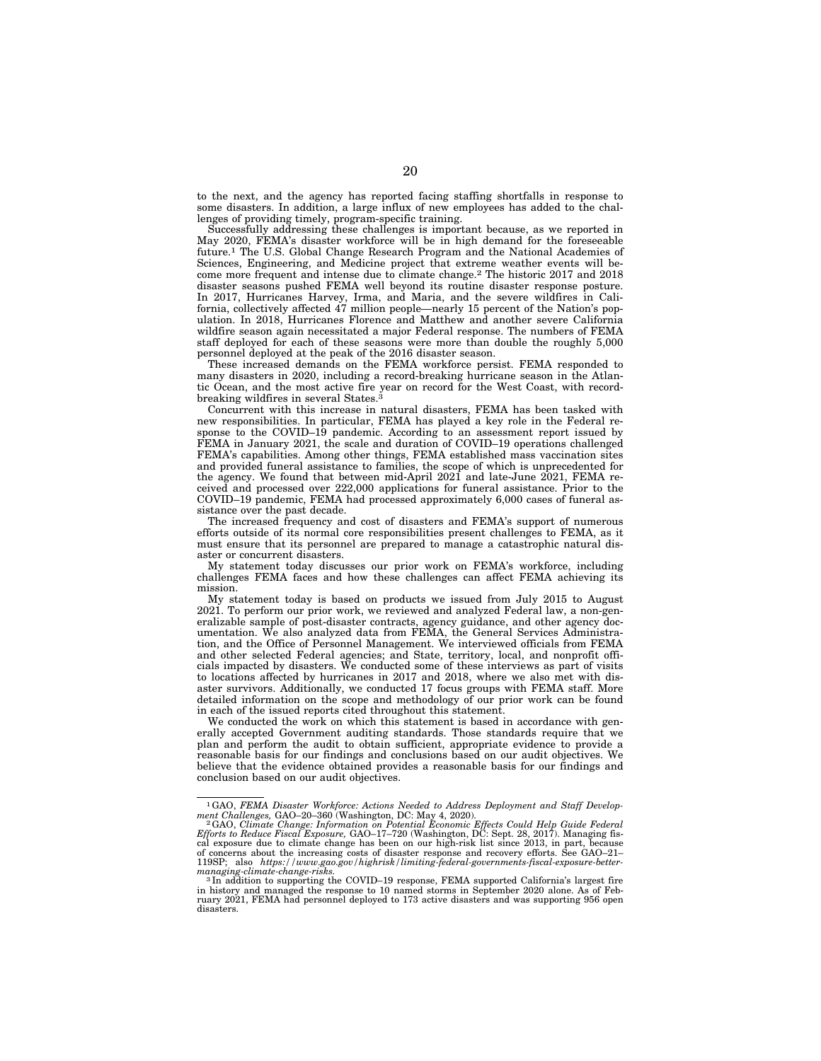to the next, and the agency has reported facing staffing shortfalls in response to some disasters. In addition, a large influx of new employees has added to the challenges of providing timely, program-specific training.

Successfully addressing these challenges is important because, as we reported in May 2020, FEMA's disaster workforce will be in high demand for the foreseeable future.1 The U.S. Global Change Research Program and the National Academies of Sciences, Engineering, and Medicine project that extreme weather events will become more frequent and intense due to climate change.2 The historic 2017 and 2018 disaster seasons pushed FEMA well beyond its routine disaster response posture. In 2017, Hurricanes Harvey, Irma, and Maria, and the severe wildfires in California, collectively affected 47 million people—nearly 15 percent of the Nation's population. In 2018, Hurricanes Florence and Matthew and another severe California wildfire season again necessitated a major Federal response. The numbers of FEMA staff deployed for each of these seasons were more than double the roughly 5,000 personnel deployed at the peak of the 2016 disaster season.

These increased demands on the FEMA workforce persist. FEMA responded to many disasters in 2020, including a record-breaking hurricane season in the Atlantic Ocean, and the most active fire year on record for the West Coast, with recordbreaking wildfires in several States.<sup>3</sup>

Concurrent with this increase in natural disasters, FEMA has been tasked with new responsibilities. In particular, FEMA has played a key role in the Federal response to the COVID–19 pandemic. According to an assessment report issued by FEMA in January 2021, the scale and duration of COVID–19 operations challenged FEMA's capabilities. Among other things, FEMA established mass vaccination sites and provided funeral assistance to families, the scope of which is unprecedented for the agency. We found that between mid-April 2021 and late-June 2021, FEMA received and processed over 222,000 applications for funeral assistance. Prior to the COVID–19 pandemic, FEMA had processed approximately 6,000 cases of funeral assistance over the past decade.

The increased frequency and cost of disasters and FEMA's support of numerous efforts outside of its normal core responsibilities present challenges to FEMA, as it must ensure that its personnel are prepared to manage a catastrophic natural disaster or concurrent disasters.

My statement today discusses our prior work on FEMA's workforce, including challenges FEMA faces and how these challenges can affect FEMA achieving its mission.

My statement today is based on products we issued from July 2015 to August 2021. To perform our prior work, we reviewed and analyzed Federal law, a non-generalizable sample of post-disaster contracts, agency guidance, and other agency documentation. We also analyzed data from FEMA, the General Services Administration, and the Office of Personnel Management. We interviewed officials from FEMA and other selected Federal agencies; and State, territory, local, and nonprofit officials impacted by disasters. We conducted some of these interviews as part of visits to locations affected by hurricanes in 2017 and 2018, where we also met with disaster survivors. Additionally, we conducted 17 focus groups with FEMA staff. More detailed information on the scope and methodology of our prior work can be found in each of the issued reports cited throughout this statement.

We conducted the work on which this statement is based in accordance with generally accepted Government auditing standards. Those standards require that we plan and perform the audit to obtain sufficient, appropriate evidence to provide a reasonable basis for our findings and conclusions based on our audit objectives. We believe that the evidence obtained provides a reasonable basis for our findings and conclusion based on our audit objectives.

<sup>1</sup>GAO, *FEMA Disaster Workforce: Actions Needed to Address Deployment and Staff Develop-*

ment Challenges, GAO–20–360 (Washington, DC: May 4, 2020).<br>– 2 GAO, Climate Change: Information on Potential Economic Effects Could Help Guide Federal<br>Efforts to Reduce Fiscal Exposure, GAO–17–720 (Washington, DC: Sept. 28 cal exposure due to climate change has been on our high-risk list since 2013, in part, because of concerns about the increasing costs of disaster response and recovery efforts. See GAO–21– 119SP; also *https://www.gao.gov/highrisk/limiting-federal-governments-fiscal-exposure-bettermanaging-climate-change-risks.* <sup>3</sup> In addition to supporting the COVID–19 response, FEMA supported California's largest fire

in history and managed the response to 10 named storms in September 2020 alone. As ruary 2021, FEMA had personnel deployed to 173 active disasters and was supporting 956 open disasters.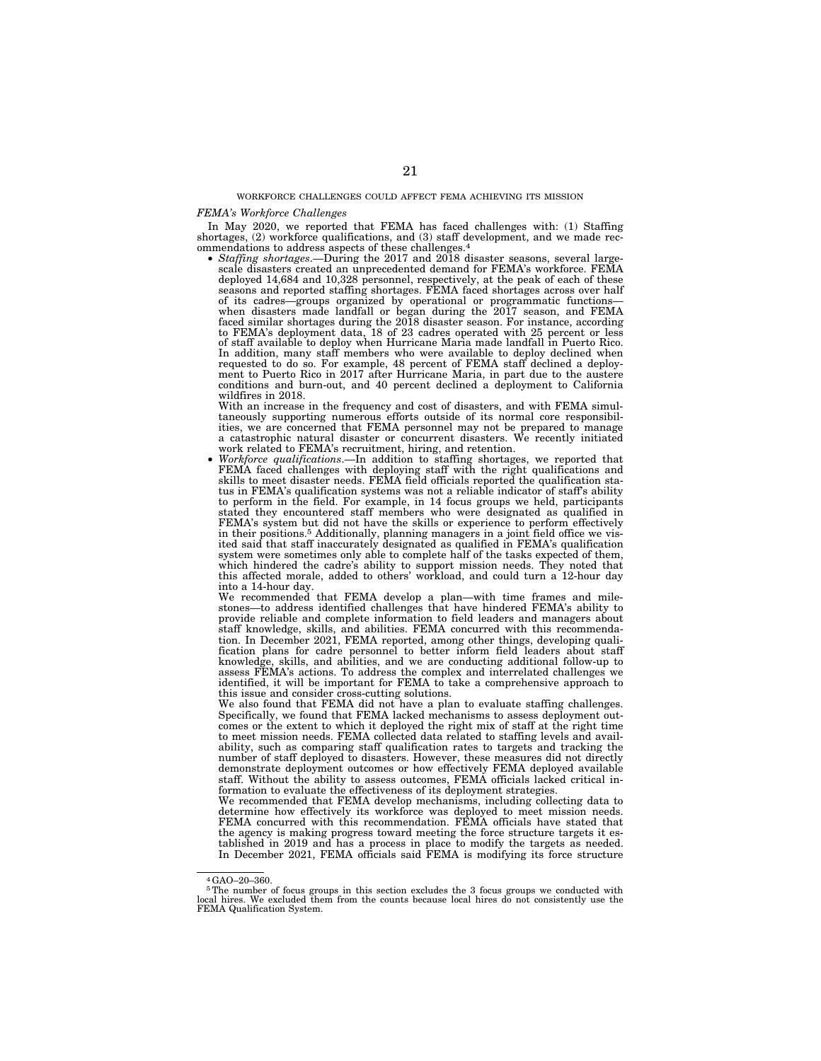WORKFORCE CHALLENGES COULD AFFECT FEMA ACHIEVING ITS MISSION

#### *FEMA's Workforce Challenges*

In May 2020, we reported that FEMA has faced challenges with: (1) Staffing shortages, (2) workforce qualifications, and (3) staff development, and we made recommendations to address aspects of these challenges.4

• *Staffing shortages*.—During the 2017 and 2018 disaster seasons, several largescale disasters created an unprecedented demand for FEMA's workforce. FEMA deployed 14,684 and 10,328 personnel, respectively, at the peak of each of these seasons and reported staffing shortages. FEMA faced shortages across over half of its cadres—groups organized by operational or programmatic functions— when disasters made landfall or began during the 2017 season, and FEMA faced similar shortages during the 2018 disaster season. For instance, according to FEMA's deployment data, 18 of 23 cadres operated with 25 percent or less of staff available to deploy when Hurricane Maria made landfall in Puerto Rico. In addition, many staff members who were available to deploy declined when requested to do so. For example, 48 percent of FEMA staff declined a deployment to Puerto Rico in 2017 after Hurricane Maria, in part due to the austere conditions and burn-out, and 40 percent declined a deployment to California wildfires in 2018.

With an increase in the frequency and cost of disasters, and with FEMA simultaneously supporting numerous efforts outside of its normal core responsibil-ities, we are concerned that FEMA personnel may not be prepared to manage a catastrophic natural disaster or concurrent disasters. We recently initiated work related to FEMA's recruitment, hiring, and retention.

work related to FEMA's recruitment, hiring, and retention. • *Workforce qualifications*.—In addition to staffing shortages, we reported that FEMA faced challenges with deploying staff with the right qualifications and skills to meet disaster needs. FEMA field officials reported the qualification status in FEMA's qualification systems was not a reliable indicator of staff's ability to perform in the field. For example, in 14 focus groups we held, participants stated they encountered staff members who were designated as qualified in FEMA's system but did not have the skills or experience to perform effectively in their positions.5 Additionally, planning managers in a joint field office we vis-ited said that staff inaccurately designated as qualified in FEMA's qualification system were sometimes only able to complete half of the tasks expected of them, which hindered the cadre's ability to support mission needs. They noted that this affected morale, added to others' workload, and could turn a 12-hour day into a 14-hour day.

We recommended that FEMA develop a plan—with time frames and milestones—to address identified challenges that have hindered FEMA's ability to provide reliable and complete information to field leaders and managers about staff knowledge, skills, and abilities. FEMA concurred with this recommendation. In December 2021, FEMA reported, among other things, developing qualification plans for cadre personnel to better inform field leaders about staff knowledge, skills, and abilities, and we are conducting additional follow-up to assess FEMA's actions. To address the complex and interrelated challenges we identified, it will be important for FEMA to take a comprehensive approach to this issue and consider cross-cutting solutions.

We also found that FEMA did not have a plan to evaluate staffing challenges. Specifically, we found that FEMA lacked mechanisms to assess deployment outcomes or the extent to which it deployed the right mix of staff at the right time to meet mission needs. FEMA collected data related to staffing levels and availability, such as comparing staff qualification rates to targets and tracking the number of staff deployed to disasters. However, these measures did not directly demonstrate deployment outcomes or how effectively FEMA deployed available staff. Without the ability to assess outcomes, FEMA officials lacked critical information to evaluate the effectiveness of its deployment strategies.

We recommended that FEMA develop mechanisms, including collecting data to determine how effectively its workforce was deployed to meet mission needs. FEMA concurred with this recommendation. FEMA officials have stated that the agency is making progress toward meeting the force structure targets it established in 2019 and has a process in place to modify the targets as needed. In December 2021, FEMA officials said FEMA is modifying its force structure

<sup>4</sup>GAO–20–360.

<sup>&</sup>lt;sup>5</sup>The number of focus groups in this section excludes the 3 focus groups we conducted with local hires. We excluded them from the counts because local hires do not consistently use the FEMA Qualification System.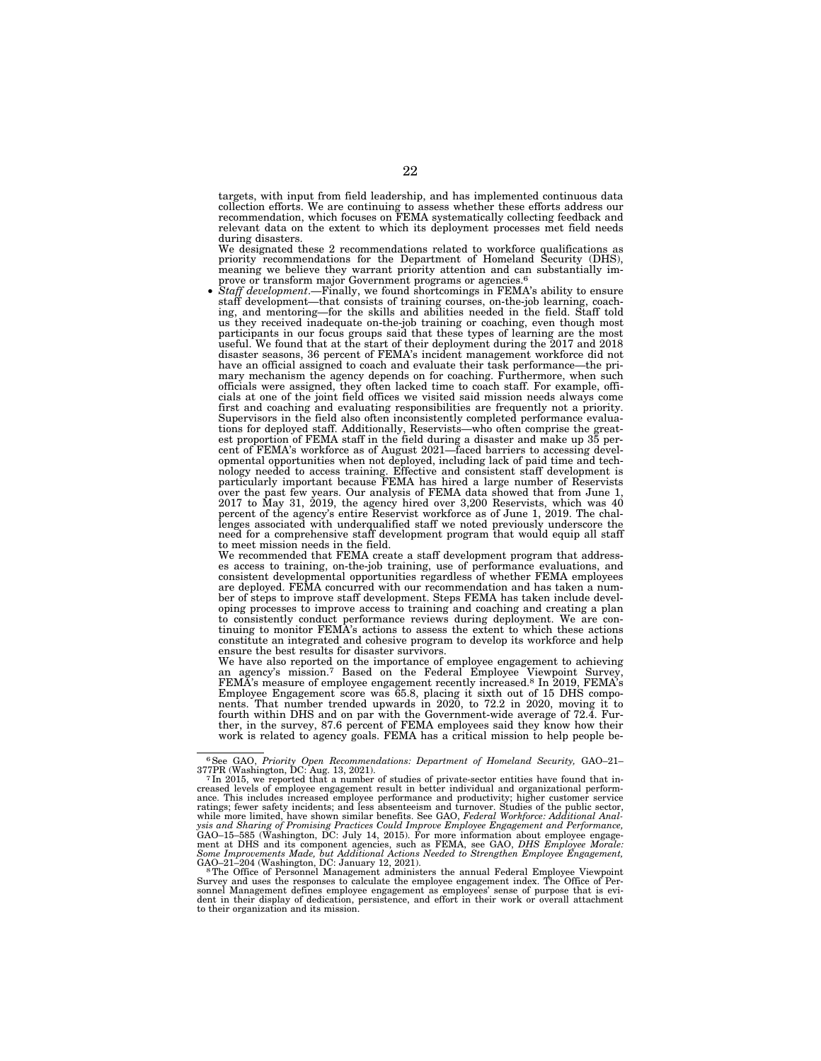targets, with input from field leadership, and has implemented continuous data collection efforts. We are continuing to assess whether these efforts address our recommendation, which focuses on FEMA systematically collecting feedback and relevant data on the extent to which its deployment processes met field needs during disasters.

We designated these 2 recommendations related to workforce qualifications as priority recommendations for the Department of Homeland Security (DHS), meaning we believe they warrant priority attention and can substantially improve or transform major Government programs or agencies.<sup>6</sup>

• *Staff development*.—Finally, we found shortcomings in FEMA's ability to ensure staff development—that consists of training courses, on-the-job learning, coaching, and mentoring—for the skills and abilities needed in the field. Staff told us they received inadequate on-the-job training or coaching, even though most participants in our focus groups said that these types of learning are the most useful. We found that at the start of their deployment during the 2017 and 2018 disaster seasons, 36 percent of FEMA's incident management workforce did not have an official assigned to coach and evaluate their task performance—the primary mechanism the agency depends on for coaching. Furthermore, when such officials were assigned, they often lacked time to coach staff. For example, officials at one of the joint field offices we visited said mission needs always come first and coaching and evaluating responsibilities are frequently not a priority. Supervisors in the field also often inconsistently completed performance evaluations for deployed staff. Additionally, Reservists—who often comprise the greatest proportion of FEMA staff in the field during a disaster and make up 35 per-cent of FEMA's workforce as of August 2021—faced barriers to accessing developmental opportunities when not deployed, including lack of paid time and technology needed to access training. Effective and consistent staff development is particularly important because FEMA has hired a large number of Reservists over the past few years. Our analysis of FEMA data showed that from June 1, 2017 to May 31, 2019, the agency hired over 3,200 Reservists, which was 40 percent of the agency's entire Reservist workforce as of June 1, 2019. need for a comprehensive staff development program that would equip all staff to meet mission needs in the field.

We recommended that FEMA create a staff development program that addresses access to training, on-the-job training, use of performance evaluations, and consistent developmental opportunities regardless of whether FEMA employees are deployed. FEMA concurred with our recommendation and has taken a number of steps to improve staff development. Steps FEMA has taken include developing processes to improve access to training and coaching and creating a plan to consistently conduct performance reviews during deployment. We are continuing to monitor FEMA's actions to assess the extent to which these actions constitute an integrated and cohesive program to develop its workforce and help ensure the best results for disaster survivors.

We have also reported on the importance of employee engagement to achieving an agency's mission.7 Based on the Federal Employee Viewpoint Survey, FEMA's measure of employee engagement recently increased.8 In 2019, FEMA's Employee Engagement score was 65.8, placing it sixth out of 15 DHS compo-nents. That number trended upwards in 2020, to 72.2 in 2020, moving it to fourth within DHS and on par with the Government-wide average of 72.4. Fur-ther, in the survey, 87.6 percent of FEMA employees said they know how their work is related to agency goals. FEMA has a critical mission to help people be-

<sup>&</sup>lt;sup>6</sup>See GAO, *Priority Open Recommendations: Department of Homeland Security, GAO-21-*  $^{7}$  In 2015, we reported that a number of studies of private-sector entities have found that in<sup>7</sup> In 2015, we reported that a number ance. This includes increased employee performance and productivity; higher customer service ratings; fewer safety incidents; and less absenteeism and turnover. Studies of the public sector, while more limited, have shown similar benefits. See GAO, *Federal Workforce: Additional Anal*<br>ysis and Sharing of Promising

Survey and uses the responses to calculate the employee engagement index. The Office of Personnel Management administers the annual Federal Employee Viewpoint sonnel Management defines employee engagement as employees' sense of purpose that is evident in their display of dedication, persistence, and effort in their work or overall attachment to their organization and its mission.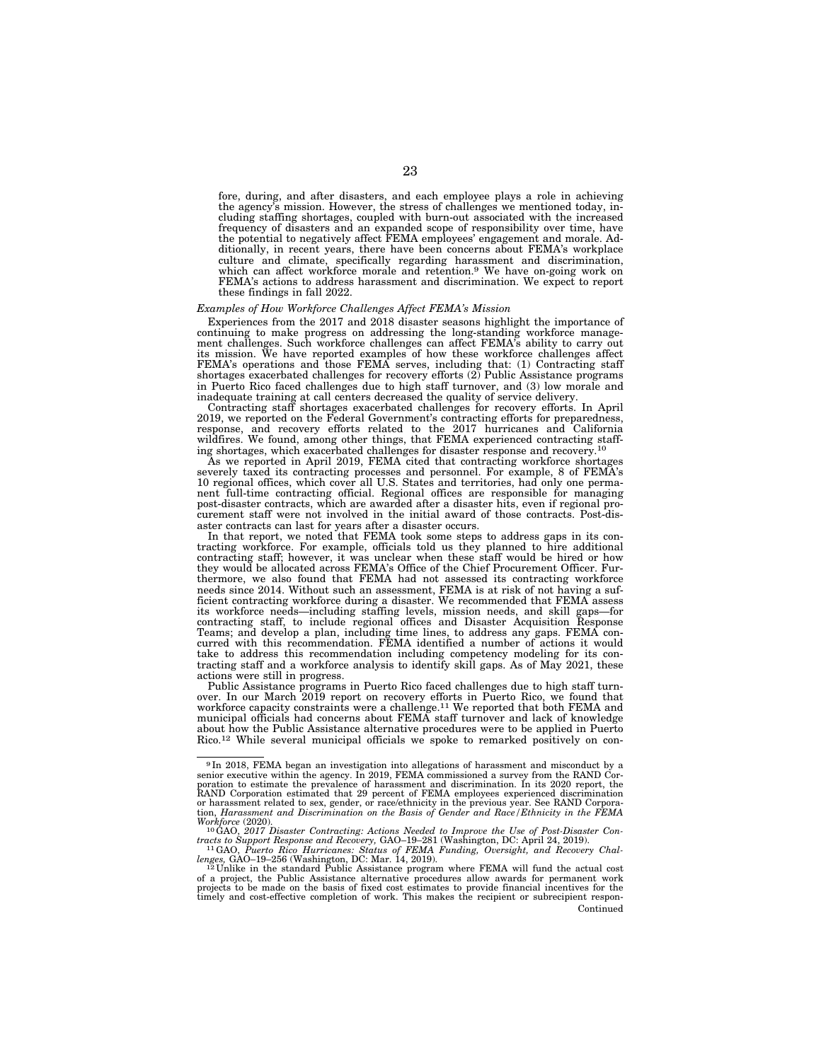fore, during, and after disasters, and each employee plays a role in achieving the agency's mission. However, the stress of challenges we mentioned today, including staffing shortages, coupled with burn-out associated with the increased frequency of disasters and an expanded scope of responsibility over time, have the potential to negatively affect FEMA employees' engagement and morale. Additionally, in recent years, there have been concerns about FEMA's workplace culture and climate, specifically regarding harassment and discrimination, which can affect workforce morale and retention.9 We have on-going work on FEMA's actions to address harassment and discrimination. We expect to report these findings in fall 2022.

#### *Examples of How Workforce Challenges Affect FEMA's Mission*

Experiences from the 2017 and 2018 disaster seasons highlight the importance of continuing to make progress on addressing the long-standing workforce management challenges. Such workforce challenges can affect FEMA's ability to carry out its mission. We have reported examples of how these workforce challenges affect FEMA's operations and those FEMA serves, including that: (1) Contracting staff shortages exacerbated challenges for recovery efforts (2) Public Assistance programs in Puerto Rico faced challenges due to high staff turnover, and (3) low morale and inadequate training at call centers decreased the quality of service delivery.

Contracting staff shortages exacerbated challenges for recovery efforts. In April 2019, we reported on the Federal Government's contracting efforts for preparedness, response, and recovery efforts related to the 2017 hurricanes and California wildfires. We found, among other things, that FEMA experienced contracting staffing shortages, which exacerbated challenges for disaster response and recovery.10

As we reported in April 2019, FEMA cited that contracting workforce shortages severely taxed its contracting processes and personnel. For example, 8 of FEMA's 10 regional offices, which cover all U.S. States and territories, had only one permanent full-time contracting official. Regional offices are responsible for managing post-disaster contracts, which are awarded after a disaster hits, even if regional procurement staff were not involved in the initial award of those contracts. Post-disaster contracts can last for years after a disaster occurs.

In that report, we noted that FEMA took some steps to address gaps in its contracting workforce. For example, officials told us they planned to hire additional contracting staff; however, it was unclear when these staff would be hired or how they would be allocated across FEMA's Office of the Chief Procurement Officer. Furthermore, we also found that FEMA had not assessed its contracting workforce needs since 2014. Without such an assessment, FEMA is at risk of not having a suf-<br>ficient contracting workforce during a disaster. We recommended that FEMA assess ficient contracting workforce during a disaster. We recommended that FEMA assess its workforce needs—including staffing levels, mission needs, and skill gaps—for contracting staff, to include regional offices and Disaster Acquisition Response Teams; and develop a plan, including time lines, to address any gaps. FEMA concurred with this recommendation. FEMA identified a number of actions it would take to address this recommendation including competency modeling for its contracting staff and a workforce analysis to identify skill gaps. As of May 2021, these actions were still in progress.

Public Assistance programs in Puerto Rico faced challenges due to high staff turnover. In our March 2019 report on recovery efforts in Puerto Rico, we found that workforce capacity constraints were a challenge.<sup>11</sup> We reported that both FEMA and municipal officials had concerns about FEMA staff turnover and lack of knowledge about how the Public Assistance alternative procedures were to be applied in Puerto Rico.12 While several municipal officials we spoke to remarked positively on con-

<sup>9</sup> In 2018, FEMA began an investigation into allegations of harassment and misconduct by a senior executive within the agency. In 2019, FEMA commissioned a survey from the RAND Corporation to estimate the prevalence of harassment and discrimination. In its 2020 report, the RAND Corporation estimated that 29 percent of FEMA employees experienced discrimination or harassment related to sex, gender, o

*Workforce* (2020). 10GAO, *2017 Disaster Contracting: Actions Needed to Improve the Use of Post-Disaster Contracts to Support Response and Recovery,* GAO–19–281 (Washington, DC: April 24, 2019). 11GAO, *Puerto Rico Hurricanes: Status of FEMA Funding, Oversight, and Recovery Chal-*

lenges, GAO-19-256 (Washington, DC: Mar. 14, 2019).<br><sup>12</sup> Unlike in the standard Public Assistance program where FEMA will fund the actual cost a project, the Public Assistance alternative procedures allow awards for perma Continued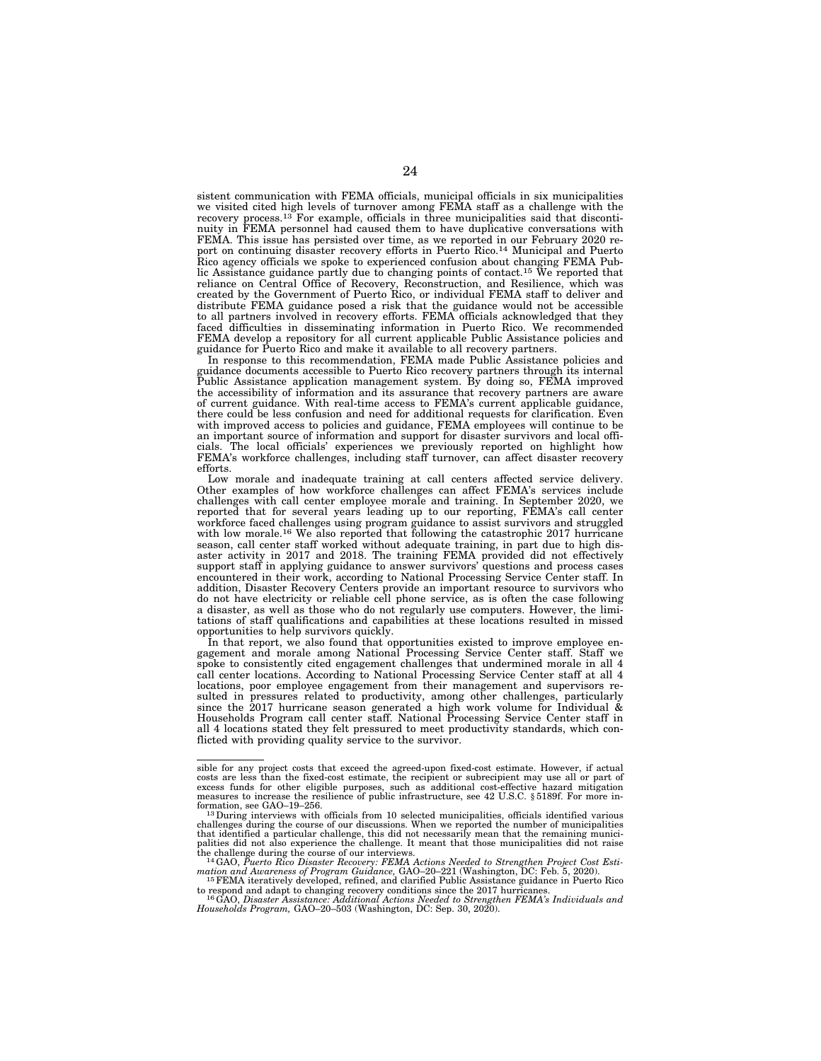sistent communication with FEMA officials, municipal officials in six municipalities we visited cited high levels of turnover among FEMA staff as a challenge with the recovery process.13 For example, officials in three municipalities said that discontinuity in FEMA personnel had caused them to have duplicative conversations with FEMA. This issue has persisted over time, as we reported in our February 2020 report on continuing disaster recovery efforts in Puerto Rico.14 Municipal and Puerto Rico agency officials we spoke to experienced confusion about changing FEMA Public Assistance guidance partly due to changing points of contact.<sup>15</sup> We reported that reliance on Central Office of Recovery, Reconstruction, and Resilience, which was created by the Government of Puerto Rico, or individual FEMA staff to deliver and distribute FEMA guidance posed a risk that the guidance would not be accessible to all partners involved in recovery efforts. FEMA officials acknowledged that they faced difficulties in disseminating information in Puerto Rico. We recommended FEMA develop a repository for all current applicable Public Assistance policies and guidance for Puerto Rico and make it available to all recovery partners.

In response to this recommendation, FEMA made Public Assistance policies and guidance documents accessible to Puerto Rico recovery partners through its internal Public Assistance application management system. By doing so, FEMA improved the accessibility of information and its assurance that recovery partners are aware of current guidance. With real-time access to FEMA's current applicable guidance, there could be less confusion and need for additional requests for clarification. Even with improved access to policies and guidance, FEMA employees will continue to be an important source of information and support for disaster survivors and local officials. The local officials' experiences we previously reported on highlight how FEMA's workforce challenges, including staff turnover, can affect disaster recovery efforts.

Low morale and inadequate training at call centers affected service delivery. Other examples of how workforce challenges can affect FEMA's services include challenges with call center employee morale and training. In September 2020, we reported that for several years leading up to our reporting, FEMA's call center workforce faced challenges using program guidance to assist survivors and struggled with low morale.<sup>16</sup> We also reported that following the catastrophic 2017 hurricane season, call center staff worked without adequate training, in part due to high disaster activity in 2017 and 2018. The training FEMA provided did not effectively support staff in applying guidance to answer survivors' questions and process cases encountered in their work, according to National Processing Service Center staff. In addition, Disaster Recovery Centers provide an important resource to survivors who do not have electricity or reliable cell phone service, as is often the case following a disaster, as well as those who do not regularly use computers. However, the limitations of staff qualifications and capabilities at these locations resulted in missed opportunities to help survivors quickly.

In that report, we also found that opportunities existed to improve employee engagement and morale among National Processing Service Center staff. Staff we spoke to consistently cited engagement challenges that undermined morale in all 4 call center locations. According to National Processing Service Center staff at all 4 locations, poor employee engagement from their management and supervisors resulted in pressures related to productivity, among other challenges, particularly since the 2017 hurricane season generated a high work volume for Individual & Households Program call center staff. National Processing Service Center staff in all 4 locations stated they felt pressured to meet productivity standards, which conflicted with providing quality service to the survivor.

sible for any project costs that exceed the agreed-upon fixed-cost estimate. However, if actual costs are less than the fixed-cost estimate, the recipient or subrecipient may use all or part of excess funds for other eligible purposes, such as additional cost-effective hazard mitigation measures to increase the resilience of public infrastructure, see 42 U.S.C. § 5189f. For more information, see GAO–19–256. 13During interviews with officials from 10 selected municipalities, officials identified various

challenges during the course of our discussions. When we reported the number of municipalities that identified a particular challenge, this did not necessarily mean that the remaining municipalities did not also experience the challenge. It meant that those municipalities did not raise

<sup>&</sup>lt;sup>14</sup> GAO, *Puerto Rico Disaster Recovery: FEMA Actions Needed to Strengthen Project Cost Estimation and Awareness of Program Guidance,* GAO–20–221 (Washington, DC: Feb. 5, 2020). 15FEMA iteratively developed, refined, and clarified Public Assistance guidance in Puerto Rico

to respond and adapt to changing recovery conditions since the 2017 hurricanes.<br><sup>16</sup>GAO, Disaster Assistance: Additional Actions Needed to Strengthen FEMA's Individuals and<br>Households Program, GAO–20–503 (Washington, DC: S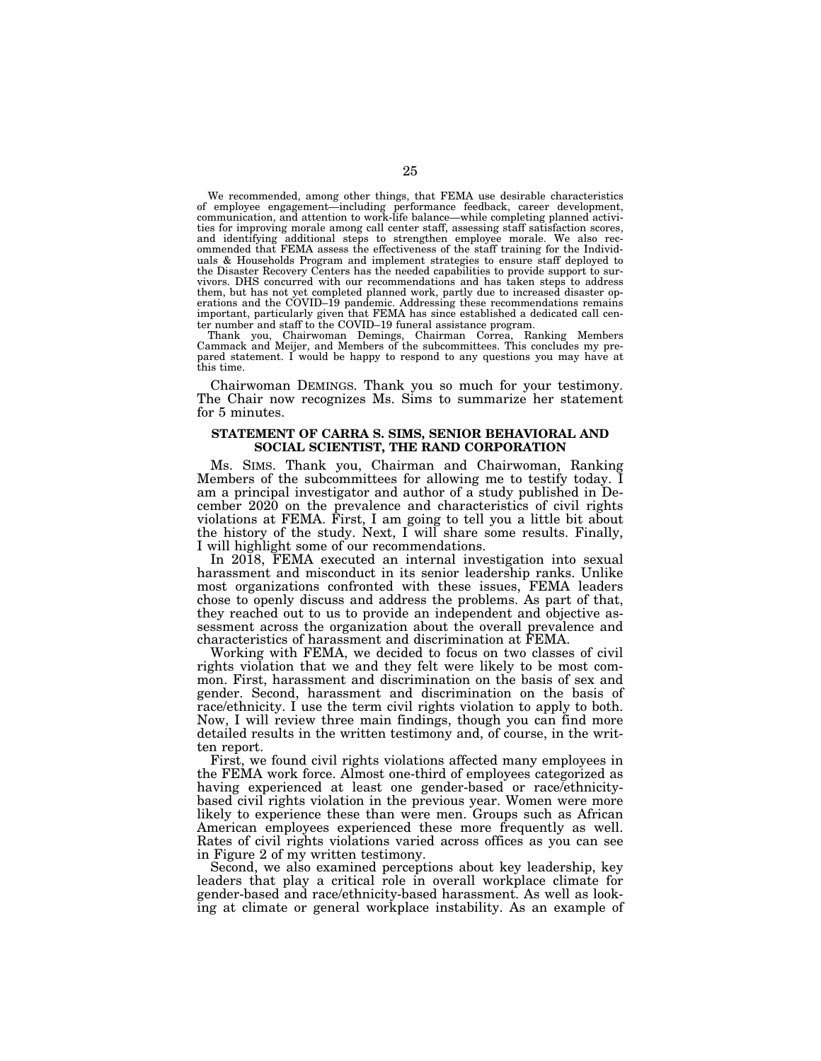We recommended, among other things, that FEMA use desirable characteristics of employee engagement—including performance feedback, career development, communication, and attention to work-life balance—while completing planned activities for improving morale among call center staff, assessing staff satisfaction scores, and identifying additional steps to strengthen employee morale. We also recommended that FEMA assess the effectiveness of the staff training for the Individuals & Households Program and implement strategies to ensure staff deployed to the Disaster Recovery Centers has the needed capabilities to provide support to survivors. DHS concurred with our recommendations and has taken steps to address them, but has not yet completed planned work, partly due to increased disaster operations and the COVID–19 pandemic. Addressing these recommendations remains important, particularly given that FEMA has since established a dedicated call center number and staff to the COVID–19 funeral assistance program.

Thank you, Chairwoman Demings, Chairman Correa, Ranking Members Cammack and Meijer, and Members of the subcommittees. This concludes my prepared statement. I would be happy to respond to any questions you may have at this time.

Chairwoman DEMINGS. Thank you so much for your testimony. The Chair now recognizes Ms. Sims to summarize her statement for 5 minutes.

## **STATEMENT OF CARRA S. SIMS, SENIOR BEHAVIORAL AND SOCIAL SCIENTIST, THE RAND CORPORATION**

Ms. SIMS. Thank you, Chairman and Chairwoman, Ranking Members of the subcommittees for allowing me to testify today. I am a principal investigator and author of a study published in December 2020 on the prevalence and characteristics of civil rights violations at FEMA. First, I am going to tell you a little bit about the history of the study. Next, I will share some results. Finally, I will highlight some of our recommendations.

In 2018, FEMA executed an internal investigation into sexual harassment and misconduct in its senior leadership ranks. Unlike most organizations confronted with these issues, FEMA leaders chose to openly discuss and address the problems. As part of that, they reached out to us to provide an independent and objective assessment across the organization about the overall prevalence and characteristics of harassment and discrimination at FEMA.

Working with FEMA, we decided to focus on two classes of civil rights violation that we and they felt were likely to be most common. First, harassment and discrimination on the basis of sex and gender. Second, harassment and discrimination on the basis of race/ethnicity. I use the term civil rights violation to apply to both. Now, I will review three main findings, though you can find more detailed results in the written testimony and, of course, in the written report.

First, we found civil rights violations affected many employees in the FEMA work force. Almost one-third of employees categorized as having experienced at least one gender-based or race/ethnicitybased civil rights violation in the previous year. Women were more likely to experience these than were men. Groups such as African American employees experienced these more frequently as well. Rates of civil rights violations varied across offices as you can see in Figure 2 of my written testimony.

Second, we also examined perceptions about key leadership, key leaders that play a critical role in overall workplace climate for gender-based and race/ethnicity-based harassment. As well as looking at climate or general workplace instability. As an example of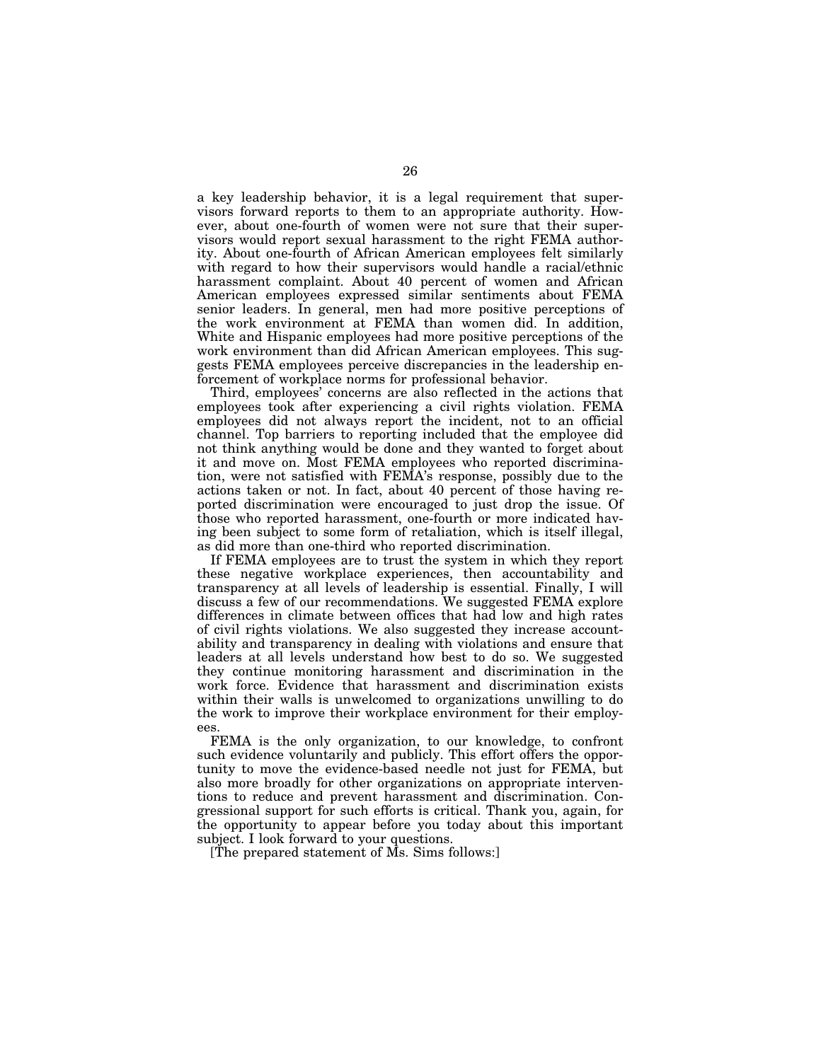a key leadership behavior, it is a legal requirement that supervisors forward reports to them to an appropriate authority. However, about one-fourth of women were not sure that their supervisors would report sexual harassment to the right FEMA authority. About one-fourth of African American employees felt similarly with regard to how their supervisors would handle a racial/ethnic harassment complaint. About 40 percent of women and African American employees expressed similar sentiments about FEMA senior leaders. In general, men had more positive perceptions of the work environment at FEMA than women did. In addition, White and Hispanic employees had more positive perceptions of the work environment than did African American employees. This suggests FEMA employees perceive discrepancies in the leadership enforcement of workplace norms for professional behavior.

Third, employees' concerns are also reflected in the actions that employees took after experiencing a civil rights violation. FEMA employees did not always report the incident, not to an official channel. Top barriers to reporting included that the employee did not think anything would be done and they wanted to forget about it and move on. Most FEMA employees who reported discrimination, were not satisfied with FEMA's response, possibly due to the actions taken or not. In fact, about 40 percent of those having reported discrimination were encouraged to just drop the issue. Of those who reported harassment, one-fourth or more indicated having been subject to some form of retaliation, which is itself illegal, as did more than one-third who reported discrimination.

If FEMA employees are to trust the system in which they report these negative workplace experiences, then accountability and transparency at all levels of leadership is essential. Finally, I will discuss a few of our recommendations. We suggested FEMA explore differences in climate between offices that had low and high rates of civil rights violations. We also suggested they increase accountability and transparency in dealing with violations and ensure that leaders at all levels understand how best to do so. We suggested they continue monitoring harassment and discrimination in the work force. Evidence that harassment and discrimination exists within their walls is unwelcomed to organizations unwilling to do the work to improve their workplace environment for their employees.

FEMA is the only organization, to our knowledge, to confront such evidence voluntarily and publicly. This effort offers the opportunity to move the evidence-based needle not just for FEMA, but also more broadly for other organizations on appropriate interventions to reduce and prevent harassment and discrimination. Congressional support for such efforts is critical. Thank you, again, for the opportunity to appear before you today about this important subject. I look forward to your questions.

[The prepared statement of Ms. Sims follows:]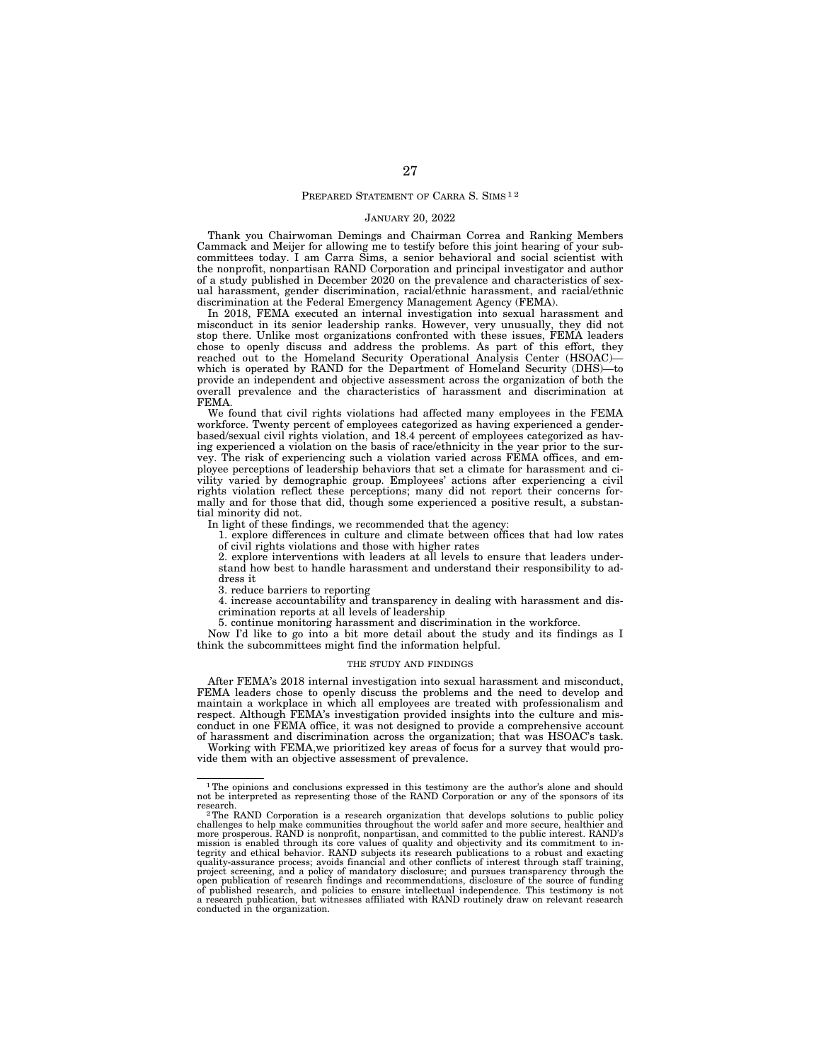#### PREPARED STATEMENT OF CARRA S. SIMS<sup>12</sup>

#### JANUARY 20, 2022

Thank you Chairwoman Demings and Chairman Correa and Ranking Members Cammack and Meijer for allowing me to testify before this joint hearing of your subcommittees today. I am Carra Sims, a senior behavioral and social scientist with the nonprofit, nonpartisan RAND Corporation and principal investigator and author of a study published in December 2020 on the prevalence and characteristics of sexual harassment, gender discrimination, racial/ethnic harassment, and racial/ethnic discrimination at the Federal Emergency Management Agency (FEMA).

In 2018, FEMA executed an internal investigation into sexual harassment and misconduct in its senior leadership ranks. However, very unusually, they did not stop there. Unlike most organizations confronted with these issues, FEMA leaders chose to openly discuss and address the problems. As part of this effort, they reached out to the Homeland Security Operational Analysis Center (HSOAC) which is operated by RAND for the Department of Homeland Security (DHS)—to provide an independent and objective assessment across the organization of both the overall prevalence and the characteristics of harassment and discrimination at FEMA.

We found that civil rights violations had affected many employees in the FEMA workforce. Twenty percent of employees categorized as having experienced a genderbased/sexual civil rights violation, and 18.4 percent of employees categorized as having experienced a violation on the basis of race/ethnicity in the year prior to the survey. The risk of experiencing such a violation varied across FEMA offices, and employee perceptions of leadership behaviors that set a climate for harassment and civility varied by demographic group. Employees' actions after experiencing a civil rights violation reflect these perceptions; many did not report their concerns formally and for those that did, though some experienced a positive result, a substantial minority did not.

In light of these findings, we recommended that the agency:

1. explore differences in culture and climate between offices that had low rates of civil rights violations and those with higher rates

2. explore interventions with leaders at all levels to ensure that leaders understand how best to handle harassment and understand their responsibility to address it

3. reduce barriers to reporting

4. increase accountability and transparency in dealing with harassment and discrimination reports at all levels of leadership

5. continue monitoring harassment and discrimination in the workforce.

Now I'd like to go into a bit more detail about the study and its findings as I think the subcommittees might find the information helpful.

#### THE STUDY AND FINDINGS

After FEMA's 2018 internal investigation into sexual harassment and misconduct, FEMA leaders chose to openly discuss the problems and the need to develop and maintain a workplace in which all employees are treated with professionalism and respect. Although FEMA's investigation provided insights into the culture and misconduct in one FEMA office, it was not designed to provide a comprehensive account of harassment and discrimination across the organization; that was HSOAC's task.

Working with FEMA,we prioritized key areas of focus for a survey that would provide them with an objective assessment of prevalence.

<sup>&</sup>lt;sup>1</sup>The opinions and conclusions expressed in this testimony are the author's alone and should not be interpreted as representing those of the RAND Corporation or any of the sponsors of its research. 2The RAND Corporation is a research organization that develops solutions to public policy

challenges to help make communities throughout the world safer and more secure, healthier and more prosperous. RAND is nonprofit, nonpartisan, and committed to the public interest. RAND's mission is enabled through its core values of quality and objectivity and its commitment to in-tegrity and ethical behavior. RAND subjects its research publications to a robust and exacting quality-assurance process; avoids financial and other conflicts of interest through staff training, project screening, and a policy of mandatory disclosure; and pursues transparency through the<br>open publication of research findings and recommendations, disclosure of the source of funding<br>of published research, and polici a research publication, but witnesses affiliated with RAND routinely draw on relevant research conducted in the organization.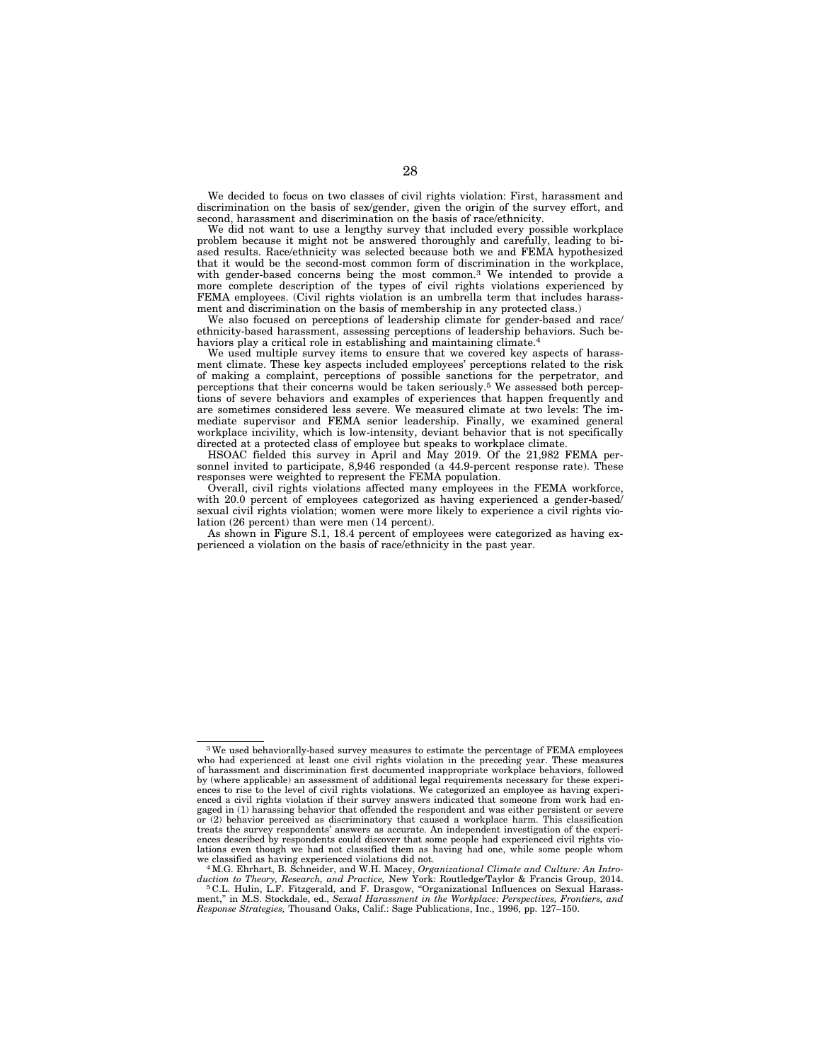We decided to focus on two classes of civil rights violation: First, harassment and discrimination on the basis of sex/gender, given the origin of the survey effort, and second, harassment and discrimination on the basis of race/ethnicity.

We did not want to use a lengthy survey that included every possible workplace problem because it might not be answered thoroughly and carefully, leading to biased results. Race/ethnicity was selected because both we and FEMA hypothesized that it would be the second-most common form of discrimination in the workplace, with gender-based concerns being the most common.3 We intended to provide a more complete description of the types of civil rights violations experienced by FEMA employees. (Civil rights violation is an umbrella term that includes harassment and discrimination on the basis of membership in any protected class.)

We also focused on perceptions of leadership climate for gender-based and race/ ethnicity-based harassment, assessing perceptions of leadership behaviors. Such behaviors play a critical role in establishing and maintaining climate.<sup>4</sup>

We used multiple survey items to ensure that we covered key aspects of harassment climate. These key aspects included employees' perceptions related to the risk of making a complaint, perceptions of possible sanctions for the perpetrator, and perceptions that their concerns would be taken seriously.5 We assessed both perceptions of severe behaviors and examples of experiences that happen frequently and are sometimes considered less severe. We measured climate at two levels: The immediate supervisor and FEMA senior leadership. Finally, we examined general workplace incivility, which is low-intensity, deviant behavior that is not specifically directed at a protected class of employee but speaks to workplace climate.

HSOAC fielded this survey in April and May 2019. Of the 21,982 FEMA personnel invited to participate, 8,946 responded (a 44.9-percent response rate). These responses were weighted to represent the FEMA population.

Overall, civil rights violations affected many employees in the FEMA workforce, with 20.0 percent of employees categorized as having experienced a gender-based/ sexual civil rights violation; women were more likely to experience a civil rights violation (26 percent) than were men (14 percent).

As shown in Figure S.1, 18.4 percent of employees were categorized as having experienced a violation on the basis of race/ethnicity in the past year.

<sup>3</sup>We used behaviorally-based survey measures to estimate the percentage of FEMA employees who had experienced at least one civil rights violation in the preceding year. These measures of harassment and discrimination first documented inappropriate workplace behaviors, followed by (where applicable) an assessment of additional legal requirements necessary for these experi-ences to rise to the level of civil rights violations. We categorized an employee as having experienced a civil rights violation if their survey answers indicated that someone from work had engaged in (1) harassing behavior that offended the respondent and was either persistent or severe or (2) behavior perceived as discriminatory that caused a workplace harm. This classification treats the survey respondents' answers as accurate. An independent investigation of the experiences described by respondents could discover that some people had experienced civil rights vio-lations even though we had not classified them as having had one, while some people whom

we classified as having experienced violations did not. 4M.G. Ehrhart, B. Schneider, and W.H. Macey, *Organizational Climate and Culture: An Introduction to Theory, Research, and Practice,* New York: Routledge/Taylor & Francis Group, 2014. 5 C.L. Hulin, L.F. Fitzgerald, and F. Drasgow, ''Organizational Influences on Sexual Harass-

ment,'' in M.S. Stockdale, ed., *Sexual Harassment in the Workplace: Perspectives, Frontiers, and Response Strategies,* Thousand Oaks, Calif.: Sage Publications, Inc., 1996, pp. 127–150.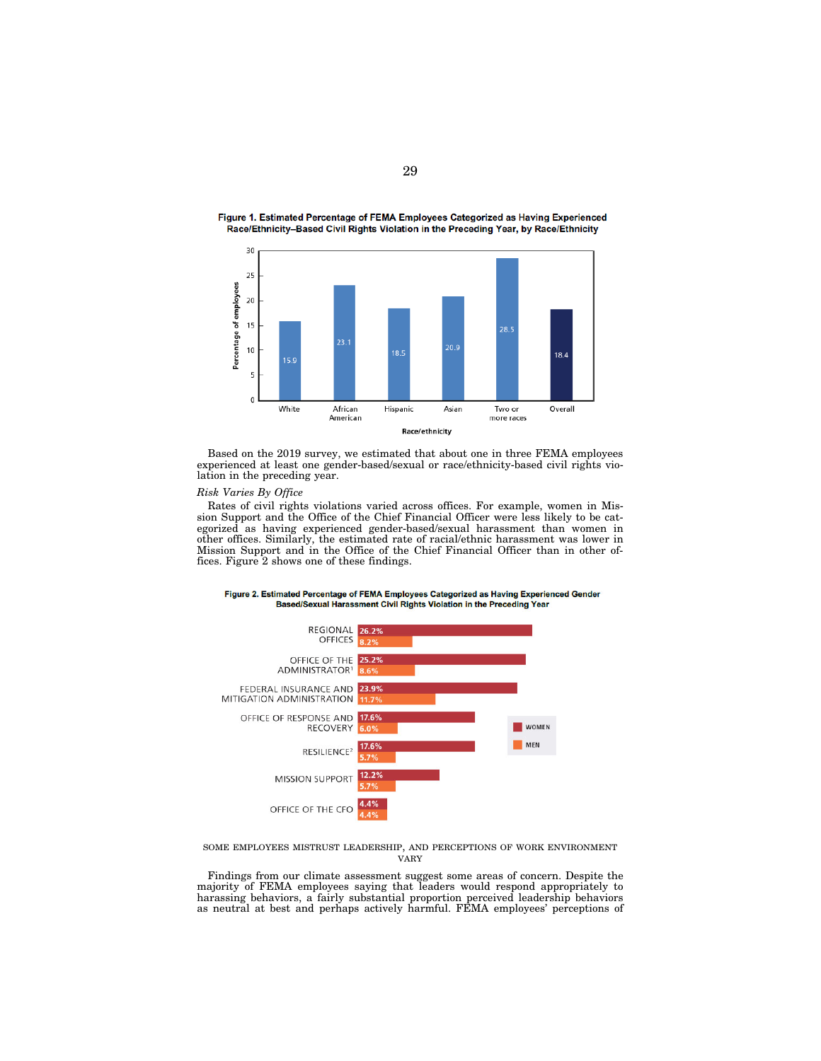

Figure 1. Estimated Percentage of FEMA Employees Categorized as Having Experienced Race/Ethnicity-Based Civil Rights Violation in the Preceding Year, by Race/Ethnicity

Based on the 2019 survey, we estimated that about one in three FEMA employees experienced at least one gender-based/sexual or race/ethnicity-based civil rights violation in the preceding year.

#### *Risk Varies By Office*

Rates of civil rights violations varied across offices. For example, women in Mission Support and the Office of the Chief Financial Officer were less likely to be categorized as having experienced gender-based/sexual harassment than women in other offices. Similarly, the estimated rate of racial/ethnic harassment was lower in Mission Support and in the Office of the Chief Financial Officer than in other offices. Figure 2 shows one of these findings.



Figure 2. Estimated Percentage of FEMA Employees Categorized as Having Experienced Gender Based/Sexual Harassment Civil Rights Violation in the Preceding Year

SOME EMPLOYEES MISTRUST LEADERSHIP, AND PERCEPTIONS OF WORK ENVIRONMENT VARY

Findings from our climate assessment suggest some areas of concern. Despite the majority of FEMA employees saying that leaders would respond appropriately to harassing behaviors, a fairly substantial proportion perceived leadership behaviors as neutral at best and perhaps actively harmful. FEMA employees' perceptions of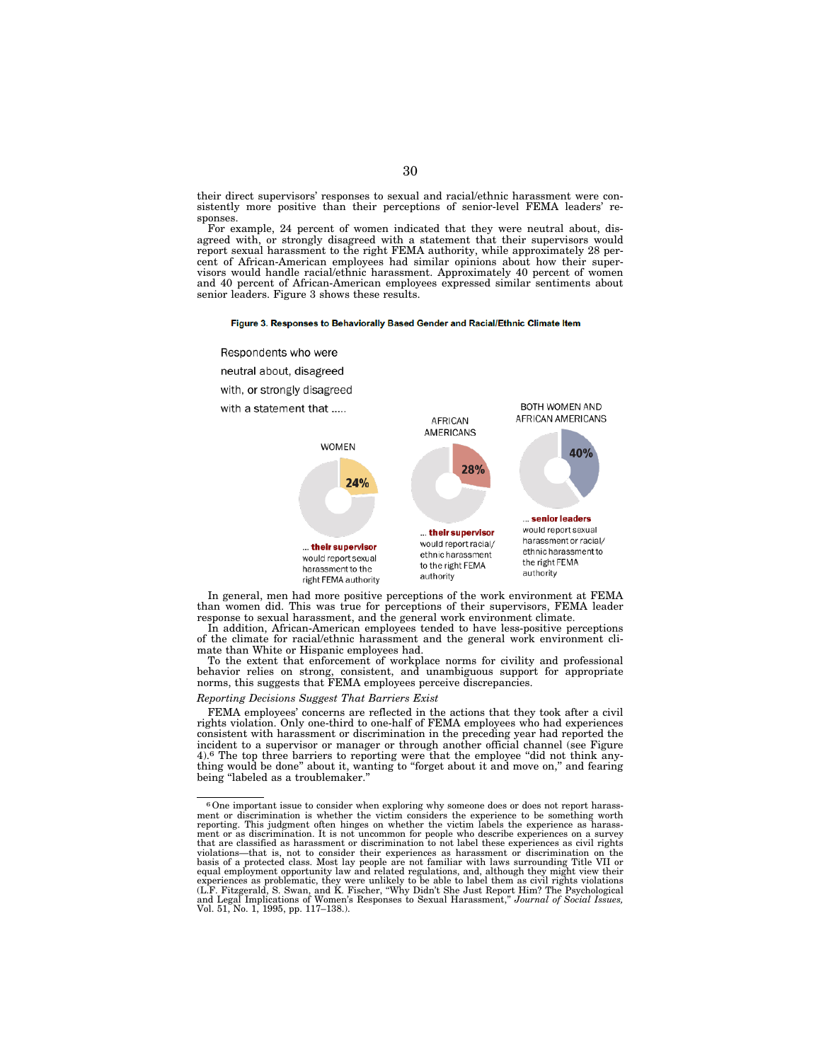their direct supervisors' responses to sexual and racial/ethnic harassment were consistently more positive than their perceptions of senior-level FEMA leaders' responses.

For example, 24 percent of women indicated that they were neutral about, disagreed with, or strongly disagreed with a statement that their supervisors would report sexual harassment to the right FEMA authority, while approximately 28 percent of African-American employees had similar opinions about how their supervisors would handle racial/ethnic harassment. Approximately 40 percent of women and 40 percent of African-American employees expressed similar sentiments about senior leaders. Figure 3 shows these results.

#### Figure 3. Responses to Behaviorally Based Gender and Racial/Ethnic Climate Item



In general, men had more positive perceptions of the work environment at FEMA than women did. This was true for perceptions of their supervisors, FEMA leader response to sexual harassment, and the general work environment climate.

In addition, African-American employees tended to have less-positive perceptions of the climate for racial/ethnic harassment and the general work environment climate than White or Hispanic employees had.

To the extent that enforcement of workplace norms for civility and professional behavior relies on strong, consistent, and unambiguous support for appropriate norms, this suggests that FEMA employees perceive discrepancies.

#### *Reporting Decisions Suggest That Barriers Exist*

FEMA employees' concerns are reflected in the actions that they took after a civil rights violation. Only one-third to one-half of FEMA employees who had experiences consistent with harassment or discrimination in the preceding year had reported the incident to a supervisor or manager or through another official channel (see Figure 4).<sup>6</sup> The top three barriers to reporting were that the employee "did not think anything would be done" about it, wanting to "forget about it and move on," and fearing being "labeled as a troublemaker."

<sup>6</sup>One important issue to consider when exploring why someone does or does not report harassment or discrimination is whether the victim considers the experience to be something worth reporting. This judgment often hinges on whether the victim labels the experience as harassment or as discrimination. It is not uncommon for people who describe experiences on a survey that are classified as harassment or discrimination to not label these experiences as civil rights violations—that is, not to consider their experiences as harassment or discrimination on the basis of a protected class. Most lay people are not familiar with laws surrounding Title VII or equal employment opportunity law and related regulations, and, although they might view their<br>experiences as problematic, they were unlikely to be able to label them as civil rights violations<br>(L.F. Fitzgerald, S. Swan, an and Legal Implications of Women's Responses to Sexual Harassment,'' *Journal of Social Issues,*  Vol. 51, No. 1, 1995, pp. 117–138.).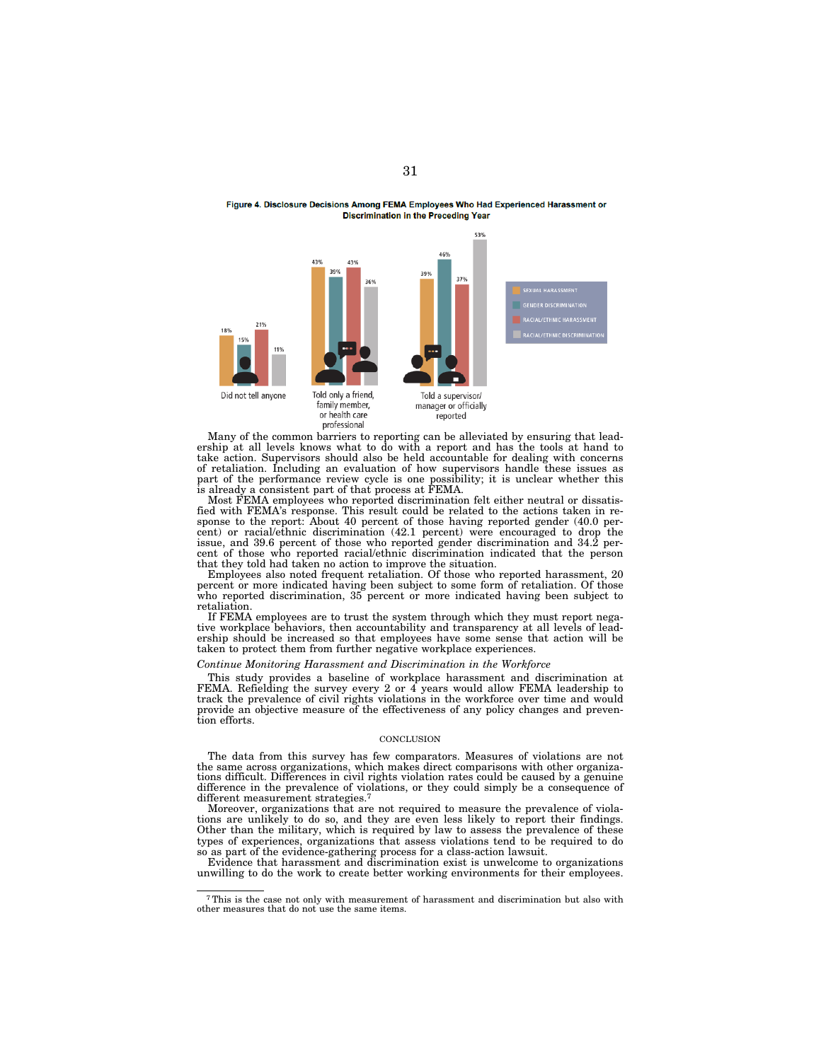#### Figure 4. Disclosure Decisions Among FEMA Employees Who Had Experienced Harassment or **Discrimination in the Preceding Year**



Many of the common barriers to reporting can be alleviated by ensuring that leadership at all levels knows what to do with a report and has the tools at hand to take action. Supervisors should also be held accountable for dealing with concerns of retaliation. Including an evaluation of how supervisors handle these issues as part of the performance review cycle is one possibility; it is unclear whether this is already a consistent part of that process at FEMA.

Most FEMA employees who reported discrimination felt either neutral or dissatisfied with FEMA's response. This result could be related to the actions taken in response to the report: About 40 percent of those having reported gender (40.0 percent) or racial/ethnic discrimination (42.1 percent) were encouraged to drop the issue, and 39.6 percent of those who reported gender discrimination and 34.2 percent of those who reported racial/ethnic discrimination indicated that the person that they told had taken no action to improve the situation.

Employees also noted frequent retaliation. Of those who reported harassment, 20 percent or more indicated having been subject to some form of retaliation. Of those who reported discrimination, 35 percent or more indicated having been subject to retaliation.

If FEMA employees are to trust the system through which they must report negative workplace behaviors, then accountability and transparency at all levels of leadership should be increased so that employees have some sense that action will be taken to protect them from further negative workplace experiences.

#### *Continue Monitoring Harassment and Discrimination in the Workforce*

This study provides a baseline of workplace harassment and discrimination at FEMA. Refielding the survey every 2 or  $4$  years would allow FEMA leadership to track the prevalence of civil rights violations in the workforce over time and would provide an objective measure of the effectiveness of any policy changes and prevention efforts.

#### **CONCLUSION**

The data from this survey has few comparators. Measures of violations are not the same across organizations, which makes direct comparisons with other organizations difficult. Differences in civil rights violation rates could be caused by a genuine difference in the prevalence of violations, or they could simply be a consequence of different measurement strategies.<sup>7</sup>

Moreover, organizations that are not required to measure the prevalence of violations are unlikely to do so, and they are even less likely to report their findings. Other than the military, which is required by law to assess the prevalence of these types of experiences, organizations that assess violations tend to be required to do so as part of the evidence-gathering process for a class-action lawsuit.

Evidence that harassment and discrimination exist is unwelcome to organizations unwilling to do the work to create better working environments for their employees.

<sup>7</sup>This is the case not only with measurement of harassment and discrimination but also with other measures that do not use the same items.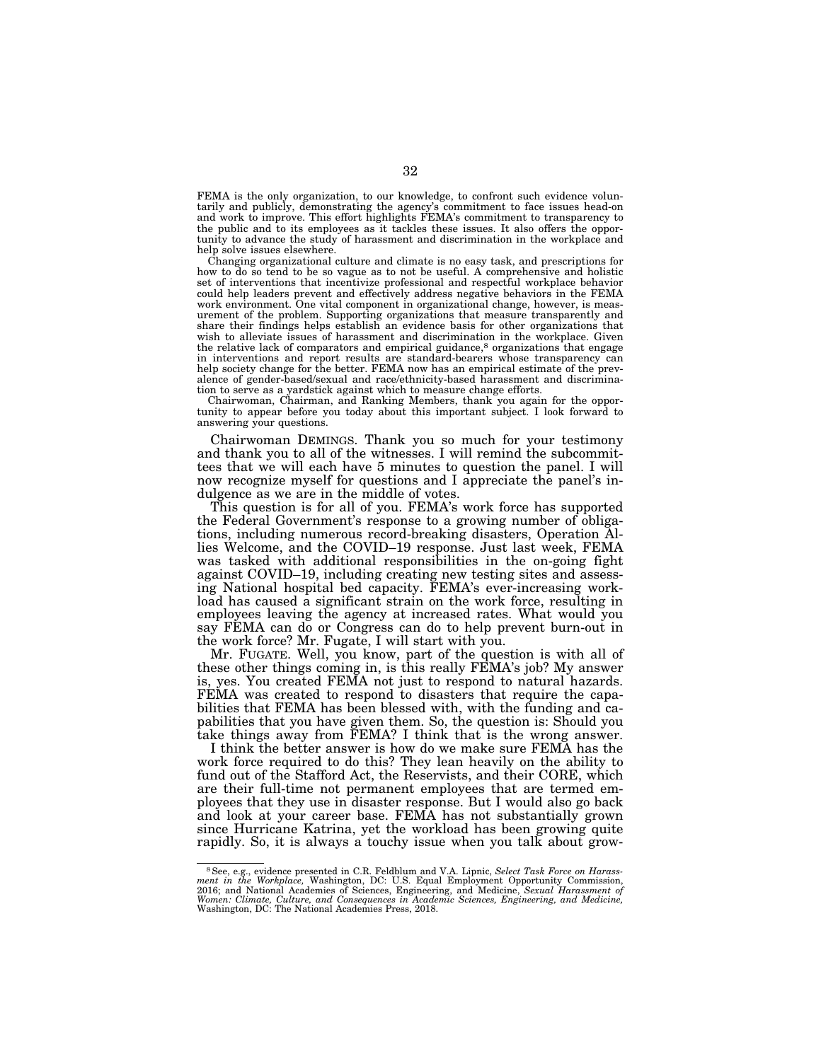FEMA is the only organization, to our knowledge, to confront such evidence voluntarily and publicly, demonstrating the agency's commitment to face issues head-on and work to improve. This effort highlights FEMA's commitment to transparency to the public and to its employees as it tackles these issues. It also offers the opportunity to advance the study of harassment and discrimination in the workplace and help solve issues elsewhere.

Changing organizational culture and climate is no easy task, and prescriptions for how to do so tend to be so vague as to not be useful. A comprehensive and holistic set of interventions that incentivize professional and respectful workplace behavior could help leaders prevent and effectively address negative behaviors in the FEMA work environment. One vital component in organizational change, however, is measurement of the problem. Supporting organizations that measure transparently and share their findings helps establish an evidence basis for other organizations that wish to alleviate issues of harassment and discrimination in the workplace. Given the relative lack of comparators and empirical guidance,<sup>8</sup> organizations that engage in interventions and report results are standard-bearers whose transparency can help society change for the better. FEMA now has an empirical estimate of the prevalence of gender-based/sexual and race/ethnicity-based harassment and discrimination to serve as a yardstick against which to measure change efforts.

Chairwoman, Chairman, and Ranking Members, thank you again for the opportunity to appear before you today about this important subject. I look forward to answering your questions.

Chairwoman DEMINGS. Thank you so much for your testimony and thank you to all of the witnesses. I will remind the subcommittees that we will each have 5 minutes to question the panel. I will now recognize myself for questions and I appreciate the panel's indulgence as we are in the middle of votes.

This question is for all of you. FEMA's work force has supported the Federal Government's response to a growing number of obligations, including numerous record-breaking disasters, Operation Allies Welcome, and the COVID–19 response. Just last week, FEMA was tasked with additional responsibilities in the on-going fight against COVID–19, including creating new testing sites and assessing National hospital bed capacity. FEMA's ever-increasing workload has caused a significant strain on the work force, resulting in employees leaving the agency at increased rates. What would you say FEMA can do or Congress can do to help prevent burn-out in the work force? Mr. Fugate, I will start with you.

Mr. FUGATE. Well, you know, part of the question is with all of these other things coming in, is this really FEMA's job? My answer is, yes. You created FEMA not just to respond to natural hazards. FEMA was created to respond to disasters that require the capabilities that FEMA has been blessed with, with the funding and capabilities that you have given them. So, the question is: Should you take things away from FEMA? I think that is the wrong answer.

I think the better answer is how do we make sure FEMA has the work force required to do this? They lean heavily on the ability to fund out of the Stafford Act, the Reservists, and their CORE, which are their full-time not permanent employees that are termed employees that they use in disaster response. But I would also go back and look at your career base. FEMA has not substantially grown since Hurricane Katrina, yet the workload has been growing quite rapidly. So, it is always a touchy issue when you talk about grow-

<sup>8</sup>See, e.g., evidence presented in C.R. Feldblum and V.A. Lipnic, *Select Task Force on Harass-ment in the Workplace,* Washington, DC: U.S. Equal Employment Opportunity Commission, 2016; and National Academies of Sciences, Engineering, and Medicine, *Sexual Harassment of*  Women: Climate, Culture, and Consequences in Academic Sciences, Engineering, and Medicine,<br>Washington, DC: The National Academies Press, 2018.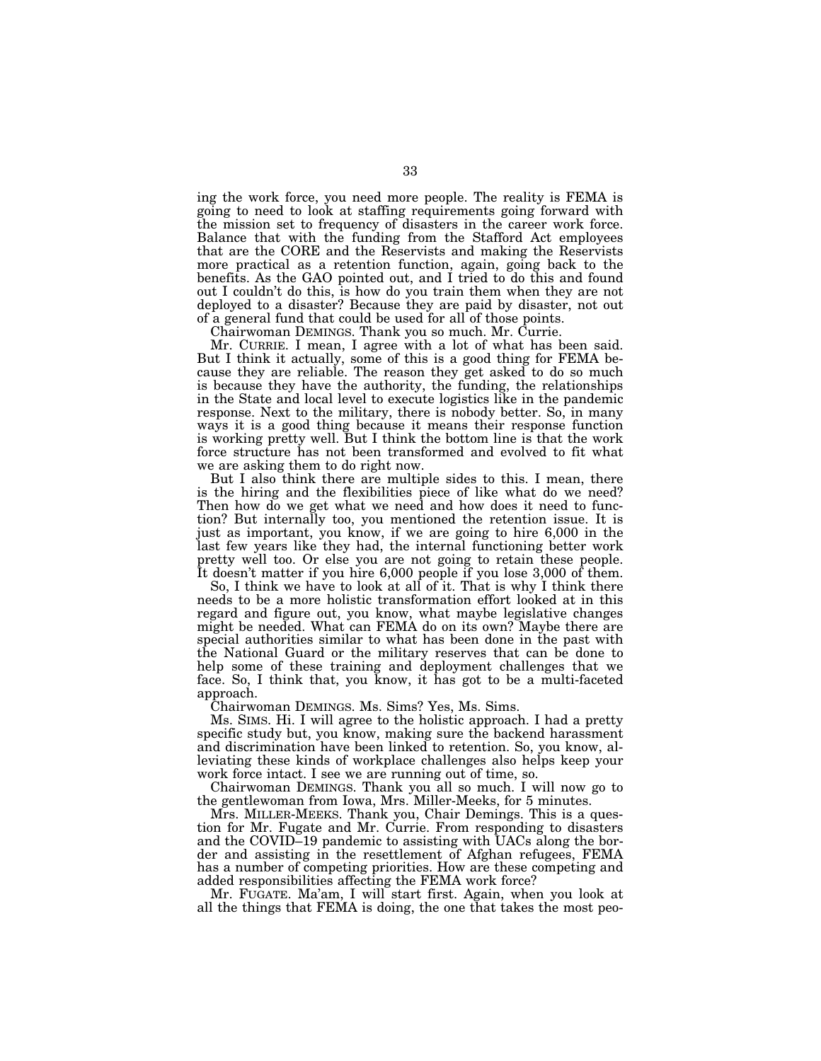ing the work force, you need more people. The reality is FEMA is going to need to look at staffing requirements going forward with the mission set to frequency of disasters in the career work force. Balance that with the funding from the Stafford Act employees that are the CORE and the Reservists and making the Reservists more practical as a retention function, again, going back to the benefits. As the GAO pointed out, and I tried to do this and found out I couldn't do this, is how do you train them when they are not deployed to a disaster? Because they are paid by disaster, not out of a general fund that could be used for all of those points.

Chairwoman DEMINGS. Thank you so much. Mr. Currie.

Mr. CURRIE. I mean, I agree with a lot of what has been said. But I think it actually, some of this is a good thing for FEMA because they are reliable. The reason they get asked to do so much is because they have the authority, the funding, the relationships in the State and local level to execute logistics like in the pandemic response. Next to the military, there is nobody better. So, in many ways it is a good thing because it means their response function is working pretty well. But I think the bottom line is that the work force structure has not been transformed and evolved to fit what we are asking them to do right now.

But I also think there are multiple sides to this. I mean, there is the hiring and the flexibilities piece of like what do we need? Then how do we get what we need and how does it need to function? But internally too, you mentioned the retention issue. It is just as important, you know, if we are going to hire 6,000 in the last few years like they had, the internal functioning better work pretty well too. Or else you are not going to retain these people. It doesn't matter if you hire 6,000 people if you lose 3,000 of them.

So, I think we have to look at all of it. That is why I think there needs to be a more holistic transformation effort looked at in this regard and figure out, you know, what maybe legislative changes might be needed. What can FEMA do on its own? Maybe there are special authorities similar to what has been done in the past with the National Guard or the military reserves that can be done to help some of these training and deployment challenges that we face. So, I think that, you know, it has got to be a multi-faceted approach.

Chairwoman DEMINGS. Ms. Sims? Yes, Ms. Sims.

Ms. SIMS. Hi. I will agree to the holistic approach. I had a pretty specific study but, you know, making sure the backend harassment and discrimination have been linked to retention. So, you know, alleviating these kinds of workplace challenges also helps keep your work force intact. I see we are running out of time, so.

Chairwoman DEMINGS. Thank you all so much. I will now go to the gentlewoman from Iowa, Mrs. Miller-Meeks, for 5 minutes.

Mrs. MILLER-MEEKS. Thank you, Chair Demings. This is a question for Mr. Fugate and Mr. Currie. From responding to disasters and the COVID–19 pandemic to assisting with UACs along the border and assisting in the resettlement of Afghan refugees, FEMA has a number of competing priorities. How are these competing and added responsibilities affecting the FEMA work force?

Mr. FUGATE. Ma'am, I will start first. Again, when you look at all the things that FEMA is doing, the one that takes the most peo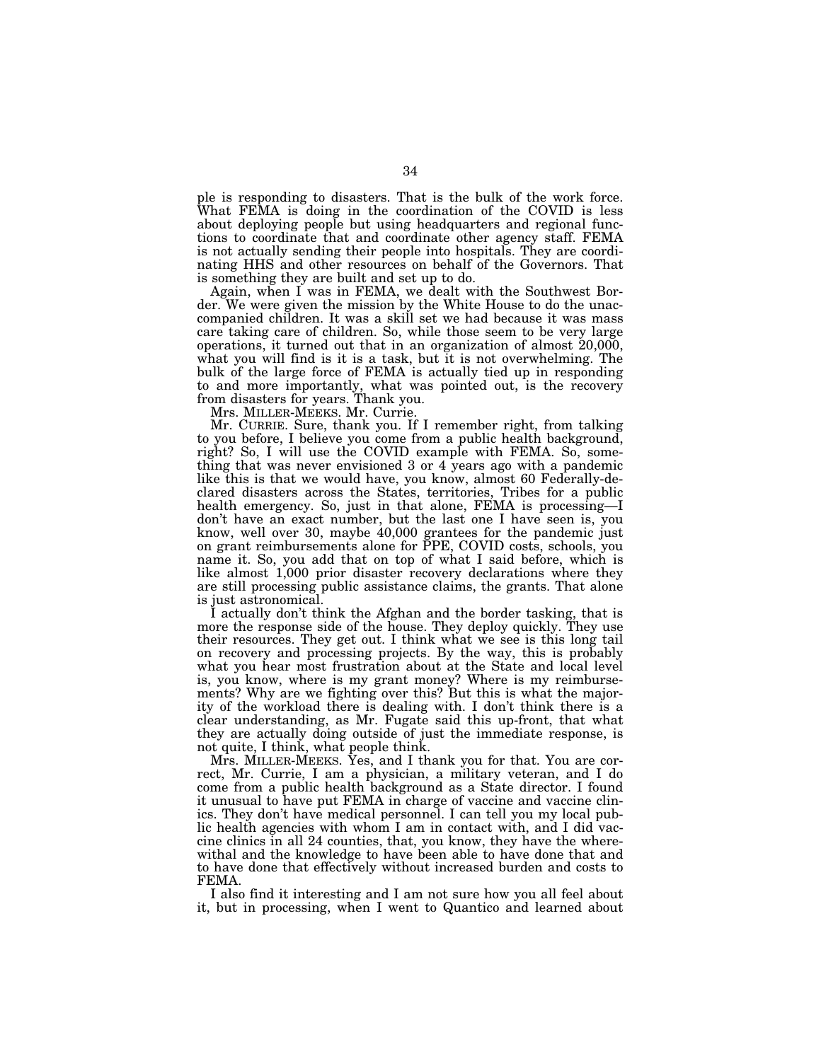ple is responding to disasters. That is the bulk of the work force. What FEMA is doing in the coordination of the COVID is less about deploying people but using headquarters and regional functions to coordinate that and coordinate other agency staff. FEMA is not actually sending their people into hospitals. They are coordinating HHS and other resources on behalf of the Governors. That is something they are built and set up to do.

Again, when I was in FEMA, we dealt with the Southwest Border. We were given the mission by the White House to do the unaccompanied children. It was a skill set we had because it was mass care taking care of children. So, while those seem to be very large operations, it turned out that in an organization of almost 20,000, what you will find is it is a task, but it is not overwhelming. The bulk of the large force of FEMA is actually tied up in responding to and more importantly, what was pointed out, is the recovery from disasters for years. Thank you.

Mrs. MILLER-MEEKS. Mr. Currie.

Mr. CURRIE. Sure, thank you. If I remember right, from talking to you before, I believe you come from a public health background, right? So, I will use the COVID example with FEMA. So, something that was never envisioned 3 or 4 years ago with a pandemic like this is that we would have, you know, almost 60 Federally-declared disasters across the States, territories, Tribes for a public health emergency. So, just in that alone, FEMA is processing—I don't have an exact number, but the last one I have seen is, you know, well over 30, maybe 40,000 grantees for the pandemic just on grant reimbursements alone for PPE, COVID costs, schools, you name it. So, you add that on top of what I said before, which is like almost 1,000 prior disaster recovery declarations where they are still processing public assistance claims, the grants. That alone is just astronomical.

I actually don't think the Afghan and the border tasking, that is more the response side of the house. They deploy quickly. They use their resources. They get out. I think what we see is this long tail on recovery and processing projects. By the way, this is probably what you hear most frustration about at the State and local level is, you know, where is my grant money? Where is my reimbursements? Why are we fighting over this? But this is what the majority of the workload there is dealing with. I don't think there is a clear understanding, as Mr. Fugate said this up-front, that what they are actually doing outside of just the immediate response, is not quite, I think, what people think.

Mrs. MILLER-MEEKS. Yes, and I thank you for that. You are correct, Mr. Currie, I am a physician, a military veteran, and I do come from a public health background as a State director. I found it unusual to have put FEMA in charge of vaccine and vaccine clinics. They don't have medical personnel. I can tell you my local public health agencies with whom I am in contact with, and I did vaccine clinics in all 24 counties, that, you know, they have the wherewithal and the knowledge to have been able to have done that and to have done that effectively without increased burden and costs to FEMA.

I also find it interesting and I am not sure how you all feel about it, but in processing, when I went to Quantico and learned about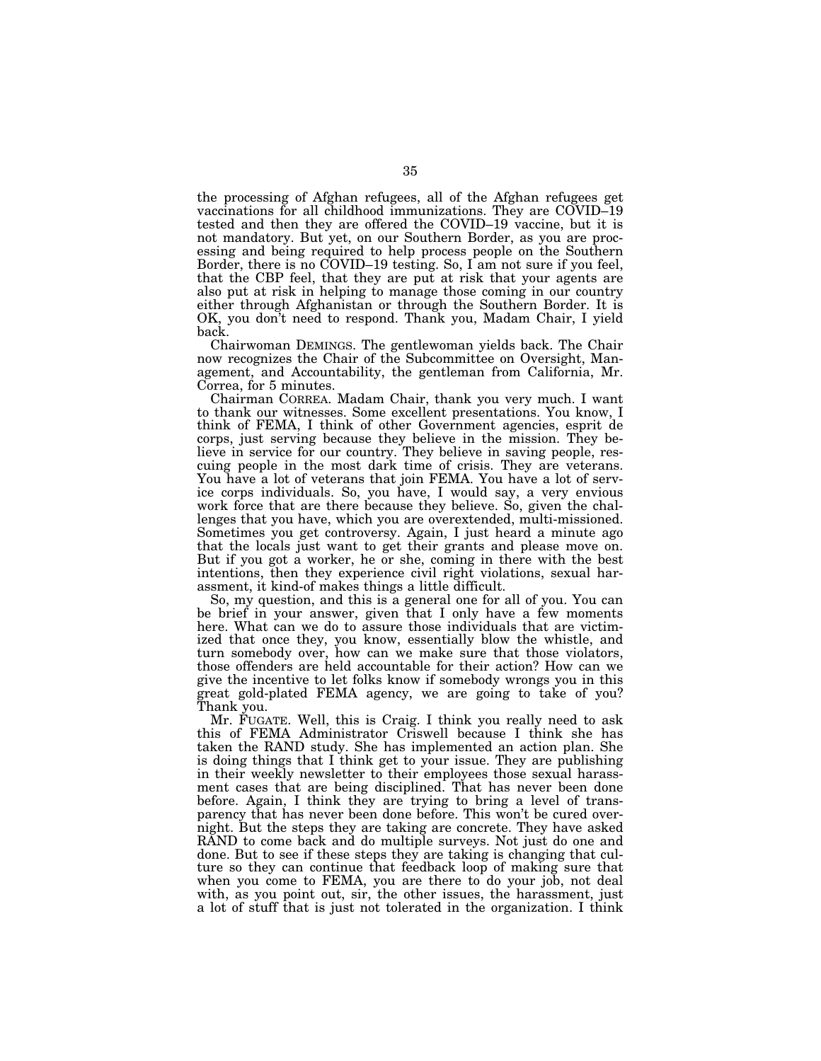the processing of Afghan refugees, all of the Afghan refugees get vaccinations for all childhood immunizations. They are COVID–19 tested and then they are offered the COVID–19 vaccine, but it is not mandatory. But yet, on our Southern Border, as you are processing and being required to help process people on the Southern Border, there is no COVID–19 testing. So, I am not sure if you feel, that the CBP feel, that they are put at risk that your agents are also put at risk in helping to manage those coming in our country either through Afghanistan or through the Southern Border. It is OK, you don't need to respond. Thank you, Madam Chair, I yield back.

Chairwoman DEMINGS. The gentlewoman yields back. The Chair now recognizes the Chair of the Subcommittee on Oversight, Management, and Accountability, the gentleman from California, Mr. Correa, for 5 minutes.

Chairman CORREA. Madam Chair, thank you very much. I want to thank our witnesses. Some excellent presentations. You know, I think of FEMA, I think of other Government agencies, esprit de corps, just serving because they believe in the mission. They believe in service for our country. They believe in saving people, rescuing people in the most dark time of crisis. They are veterans. You have a lot of veterans that join FEMA. You have a lot of service corps individuals. So, you have, I would say, a very envious work force that are there because they believe. So, given the challenges that you have, which you are overextended, multi-missioned. Sometimes you get controversy. Again, I just heard a minute ago that the locals just want to get their grants and please move on. But if you got a worker, he or she, coming in there with the best intentions, then they experience civil right violations, sexual harassment, it kind-of makes things a little difficult.

So, my question, and this is a general one for all of you. You can be brief in your answer, given that I only have a few moments here. What can we do to assure those individuals that are victimized that once they, you know, essentially blow the whistle, and turn somebody over, how can we make sure that those violators, those offenders are held accountable for their action? How can we give the incentive to let folks know if somebody wrongs you in this great gold-plated FEMA agency, we are going to take of you? Thank you.

Mr. FUGATE. Well, this is Craig. I think you really need to ask this of FEMA Administrator Criswell because I think she has taken the RAND study. She has implemented an action plan. She is doing things that I think get to your issue. They are publishing in their weekly newsletter to their employees those sexual harassment cases that are being disciplined. That has never been done before. Again, I think they are trying to bring a level of transparency that has never been done before. This won't be cured overnight. But the steps they are taking are concrete. They have asked RAND to come back and do multiple surveys. Not just do one and done. But to see if these steps they are taking is changing that culture so they can continue that feedback loop of making sure that when you come to FEMA, you are there to do your job, not deal with, as you point out, sir, the other issues, the harassment, just a lot of stuff that is just not tolerated in the organization. I think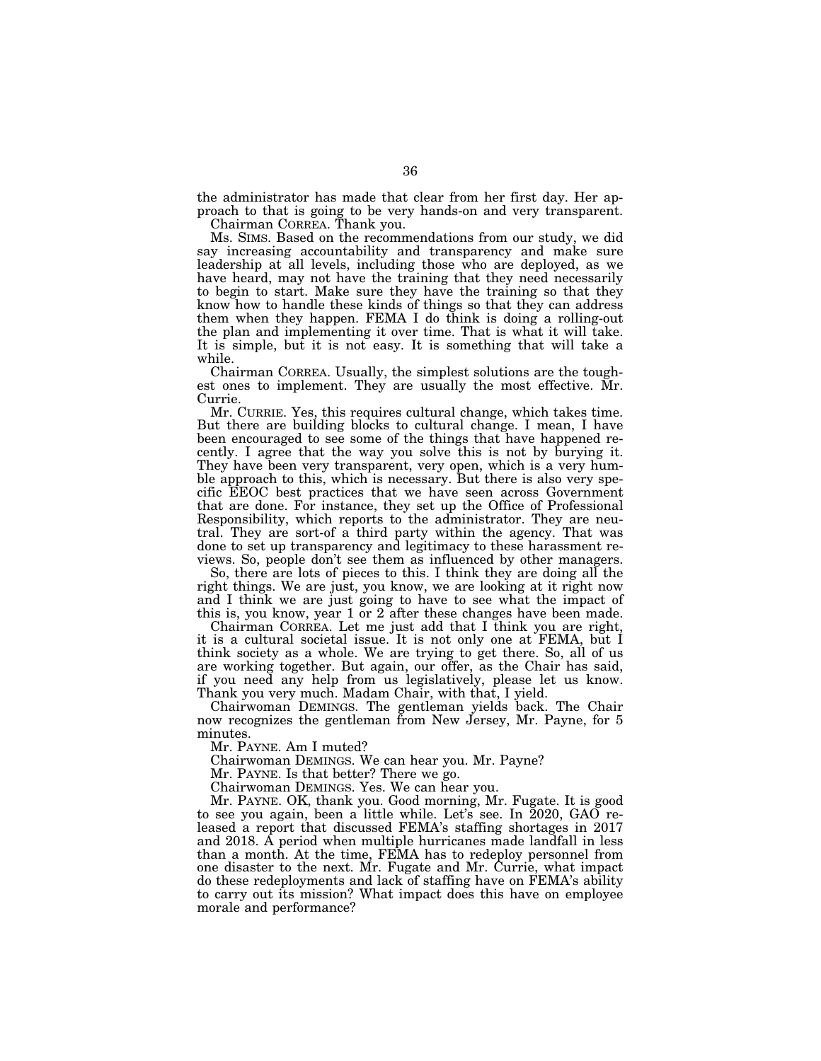the administrator has made that clear from her first day. Her approach to that is going to be very hands-on and very transparent.

Chairman CORREA. Thank you.

Ms. SIMS. Based on the recommendations from our study, we did say increasing accountability and transparency and make sure leadership at all levels, including those who are deployed, as we have heard, may not have the training that they need necessarily to begin to start. Make sure they have the training so that they know how to handle these kinds of things so that they can address them when they happen. FEMA I do think is doing a rolling-out the plan and implementing it over time. That is what it will take. It is simple, but it is not easy. It is something that will take a while.

Chairman CORREA. Usually, the simplest solutions are the toughest ones to implement. They are usually the most effective. Mr. Currie.

Mr. CURRIE. Yes, this requires cultural change, which takes time. But there are building blocks to cultural change. I mean, I have been encouraged to see some of the things that have happened recently. I agree that the way you solve this is not by burying it. They have been very transparent, very open, which is a very humble approach to this, which is necessary. But there is also very specific EEOC best practices that we have seen across Government that are done. For instance, they set up the Office of Professional Responsibility, which reports to the administrator. They are neutral. They are sort-of a third party within the agency. That was done to set up transparency and legitimacy to these harassment reviews. So, people don't see them as influenced by other managers.

So, there are lots of pieces to this. I think they are doing all the right things. We are just, you know, we are looking at it right now and I think we are just going to have to see what the impact of this is, you know, year 1 or 2 after these changes have been made.

Chairman CORREA. Let me just add that I think you are right, it is a cultural societal issue. It is not only one at FEMA, but I think society as a whole. We are trying to get there. So, all of us are working together. But again, our offer, as the Chair has said, if you need any help from us legislatively, please let us know. Thank you very much. Madam Chair, with that, I yield.

Chairwoman DEMINGS. The gentleman yields back. The Chair now recognizes the gentleman from New Jersey, Mr. Payne, for 5 minutes.

Mr. PAYNE. Am I muted?

Chairwoman DEMINGS. We can hear you. Mr. Payne?

Mr. PAYNE. Is that better? There we go.

Chairwoman DEMINGS. Yes. We can hear you.

Mr. PAYNE. OK, thank you. Good morning, Mr. Fugate. It is good to see you again, been a little while. Let's see. In 2020, GAO released a report that discussed FEMA's staffing shortages in 2017 and 2018. A period when multiple hurricanes made landfall in less than a month. At the time, FEMA has to redeploy personnel from one disaster to the next. Mr. Fugate and Mr. Currie, what impact do these redeployments and lack of staffing have on FEMA's ability to carry out its mission? What impact does this have on employee morale and performance?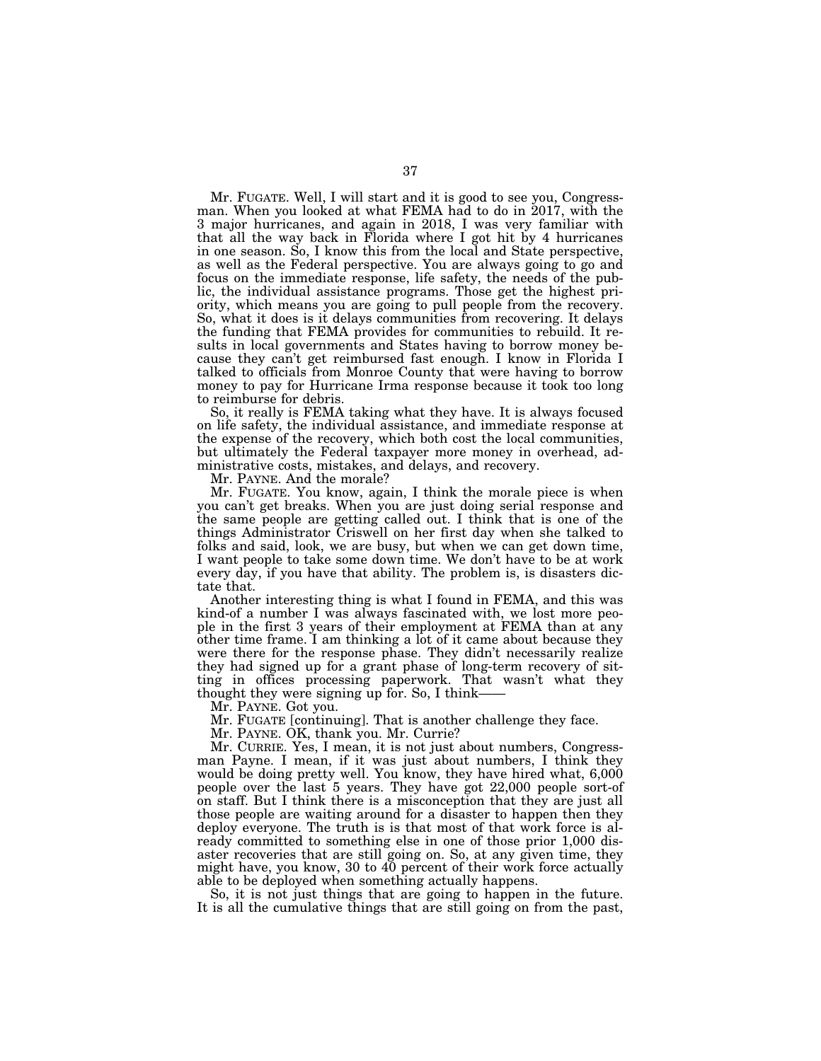Mr. FUGATE. Well, I will start and it is good to see you, Congressman. When you looked at what FEMA had to do in 2017, with the 3 major hurricanes, and again in 2018, I was very familiar with that all the way back in Florida where I got hit by 4 hurricanes in one season. So, I know this from the local and State perspective, as well as the Federal perspective. You are always going to go and focus on the immediate response, life safety, the needs of the public, the individual assistance programs. Those get the highest priority, which means you are going to pull people from the recovery. So, what it does is it delays communities from recovering. It delays the funding that FEMA provides for communities to rebuild. It results in local governments and States having to borrow money because they can't get reimbursed fast enough. I know in Florida I talked to officials from Monroe County that were having to borrow money to pay for Hurricane Irma response because it took too long to reimburse for debris.

So, it really is FEMA taking what they have. It is always focused on life safety, the individual assistance, and immediate response at the expense of the recovery, which both cost the local communities, but ultimately the Federal taxpayer more money in overhead, administrative costs, mistakes, and delays, and recovery.

Mr. PAYNE. And the morale?

Mr. FUGATE. You know, again, I think the morale piece is when you can't get breaks. When you are just doing serial response and the same people are getting called out. I think that is one of the things Administrator Criswell on her first day when she talked to folks and said, look, we are busy, but when we can get down time, I want people to take some down time. We don't have to be at work every day, if you have that ability. The problem is, is disasters dictate that.

Another interesting thing is what I found in FEMA, and this was kind-of a number I was always fascinated with, we lost more people in the first 3 years of their employment at FEMA than at any other time frame. I am thinking a lot of it came about because they were there for the response phase. They didn't necessarily realize they had signed up for a grant phase of long-term recovery of sitting in offices processing paperwork. That wasn't what they thought they were signing up for. So, I think——

Mr. PAYNE. Got you.

Mr. FUGATE [continuing]. That is another challenge they face.

Mr. PAYNE. OK, thank you. Mr. Currie?

Mr. CURRIE. Yes, I mean, it is not just about numbers, Congressman Payne. I mean, if it was just about numbers, I think they would be doing pretty well. You know, they have hired what, 6,000 people over the last 5 years. They have got 22,000 people sort-of on staff. But I think there is a misconception that they are just all those people are waiting around for a disaster to happen then they deploy everyone. The truth is is that most of that work force is already committed to something else in one of those prior 1,000 disaster recoveries that are still going on. So, at any given time, they might have, you know, 30 to 40 percent of their work force actually able to be deployed when something actually happens.

So, it is not just things that are going to happen in the future. It is all the cumulative things that are still going on from the past,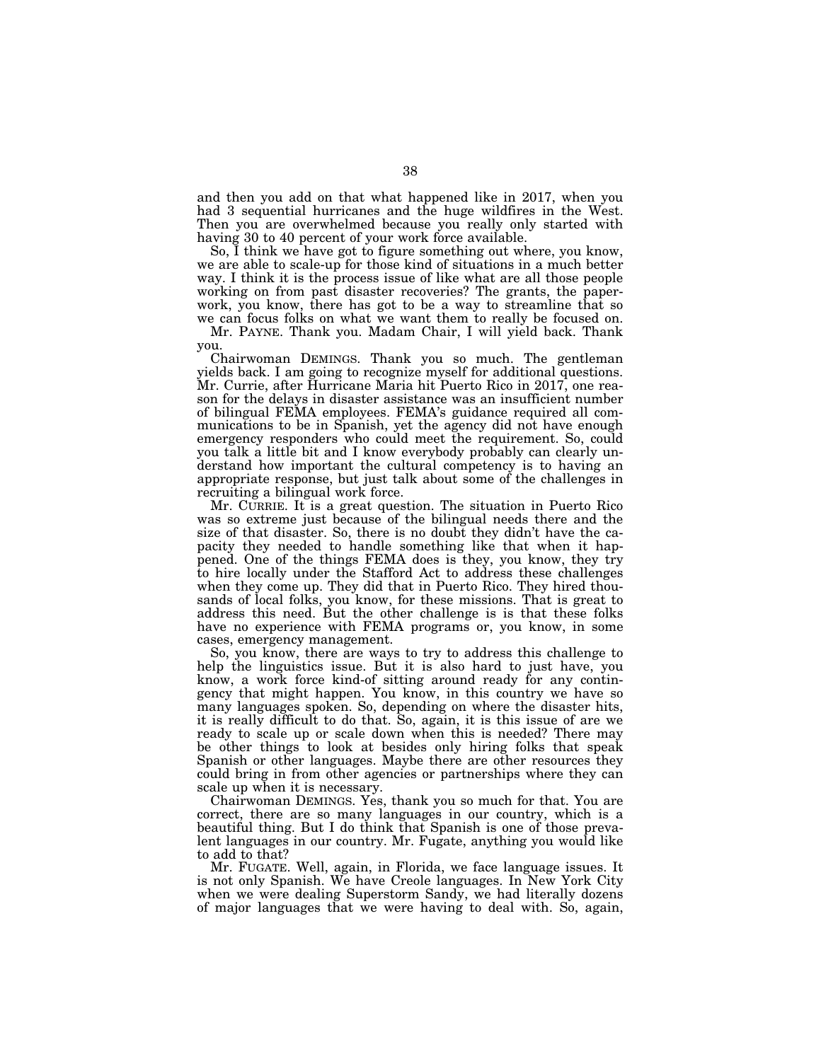and then you add on that what happened like in 2017, when you had 3 sequential hurricanes and the huge wildfires in the West. Then you are overwhelmed because you really only started with having 30 to 40 percent of your work force available.

So, I think we have got to figure something out where, you know, we are able to scale-up for those kind of situations in a much better way. I think it is the process issue of like what are all those people working on from past disaster recoveries? The grants, the paperwork, you know, there has got to be a way to streamline that so we can focus folks on what we want them to really be focused on.

Mr. PAYNE. Thank you. Madam Chair, I will yield back. Thank you.

Chairwoman DEMINGS. Thank you so much. The gentleman yields back. I am going to recognize myself for additional questions. Mr. Currie, after Hurricane Maria hit Puerto Rico in 2017, one reason for the delays in disaster assistance was an insufficient number of bilingual FEMA employees. FEMA's guidance required all communications to be in Spanish, yet the agency did not have enough emergency responders who could meet the requirement. So, could you talk a little bit and I know everybody probably can clearly understand how important the cultural competency is to having an appropriate response, but just talk about some of the challenges in recruiting a bilingual work force.

Mr. CURRIE. It is a great question. The situation in Puerto Rico was so extreme just because of the bilingual needs there and the size of that disaster. So, there is no doubt they didn't have the capacity they needed to handle something like that when it happened. One of the things FEMA does is they, you know, they try to hire locally under the Stafford Act to address these challenges when they come up. They did that in Puerto Rico. They hired thousands of local folks, you know, for these missions. That is great to address this need. But the other challenge is is that these folks have no experience with FEMA programs or, you know, in some cases, emergency management.

So, you know, there are ways to try to address this challenge to help the linguistics issue. But it is also hard to just have, you know, a work force kind-of sitting around ready for any contingency that might happen. You know, in this country we have so many languages spoken. So, depending on where the disaster hits, it is really difficult to do that. So, again, it is this issue of are we ready to scale up or scale down when this is needed? There may be other things to look at besides only hiring folks that speak Spanish or other languages. Maybe there are other resources they could bring in from other agencies or partnerships where they can scale up when it is necessary.

Chairwoman DEMINGS. Yes, thank you so much for that. You are correct, there are so many languages in our country, which is a beautiful thing. But I do think that Spanish is one of those prevalent languages in our country. Mr. Fugate, anything you would like to add to that?

Mr. FUGATE. Well, again, in Florida, we face language issues. It is not only Spanish. We have Creole languages. In New York City when we were dealing Superstorm Sandy, we had literally dozens of major languages that we were having to deal with. So, again,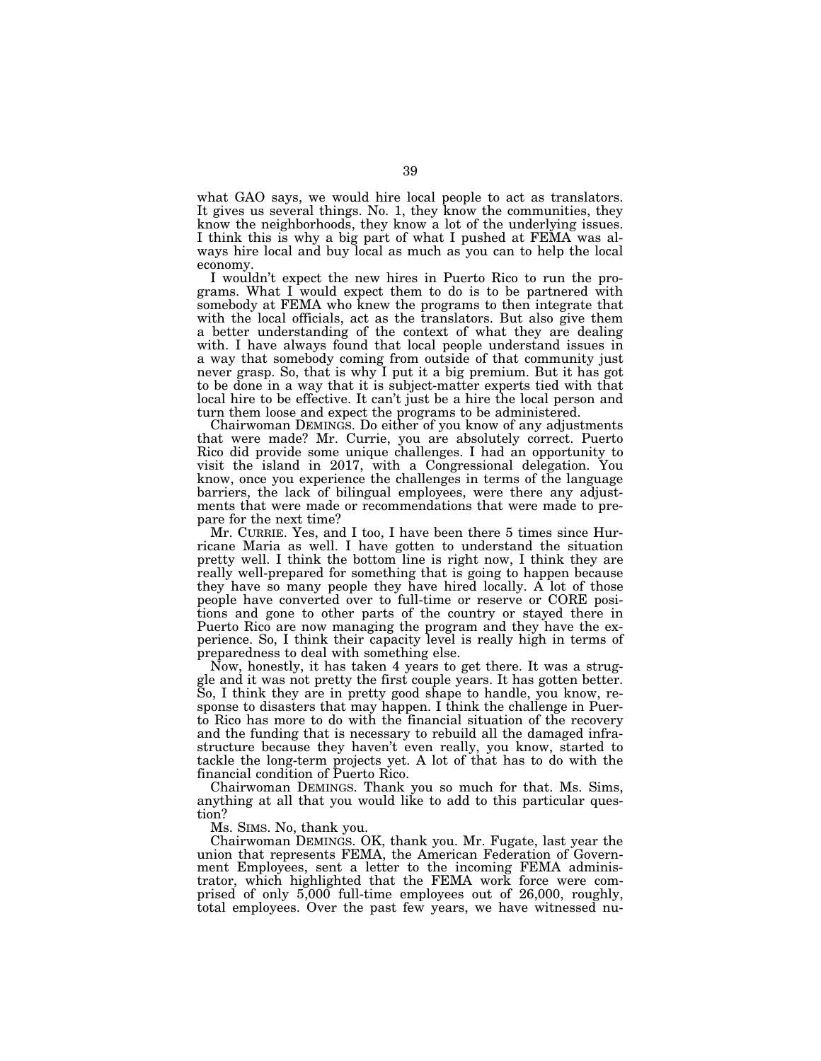what GAO says, we would hire local people to act as translators. It gives us several things. No. 1, they know the communities, they know the neighborhoods, they know a lot of the underlying issues. I think this is why a big part of what I pushed at FEMA was always hire local and buy local as much as you can to help the local economy.

I wouldn't expect the new hires in Puerto Rico to run the programs. What I would expect them to do is to be partnered with somebody at FEMA who knew the programs to then integrate that with the local officials, act as the translators. But also give them a better understanding of the context of what they are dealing with. I have always found that local people understand issues in a way that somebody coming from outside of that community just never grasp. So, that is why I put it a big premium. But it has got to be done in a way that it is subject-matter experts tied with that local hire to be effective. It can't just be a hire the local person and turn them loose and expect the programs to be administered.

Chairwoman DEMINGS. Do either of you know of any adjustments that were made? Mr. Currie, you are absolutely correct. Puerto Rico did provide some unique challenges. I had an opportunity to visit the island in 2017, with a Congressional delegation. You know, once you experience the challenges in terms of the language barriers, the lack of bilingual employees, were there any adjustments that were made or recommendations that were made to prepare for the next time?

Mr. CURRIE. Yes, and I too, I have been there 5 times since Hurricane Maria as well. I have gotten to understand the situation pretty well. I think the bottom line is right now, I think they are really well-prepared for something that is going to happen because they have so many people they have hired locally. A lot of those people have converted over to full-time or reserve or CORE positions and gone to other parts of the country or stayed there in Puerto Rico are now managing the program and they have the experience. So, I think their capacity level is really high in terms of preparedness to deal with something else.

Now, honestly, it has taken 4 years to get there. It was a struggle and it was not pretty the first couple years. It has gotten better. So, I think they are in pretty good shape to handle, you know, response to disasters that may happen. I think the challenge in Puerto Rico has more to do with the financial situation of the recovery and the funding that is necessary to rebuild all the damaged infrastructure because they haven't even really, you know, started to tackle the long-term projects yet. A lot of that has to do with the financial condition of Puerto Rico.

Chairwoman DEMINGS. Thank you so much for that. Ms. Sims, anything at all that you would like to add to this particular question?

Ms. SIMS. No, thank you.

Chairwoman DEMINGS. OK, thank you. Mr. Fugate, last year the union that represents FEMA, the American Federation of Government Employees, sent a letter to the incoming FEMA administrator, which highlighted that the FEMA work force were comprised of only 5,000 full-time employees out of 26,000, roughly, total employees. Over the past few years, we have witnessed nu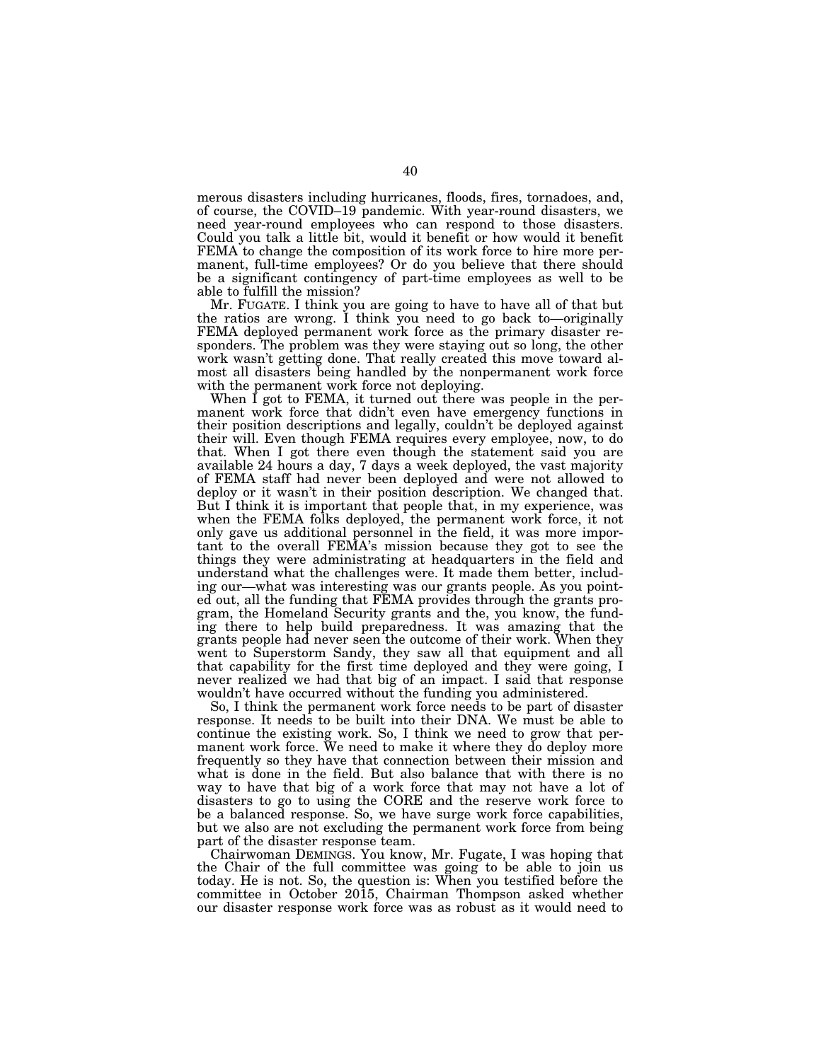merous disasters including hurricanes, floods, fires, tornadoes, and, of course, the COVID–19 pandemic. With year-round disasters, we need year-round employees who can respond to those disasters. Could you talk a little bit, would it benefit or how would it benefit FEMA to change the composition of its work force to hire more permanent, full-time employees? Or do you believe that there should be a significant contingency of part-time employees as well to be able to fulfill the mission?

Mr. FUGATE. I think you are going to have to have all of that but the ratios are wrong. I think you need to go back to—originally FEMA deployed permanent work force as the primary disaster responders. The problem was they were staying out so long, the other work wasn't getting done. That really created this move toward almost all disasters being handled by the nonpermanent work force with the permanent work force not deploying.

When I got to FEMA, it turned out there was people in the permanent work force that didn't even have emergency functions in their position descriptions and legally, couldn't be deployed against their will. Even though FEMA requires every employee, now, to do that. When I got there even though the statement said you are available 24 hours a day, 7 days a week deployed, the vast majority of FEMA staff had never been deployed and were not allowed to deploy or it wasn't in their position description. We changed that. But I think it is important that people that, in my experience, was when the FEMA folks deployed, the permanent work force, it not only gave us additional personnel in the field, it was more important to the overall FEMA's mission because they got to see the things they were administrating at headquarters in the field and understand what the challenges were. It made them better, including our—what was interesting was our grants people. As you pointed out, all the funding that FEMA provides through the grants program, the Homeland Security grants and the, you know, the funding there to help build preparedness. It was amazing that the grants people had never seen the outcome of their work. When they went to Superstorm Sandy, they saw all that equipment and all that capability for the first time deployed and they were going, I never realized we had that big of an impact. I said that response wouldn't have occurred without the funding you administered.

So, I think the permanent work force needs to be part of disaster response. It needs to be built into their DNA. We must be able to continue the existing work. So, I think we need to grow that permanent work force. We need to make it where they do deploy more frequently so they have that connection between their mission and what is done in the field. But also balance that with there is no way to have that big of a work force that may not have a lot of disasters to go to using the CORE and the reserve work force to be a balanced response. So, we have surge work force capabilities, but we also are not excluding the permanent work force from being part of the disaster response team.

Chairwoman DEMINGS. You know, Mr. Fugate, I was hoping that the Chair of the full committee was going to be able to join us today. He is not. So, the question is: When you testified before the committee in October 2015, Chairman Thompson asked whether our disaster response work force was as robust as it would need to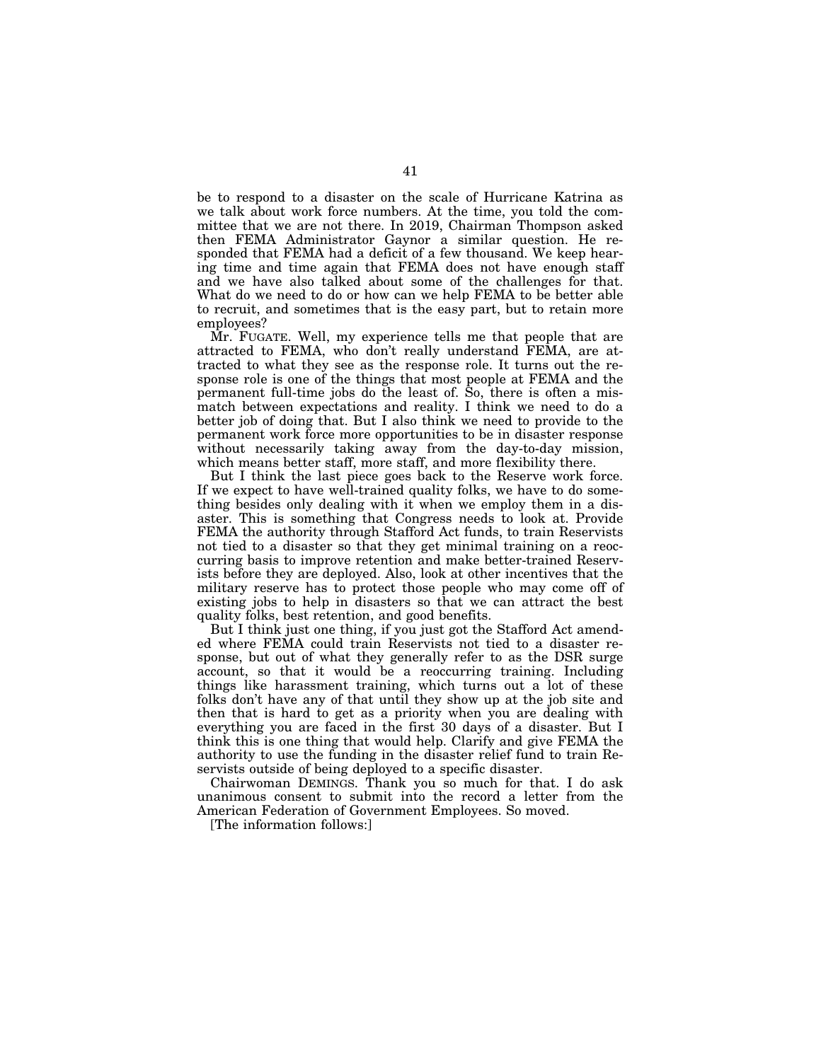be to respond to a disaster on the scale of Hurricane Katrina as we talk about work force numbers. At the time, you told the committee that we are not there. In 2019, Chairman Thompson asked then FEMA Administrator Gaynor a similar question. He responded that FEMA had a deficit of a few thousand. We keep hearing time and time again that FEMA does not have enough staff and we have also talked about some of the challenges for that. What do we need to do or how can we help FEMA to be better able to recruit, and sometimes that is the easy part, but to retain more employees?

Mr. FUGATE. Well, my experience tells me that people that are attracted to FEMA, who don't really understand FEMA, are attracted to what they see as the response role. It turns out the response role is one of the things that most people at FEMA and the permanent full-time jobs do the least of. So, there is often a mismatch between expectations and reality. I think we need to do a better job of doing that. But I also think we need to provide to the permanent work force more opportunities to be in disaster response without necessarily taking away from the day-to-day mission, which means better staff, more staff, and more flexibility there.

But I think the last piece goes back to the Reserve work force. If we expect to have well-trained quality folks, we have to do something besides only dealing with it when we employ them in a disaster. This is something that Congress needs to look at. Provide FEMA the authority through Stafford Act funds, to train Reservists not tied to a disaster so that they get minimal training on a reoccurring basis to improve retention and make better-trained Reservists before they are deployed. Also, look at other incentives that the military reserve has to protect those people who may come off of existing jobs to help in disasters so that we can attract the best quality folks, best retention, and good benefits.

But I think just one thing, if you just got the Stafford Act amended where FEMA could train Reservists not tied to a disaster response, but out of what they generally refer to as the DSR surge account, so that it would be a reoccurring training. Including things like harassment training, which turns out a lot of these folks don't have any of that until they show up at the job site and then that is hard to get as a priority when you are dealing with everything you are faced in the first 30 days of a disaster. But I think this is one thing that would help. Clarify and give FEMA the authority to use the funding in the disaster relief fund to train Reservists outside of being deployed to a specific disaster.

Chairwoman DEMINGS. Thank you so much for that. I do ask unanimous consent to submit into the record a letter from the American Federation of Government Employees. So moved.

[The information follows:]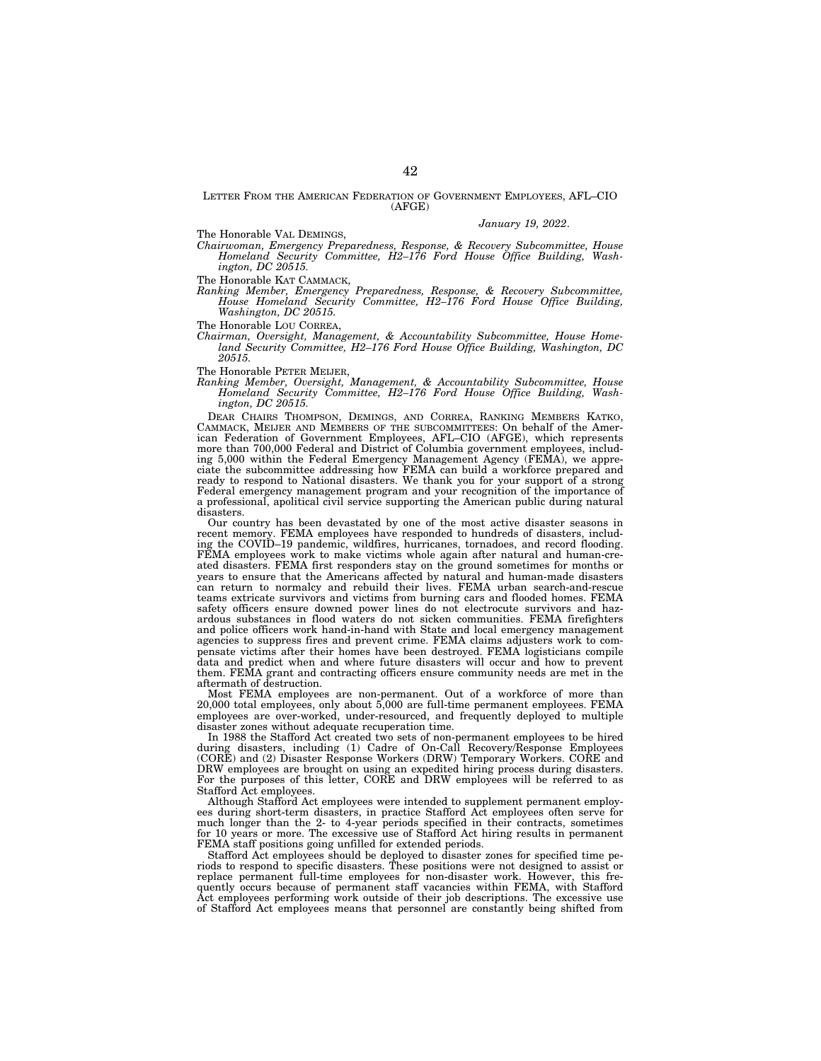LETTER FROM THE AMERICAN FEDERATION OF GOVERNMENT EMPLOYEES, AFL–CIO (AFGE)

The Honorable VAL DEMINGS,

*January 19, 2022*.

*Chairwoman, Emergency Preparedness, Response, & Recovery Subcommittee, House Homeland Security Committee, H2–176 Ford House Office Building, Washington, DC 20515.* 

The Honorable KAT CAMMACK,

*Ranking Member, Emergency Preparedness, Response, & Recovery Subcommittee, House Homeland Security Committee, H2–176 Ford House Office Building, Washington, DC 20515.* 

The Honorable LOU CORREA,

*Chairman, Oversight, Management, & Accountability Subcommittee, House Homeland Security Committee, H2–176 Ford House Office Building, Washington, DC 20515.* 

The Honorable PETER MEIJER,

*Ranking Member, Oversight, Management, & Accountability Subcommittee, House Homeland Security Committee, H2–176 Ford House Office Building, Washington, DC 20515.* 

DEAR CHAIRS THOMPSON, DEMINGS, AND CORREA, RANKING MEMBERS KATKO, CAMMACK, MEIJER AND MEMBERS OF THE SUBCOMMITTEES: On behalf of the American Federation of Government Employees, AFL–CIO (AFGE), which represents more than 700,000 Federal and District of Columbia government employees, including 5,000 within the Federal Emergency Management Agency (FEMA), we appre-ciate the subcommittee addressing how FEMA can build a workforce prepared and ready to respond to National disasters. We thank you for your support of a strong Federal emergency management program and your recognition of the importance of a professional, apolitical civil service supporting the American public during natural disasters.

Our country has been devastated by one of the most active disaster seasons in recent memory. FEMA employees have responded to hundreds of disasters, including the COVID–19 pandemic, wildfires, hurricanes, tornadoes, and record flooding. FEMA employees work to make victims whole again after natural and human-created disasters. FEMA first responders stay on the ground sometimes for months or years to ensure that the Americans affected by natural and human-made disasters can return to normalcy and rebuild their lives. FEMA urban search-and-rescue teams extricate survivors and victims from burning cars and flooded homes. FEMA safety officers ensure downed power lines do not electrocute survivors and hazardous substances in flood waters do not sicken communities. FEMA firefighters and police officers work hand-in-hand with State and local emergency management agencies to suppress fires and prevent crime. FEMA claims adjusters work to compensate victims after their homes have been destroyed. FEMA logisticians compile data and predict when and where future disasters will occur and how to prevent them. FEMA grant and contracting officers ensure community needs are met in the aftermath of destruction.

Most FEMA employees are non-permanent. Out of a workforce of more than 20,000 total employees, only about 5,000 are full-time permanent employees. FEMA employees are over-worked, under-resourced, and frequently deployed to multiple disaster zones without adequate recuperation time.

In 1988 the Stafford Act created two sets of non-permanent employees to be hired during disasters, including (1) Cadre of On-Call Recovery/Response Employees (CORE) and (2) Disaster Response Workers (DRW) Temporary Workers. CORE and DRW employees are brought on using an expedited hiring process during disasters. For the purposes of this letter, CORE and DRW employees will be referred to as Stafford Act employees.

Although Stafford Act employees were intended to supplement permanent employees during short-term disasters, in practice Stafford Act employees often serve for much longer than the 2- to 4-year periods specified in their contracts, sometimes for 10 years or more. The excessive use of Stafford Act hiring results in permanent FEMA staff positions going unfilled for extended periods.

Stafford Act employees should be deployed to disaster zones for specified time periods to respond to specific disasters. These positions were not designed to assist or replace permanent full-time employees for non-disaster work. However, this frequently occurs because of permanent staff vacancies within FEMA, with Stafford Act employees performing work outside of their job descriptions. The excessive use of Stafford Act employees means that personnel are constantly being shifted from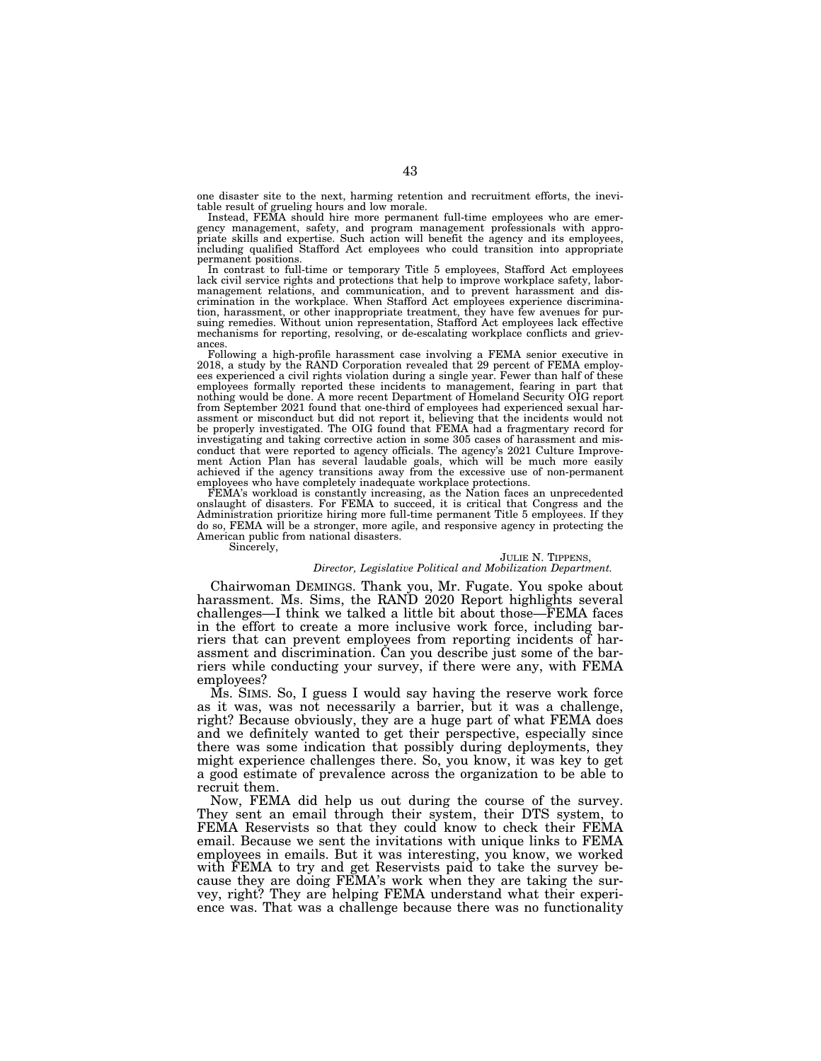one disaster site to the next, harming retention and recruitment efforts, the inevitable result of grueling hours and low morale.

Instead, FEMA should hire more permanent full-time employees who are emergency management, safety, and program management professionals with appro-priate skills and expertise. Such action will benefit the agency and its employees, including qualified Stafford Act employees who could transition into appropriate permanent positions.

In contrast to full-time or temporary Title 5 employees, Stafford Act employees lack civil service rights and protections that help to improve workplace safety, labormanagement relations, and communication, and to prevent harassment and dis-crimination in the workplace. When Stafford Act employees experience discrimination, harassment, or other inappropriate treatment, they have few avenues for pur-suing remedies. Without union representation, Stafford Act employees lack effective mechanisms for reporting, resolving, or de-escalating workplace conflicts and griev-

ances.<br>Following a high-profile harassment case involving a FEMA senior executive in 2018, a study by the RAND Corporation revealed that 29 percent of FEMA employees experienced a civil rights violation during a single year. Fewer than half of these employees formally reported these incidents to management, fearing in part that nothing would be done. A more recent Department of Homeland Security OIG report from September 2021 found that one-third of employees had experienced sexual harassment or misconduct but did not report it, believing that the incidents would not be properly investigated. The OIG found that FEMA had a fragmentary record for investigating and taking corrective action in some 305 cases of harassment and misconduct that were reported to agency officials. The agency's 2021 Culture Improvement Action Plan has several laudable goals, which will be much more easily achieved if the agency transitions away from the excessive use of non-permanent employees who have completely inadequate workplace protections.

FEMA's workload is constantly increasing, as the Nation faces an unprecedented onslaught of disasters. For FEMA to succeed, it is critical that Congress and the Administration prioritize hiring more full-time permanent Title 5 employees. If they do so, FEMA will be a stronger, more agile, and responsive agency in protecting the American public from national disasters. Sincerely,

## JULIE N. TIPPENS,

### *Director, Legislative Political and Mobilization Department.*

Chairwoman DEMINGS. Thank you, Mr. Fugate. You spoke about harassment. Ms. Sims, the RAND 2020 Report highlights several challenges—I think we talked a little bit about those—FEMA faces in the effort to create a more inclusive work force, including barriers that can prevent employees from reporting incidents of harassment and discrimination. Can you describe just some of the barriers while conducting your survey, if there were any, with FEMA employees?

Ms. SIMS. So, I guess I would say having the reserve work force as it was, was not necessarily a barrier, but it was a challenge, right? Because obviously, they are a huge part of what FEMA does and we definitely wanted to get their perspective, especially since there was some indication that possibly during deployments, they might experience challenges there. So, you know, it was key to get a good estimate of prevalence across the organization to be able to recruit them.

Now, FEMA did help us out during the course of the survey. They sent an email through their system, their DTS system, to FEMA Reservists so that they could know to check their FEMA email. Because we sent the invitations with unique links to FEMA employees in emails. But it was interesting, you know, we worked with FEMA to try and get Reservists paid to take the survey because they are doing FEMA's work when they are taking the survey, right? They are helping FEMA understand what their experience was. That was a challenge because there was no functionality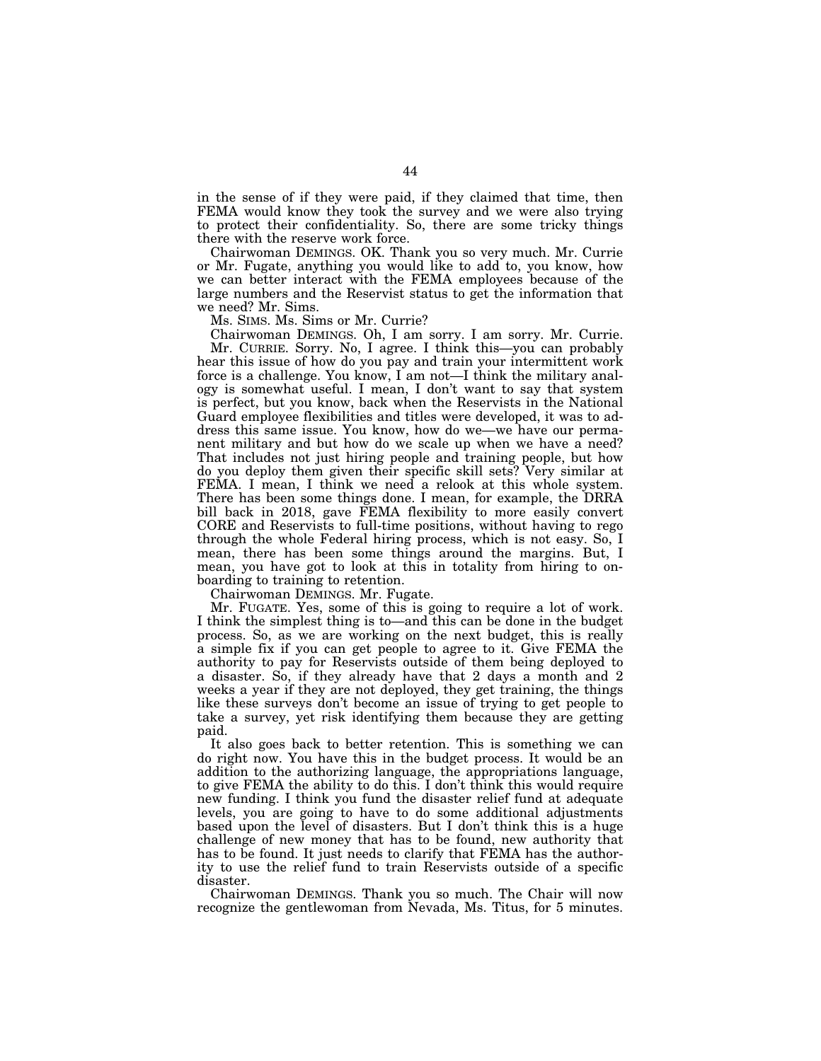in the sense of if they were paid, if they claimed that time, then FEMA would know they took the survey and we were also trying to protect their confidentiality. So, there are some tricky things there with the reserve work force.

Chairwoman DEMINGS. OK. Thank you so very much. Mr. Currie or Mr. Fugate, anything you would like to add to, you know, how we can better interact with the FEMA employees because of the large numbers and the Reservist status to get the information that we need? Mr. Sims.

Ms. SIMS. Ms. Sims or Mr. Currie?

Chairwoman DEMINGS. Oh, I am sorry. I am sorry. Mr. Currie. Mr. CURRIE. Sorry. No, I agree. I think this—you can probably hear this issue of how do you pay and train your intermittent work force is a challenge. You know, I am not—I think the military analogy is somewhat useful. I mean, I don't want to say that system is perfect, but you know, back when the Reservists in the National Guard employee flexibilities and titles were developed, it was to address this same issue. You know, how do we—we have our permanent military and but how do we scale up when we have a need? That includes not just hiring people and training people, but how do you deploy them given their specific skill sets? Very similar at FEMA. I mean, I think we need a relook at this whole system. There has been some things done. I mean, for example, the DRRA bill back in 2018, gave FEMA flexibility to more easily convert CORE and Reservists to full-time positions, without having to rego through the whole Federal hiring process, which is not easy. So, I mean, there has been some things around the margins. But, I mean, you have got to look at this in totality from hiring to onboarding to training to retention.

Chairwoman DEMINGS. Mr. Fugate.

Mr. FUGATE. Yes, some of this is going to require a lot of work. I think the simplest thing is to—and this can be done in the budget process. So, as we are working on the next budget, this is really a simple fix if you can get people to agree to it. Give FEMA the authority to pay for Reservists outside of them being deployed to a disaster. So, if they already have that 2 days a month and 2 weeks a year if they are not deployed, they get training, the things like these surveys don't become an issue of trying to get people to take a survey, yet risk identifying them because they are getting paid.

It also goes back to better retention. This is something we can do right now. You have this in the budget process. It would be an addition to the authorizing language, the appropriations language, to give FEMA the ability to do this. I don't think this would require new funding. I think you fund the disaster relief fund at adequate levels, you are going to have to do some additional adjustments based upon the level of disasters. But I don't think this is a huge challenge of new money that has to be found, new authority that has to be found. It just needs to clarify that FEMA has the authority to use the relief fund to train Reservists outside of a specific disaster.

Chairwoman DEMINGS. Thank you so much. The Chair will now recognize the gentlewoman from Nevada, Ms. Titus, for 5 minutes.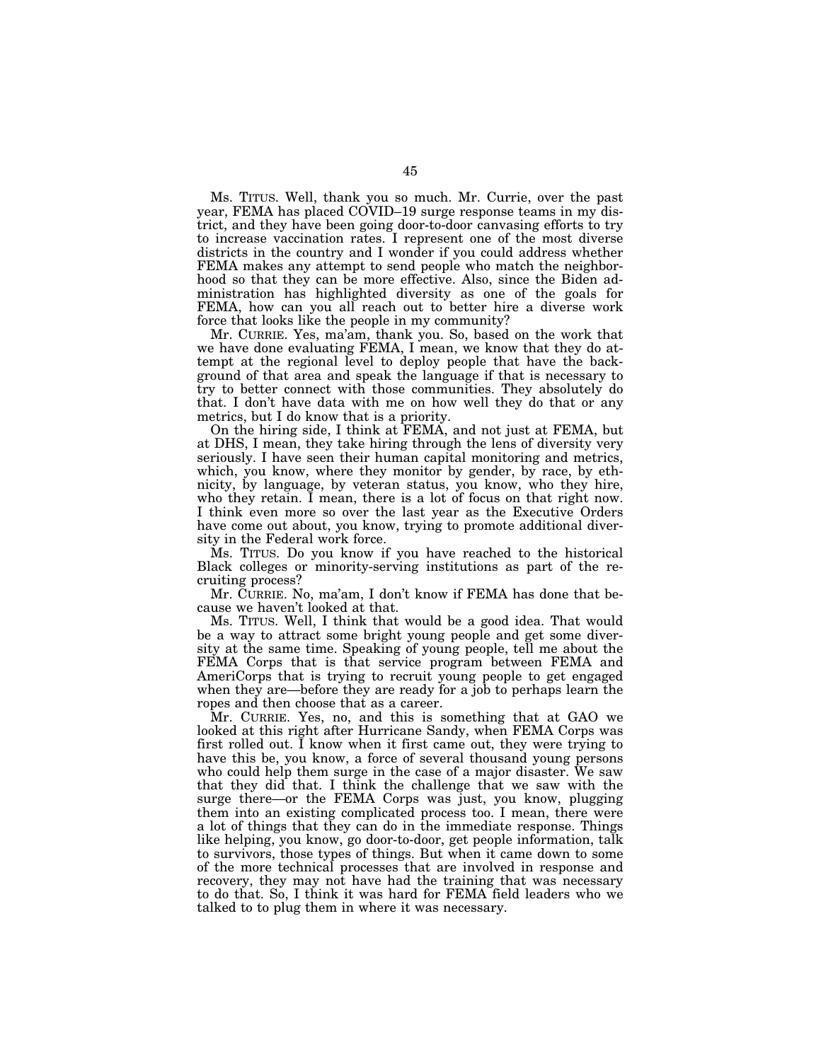Ms. TITUS. Well, thank you so much. Mr. Currie, over the past year, FEMA has placed COVID–19 surge response teams in my district, and they have been going door-to-door canvasing efforts to try to increase vaccination rates. I represent one of the most diverse districts in the country and I wonder if you could address whether FEMA makes any attempt to send people who match the neighborhood so that they can be more effective. Also, since the Biden administration has highlighted diversity as one of the goals for FEMA, how can you all reach out to better hire a diverse work force that looks like the people in my community?

Mr. CURRIE. Yes, ma'am, thank you. So, based on the work that we have done evaluating FEMA, I mean, we know that they do attempt at the regional level to deploy people that have the background of that area and speak the language if that is necessary to try to better connect with those communities. They absolutely do that. I don't have data with me on how well they do that or any metrics, but I do know that is a priority.

On the hiring side, I think at FEMA, and not just at FEMA, but at DHS, I mean, they take hiring through the lens of diversity very seriously. I have seen their human capital monitoring and metrics, which, you know, where they monitor by gender, by race, by ethnicity, by language, by veteran status, you know, who they hire, who they retain. I mean, there is a lot of focus on that right now. I think even more so over the last year as the Executive Orders have come out about, you know, trying to promote additional diversity in the Federal work force.

Ms. TITUS. Do you know if you have reached to the historical Black colleges or minority-serving institutions as part of the recruiting process?

Mr. CURRIE. No, ma'am, I don't know if FEMA has done that because we haven't looked at that.

Ms. TITUS. Well, I think that would be a good idea. That would be a way to attract some bright young people and get some diversity at the same time. Speaking of young people, tell me about the FEMA Corps that is that service program between FEMA and AmeriCorps that is trying to recruit young people to get engaged when they are—before they are ready for a job to perhaps learn the ropes and then choose that as a career.

Mr. CURRIE. Yes, no, and this is something that at GAO we looked at this right after Hurricane Sandy, when FEMA Corps was first rolled out. I know when it first came out, they were trying to have this be, you know, a force of several thousand young persons who could help them surge in the case of a major disaster. We saw that they did that. I think the challenge that we saw with the surge there—or the FEMA Corps was just, you know, plugging them into an existing complicated process too. I mean, there were a lot of things that they can do in the immediate response. Things like helping, you know, go door-to-door, get people information, talk to survivors, those types of things. But when it came down to some of the more technical processes that are involved in response and recovery, they may not have had the training that was necessary to do that. So, I think it was hard for FEMA field leaders who we talked to to plug them in where it was necessary.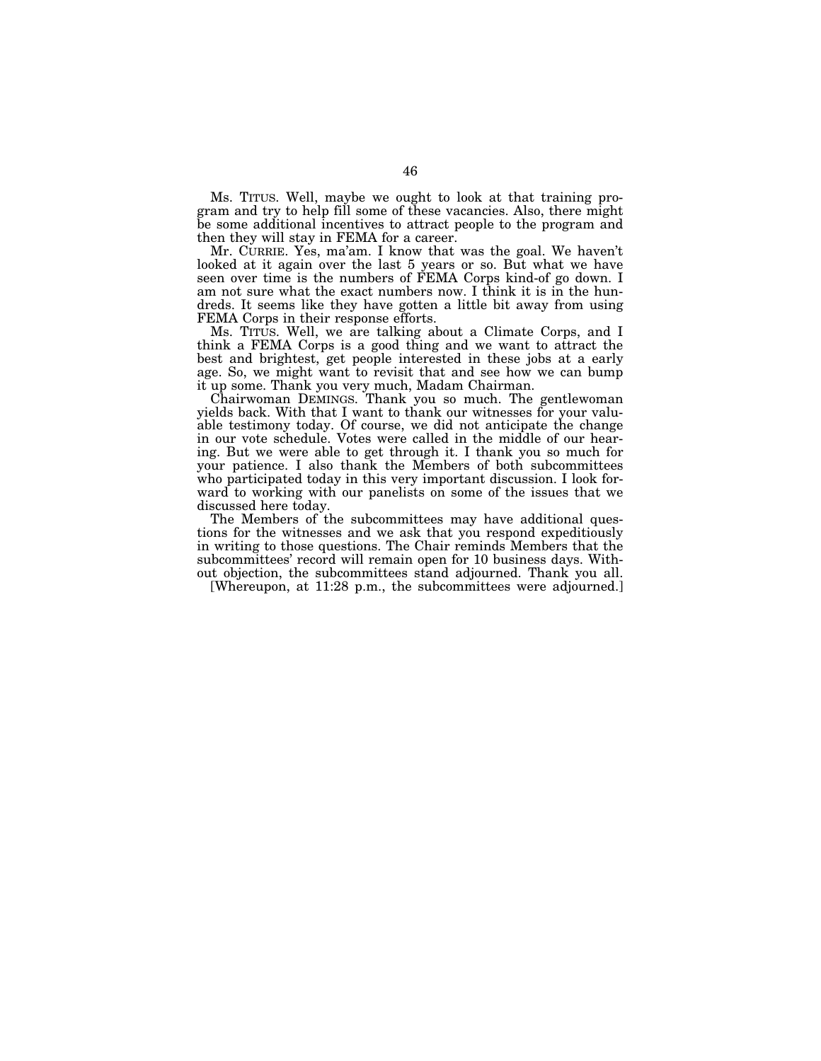Ms. TITUS. Well, maybe we ought to look at that training program and try to help fill some of these vacancies. Also, there might be some additional incentives to attract people to the program and then they will stay in FEMA for a career.

Mr. CURRIE. Yes, ma'am. I know that was the goal. We haven't looked at it again over the last 5 years or so. But what we have seen over time is the numbers of FEMA Corps kind-of go down. I am not sure what the exact numbers now. I think it is in the hundreds. It seems like they have gotten a little bit away from using FEMA Corps in their response efforts.

Ms. TITUS. Well, we are talking about a Climate Corps, and I think a FEMA Corps is a good thing and we want to attract the best and brightest, get people interested in these jobs at a early age. So, we might want to revisit that and see how we can bump it up some. Thank you very much, Madam Chairman.

Chairwoman DEMINGS. Thank you so much. The gentlewoman yields back. With that I want to thank our witnesses for your valuable testimony today. Of course, we did not anticipate the change in our vote schedule. Votes were called in the middle of our hearing. But we were able to get through it. I thank you so much for your patience. I also thank the Members of both subcommittees who participated today in this very important discussion. I look forward to working with our panelists on some of the issues that we discussed here today.

The Members of the subcommittees may have additional questions for the witnesses and we ask that you respond expeditiously in writing to those questions. The Chair reminds Members that the subcommittees' record will remain open for 10 business days. Without objection, the subcommittees stand adjourned. Thank you all.

[Whereupon, at 11:28 p.m., the subcommittees were adjourned.]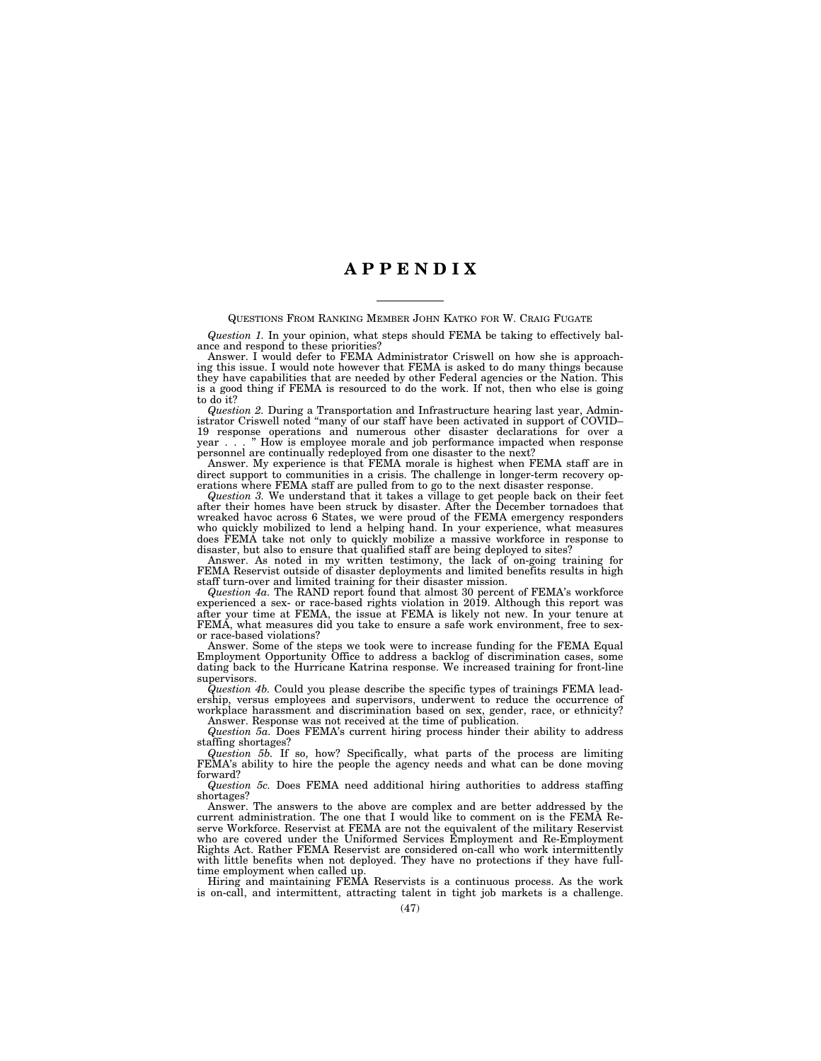## **A P P E N D I X**

#### QUESTIONS FROM RANKING MEMBER JOHN KATKO FOR W. CRAIG FUGATE

*Question 1.* In your opinion, what steps should FEMA be taking to effectively balance and respond to these priorities?

Answer. I would defer to FEMA Administrator Criswell on how she is approaching this issue. I would note however that FEMA is asked to do many things because they have capabilities that are needed by other Federal agencies or the Nation. This is a good thing if FEMA is resourced to do the work. If not, then who else is going to do it?

*Question 2.* During a Transportation and Infrastructure hearing last year, Administrator Criswell noted ''many of our staff have been activated in support of COVID– 19 response operations and numerous other disaster declarations for over a year . . . '' How is employee morale and job performance impacted when response personnel are continually redeployed from one disaster to the next?

Answer. My experience is that FEMA morale is highest when FEMA staff are in direct support to communities in a crisis. The challenge in longer-term recovery operations where FEMA staff are pulled from to go to the next disaster response.

*Question 3.* We understand that it takes a village to get people back on their feet after their homes have been struck by disaster. After the December tornadoes that wreaked havoc across 6 States, we were proud of the FEMA emergency responders who quickly mobilized to lend a helping hand. In your experience, what measures does FEMA take not only to quickly mobilize a massive workforce in response to disaster, but also to ensure that qualified staff are being deployed to sites?

Answer. As noted in my written testimony, the lack of on-going training for FEMA Reservist outside of disaster deployments and limited benefits results in high staff turn-over and limited training for their disaster mission.

*Question 4a.* The RAND report found that almost 30 percent of FEMA's workforce experienced a sex- or race-based rights violation in 2019. Although this report was after your time at FEMA, the issue at FEMA is likely not new. In your tenure at FEMA, what measures did you take to ensure a safe work environment, free to sexor race-based violations?

Answer. Some of the steps we took were to increase funding for the FEMA Equal Employment Opportunity Office to address a backlog of discrimination cases, some dating back to the Hurricane Katrina response. We increased training for front-line supervisors.

*Question 4b.* Could you please describe the specific types of trainings FEMA leadership, versus employees and supervisors, underwent to reduce the occurrence of workplace harassment and discrimination based on sex, gender, race, or ethnicity? Answer. Response was not received at the time of publication.

*Question 5a.* Does FEMA's current hiring process hinder their ability to address staffing shortages?

*Question 5b.* If so, how? Specifically, what parts of the process are limiting FEMA's ability to hire the people the agency needs and what can be done moving forward?

*Question 5c.* Does FEMA need additional hiring authorities to address staffing shortages?

Answer. The answers to the above are complex and are better addressed by the current administration. The one that I would like to comment on is the FEMA Reserve Workforce. Reservist at FEMA are not the equivalent of the military Reservist who are covered under the Uniformed Services Employment and Re-Employment Rights Act. Rather FEMA Reservist are considered on-call who work intermittently with little benefits when not deployed. They have no protections if they have fulltime employment when called up.

Hiring and maintaining FEMA Reservists is a continuous process. As the work is on-call, and intermittent, attracting talent in tight job markets is a challenge.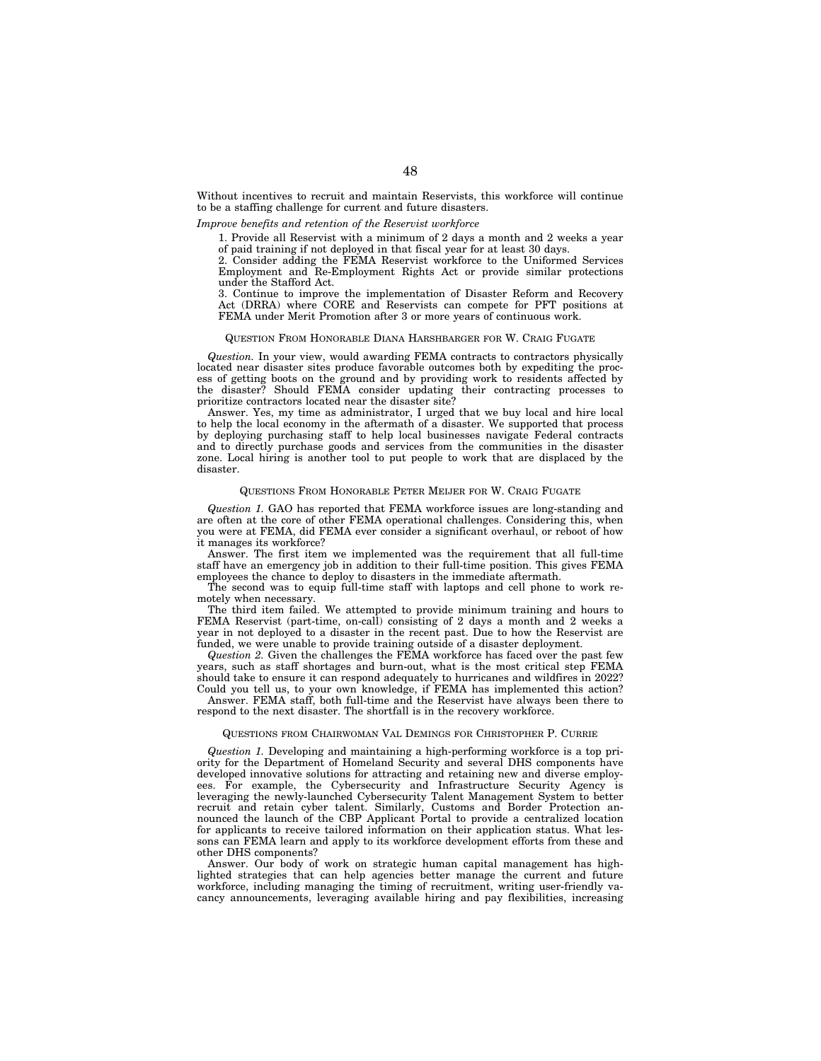Without incentives to recruit and maintain Reservists, this workforce will continue to be a staffing challenge for current and future disasters.

### *Improve benefits and retention of the Reservist workforce*

1. Provide all Reservist with a minimum of 2 days a month and 2 weeks a year of paid training if not deployed in that fiscal year for at least 30 days.

2. Consider adding the FEMA Reservist workforce to the Uniformed Services Employment and Re-Employment Rights Act or provide similar protections under the Stafford Act.

3. Continue to improve the implementation of Disaster Reform and Recovery Act (DRRA) where CORE and Reservists can compete for PFT positions at FEMA under Merit Promotion after 3 or more years of continuous work.

#### QUESTION FROM HONORABLE DIANA HARSHBARGER FOR W. CRAIG FUGATE

*Question.* In your view, would awarding FEMA contracts to contractors physically located near disaster sites produce favorable outcomes both by expediting the process of getting boots on the ground and by providing work to residents affected by the disaster? Should FEMA consider updating their contracting processes to prioritize contractors located near the disaster site?

Answer. Yes, my time as administrator, I urged that we buy local and hire local to help the local economy in the aftermath of a disaster. We supported that process by deploying purchasing staff to help local businesses navigate Federal contracts and to directly purchase goods and services from the communities in the disaster zone. Local hiring is another tool to put people to work that are displaced by the disaster.

#### QUESTIONS FROM HONORABLE PETER MEIJER FOR W. CRAIG FUGATE

*Question 1.* GAO has reported that FEMA workforce issues are long-standing and are often at the core of other FEMA operational challenges. Considering this, when you were at FEMA, did FEMA ever consider a significant overhaul, or reboot of how it manages its workforce?

Answer. The first item we implemented was the requirement that all full-time staff have an emergency job in addition to their full-time position. This gives FEMA employees the chance to deploy to disasters in the immediate aftermath.

The second was to equip full-time staff with laptops and cell phone to work remotely when necessary.

The third item failed. We attempted to provide minimum training and hours to FEMA Reservist (part-time, on-call) consisting of 2 days a month and 2 weeks a year in not deployed to a disaster in the recent past. Due to how the Reservist are funded, we were unable to provide training outside of a disaster deployment.

*Question 2.* Given the challenges the FEMA workforce has faced over the past few years, such as staff shortages and burn-out, what is the most critical step FEMA should take to ensure it can respond adequately to hurricanes and wildfires in 2022? Could you tell us, to your own knowledge, if FEMA has implemented this action?

Answer. FEMA staff, both full-time and the Reservist have always been there to respond to the next disaster. The shortfall is in the recovery workforce.

#### QUESTIONS FROM CHAIRWOMAN VAL DEMINGS FOR CHRISTOPHER P. CURRIE

*Question 1.* Developing and maintaining a high-performing workforce is a top priority for the Department of Homeland Security and several DHS components have developed innovative solutions for attracting and retaining new and diverse employees. For example, the Cybersecurity and Infrastructure Security Agency is leveraging the newly-launched Cybersecurity Talent Management System to better recruit and retain cyber talent. Similarly, Customs and Border Protection announced the launch of the CBP Applicant Portal to provide a centralized location for applicants to receive tailored information on their application status. What lessons can FEMA learn and apply to its workforce development efforts from these and other DHS components?

Answer. Our body of work on strategic human capital management has highlighted strategies that can help agencies better manage the current and future workforce, including managing the timing of recruitment, writing user-friendly vacancy announcements, leveraging available hiring and pay flexibilities, increasing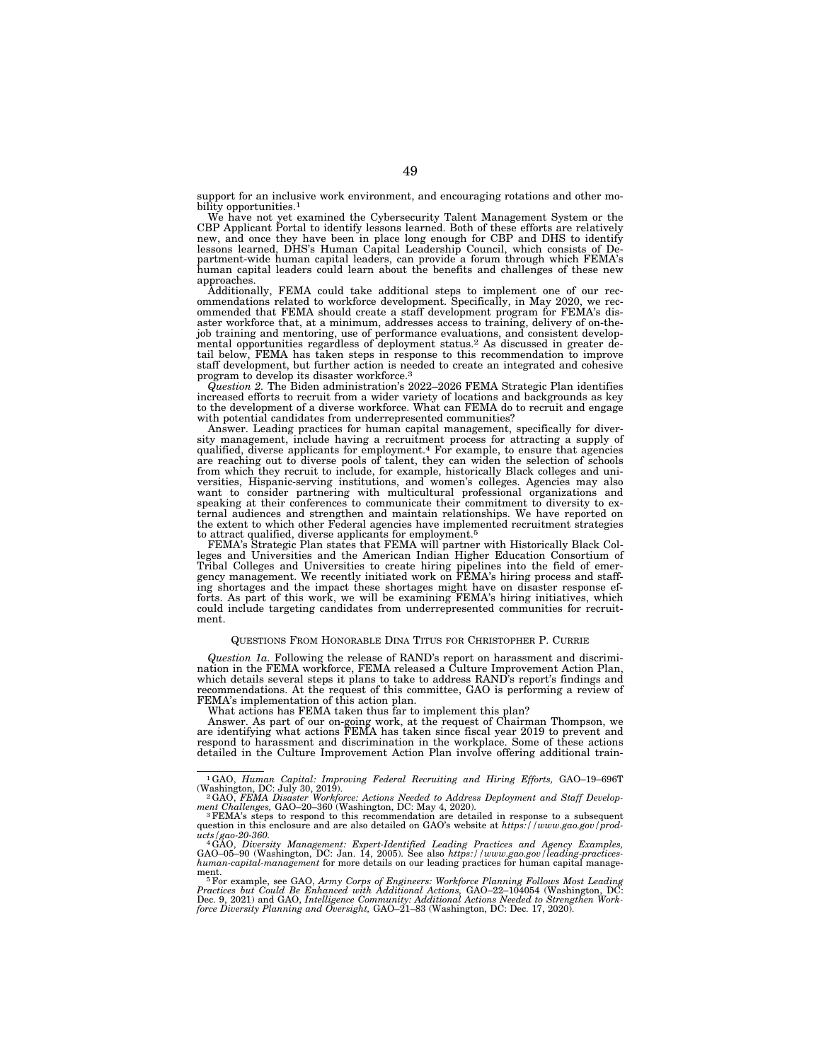support for an inclusive work environment, and encouraging rotations and other mobility opportunities.<sup>1</sup>

We have not yet examined the Cybersecurity Talent Management System or the CBP Applicant Portal to identify lessons learned. Both of these efforts are relatively new, and once they have been in place long enough for CBP and DHS to identify lessons learned, DHS's Human Capital Leadership Council, which consists of De-partment-wide human capital leaders, can provide a forum through which FEMA's human capital leaders could learn about the benefits and challenges of these new approaches.

Additionally, FEMA could take additional steps to implement one of our rec-ommendations related to workforce development. Specifically, in May 2020, we recommended that FEMA should create a staff development program for FEMA's disaster workforce that, at a minimum, addresses access to training, delivery of on-thejob training and mentoring, use of performance evaluations, and consistent develop-mental opportunities regardless of deployment status.2 As discussed in greater detail below, FEMA has taken steps in response to this recommendation to improve staff development, but further action is needed to create an integrated and cohesive program to develop its disaster workforce.<sup>3</sup><br>Question 2. The Biden administration's 2022–2026 FEMA Strategic Plan identifies

increased efforts to recruit from a wider variety of locations and backgrounds as key to the development of a diverse workforce. What can FEMA do to recruit and engage with potential candidates from underrepresented communities?

Answer. Leading practices for human capital management, specifically for diversity management, include having a recruitment process for attracting a supply of qualified, diverse applicants for employment.4 For example, to ensure that agencies are reaching out to diverse pools of talent, they can widen the selection of schools from which they recruit to include, for example, historically Black colleges and universities, Hispanic-serving institutions, and women's colleges. Agencies may also<br>want to consider partnering with multicultural professional organizations and<br>speaking at their conferences to communicate their commitment ternal audiences and strengthen and maintain relationships. We have reported on the extent to which other Federal agencies have implemented recruitment strategies to attract qualified, diverse applicants for employment.5 FEMA's Strategic Plan states that FEMA will partner with Historically Black Col-

leges and Universities and the American Indian Higher Education Consortium of Tribal Colleges and Universities to create hiring pipelines into the field of emer-gency management. We recently initiated work on FEMA's hiring process and staffing shortages and the impact these shortages might have on disaster response efforts. As part of this work, we will be examining FEMA's hiring initiatives, which could include targeting candidates from underrepresented communities for recruitment.

#### QUESTIONS FROM HONORABLE DINA TITUS FOR CHRISTOPHER P. CURRIE

*Question 1a.* Following the release of RAND's report on harassment and discrimination in the FEMA workforce, FEMA released a Culture Improvement Action Plan, which details several steps it plans to take to address RAND's report's findings and recommendations. At the request of this committee, GAO is performing a review of FEMA's implementation of this action plan. What actions has FEMA taken thus far to implement this plan?

Answer. As part of our on-going work, at the request of Chairman Thompson, we are identifying what actions FEMA has taken since fiscal year 2019 to prevent and respond to harassment and discrimination in the workplace. Some of these actions detailed in the Culture Improvement Action Plan involve offering additional train-

<sup>&</sup>lt;sup>1</sup>GAO, *Human Capital: Improving Federal Recruiting and Hiring Efforts, GAO–19–696T* (Washington, DC: July 30, 2019).<br><sup>2</sup>GAO, *FEMA Disaster Workforce: Actions Needed to Address Deployment and Staff Develop-*

*ment Challenges, GAO–20–360* (Washington, DC: May 4, 2020).<br><sup>3</sup>FEMA's steps to respond to this recommendation are detailed in response to a subsequent

question in this enclosure and are also detailed on GAO's website at *https://www.gao.gov/prod-*

ucts/gao-20-360.<br>"AGAO, Diversity Management: Expert-Identified Leading Practices and Agency Examples,<br>GAO–05–90 (Washington, DC: Jan. 14, 2005). See also https://www.gao.gov/leading-practices-<br>human-capital-management for

ment.<br><sup>5</sup> For example, see GAO, Army Corps of Engineers: Workforce Planning Follows Most Leading<br>Practices but Could Be Enhanced with Additional Actions, GAO–22–104054 (Washington, DC:<br>Dec. 9, 2021) and GAO, Intelligence C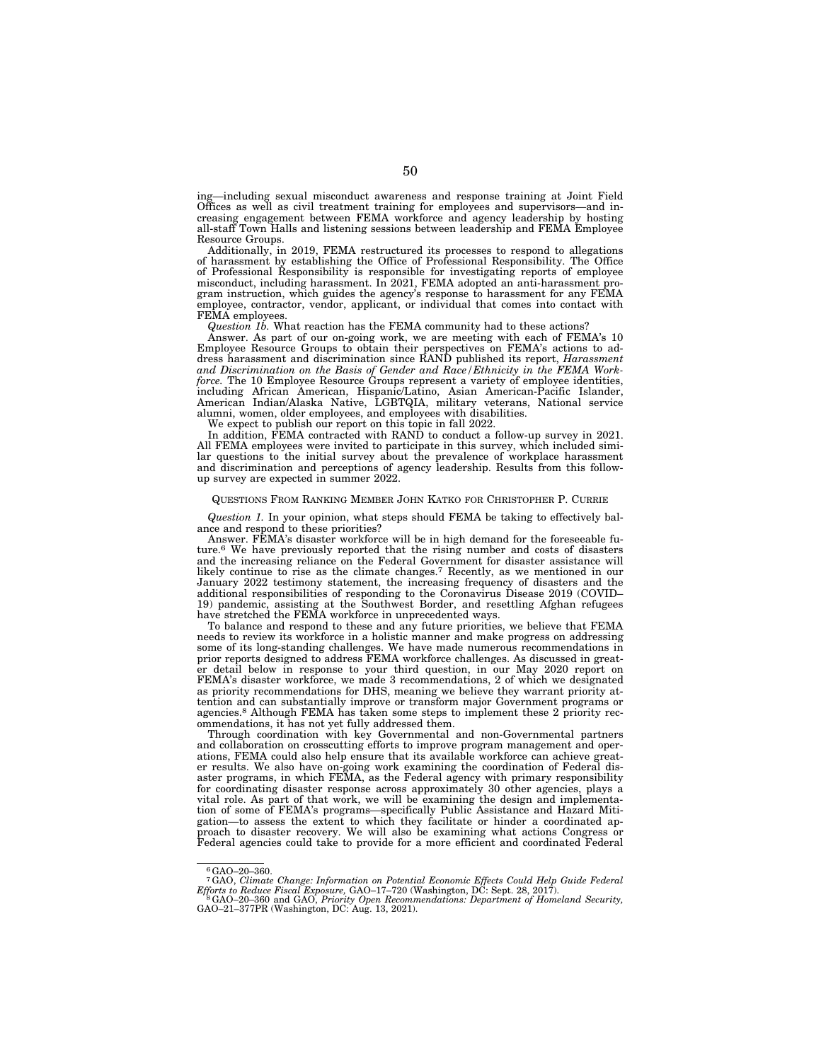ing—including sexual misconduct awareness and response training at Joint Field Offices as well as civil treatment training for employees and supervisors—and increasing engagement between FEMA workforce and agency leadership by hosting all-staff Town Halls and listening sessions between leadership and FEMA Employee Resource Groups.

Additionally, in 2019, FEMA restructured its processes to respond to allegations of harassment by establishing the Office of Professional Responsibility. The Office of Professional Responsibility is responsible for investigating reports of employee misconduct, including harassment. In 2021, FEMA adopted an anti-harassment program instruction, which guides the agency's response to harassment for any FEMA employee, contractor, vendor, applicant, or individual that comes into contact with FEMA employees.

*Question 1b.* What reaction has the FEMA community had to these actions?

Answer. As part of our on-going work, we are meeting with each of FEMA's 10 Employee Resource Groups to obtain their perspectives on FEMA's actions to address harassment and discrimination since RAND published its report, *Harassment and Discrimination on the Basis of Gender and Race/Ethnicity in the FEMA Workforce.* The 10 Employee Resource Groups represent a variety of employee identities, including African American, Hispanic/Latino, Asian American-Pacific Islander, American Indian/Alaska Native, LGBTQIA, military veterans, National service alumni, women, older employees, and employees with disabilities.

We expect to publish our report on this topic in fall 2022.

In addition, FEMA contracted with RAND to conduct a follow-up survey in 2021. All FEMA employees were invited to participate in this survey, which included similar questions to the initial survey about the prevalence of workplace harassment and discrimination and perceptions of agency leadership. Results from this followup survey are expected in summer 2022.

#### QUESTIONS FROM RANKING MEMBER JOHN KATKO FOR CHRISTOPHER P. CURRIE

*Question 1.* In your opinion, what steps should FEMA be taking to effectively balance and respond to these priorities?

Answer. FEMA's disaster workforce will be in high demand for the foreseeable future.6 We have previously reported that the rising number and costs of disasters and the increasing reliance on the Federal Government for disaster assistance will likely continue to rise as the climate changes.7 Recently, as we mentioned in our January 2022 testimony statement, the increasing frequency of disasters and the additional responsibilities of responding to the Coronavirus Disease 2019 (COVID– 19) pandemic, assisting at the Southwest Border, and resettling Afghan refugees have stretched the FEMA workforce in unprecedented ways.

To balance and respond to these and any future priorities, we believe that FEMA needs to review its workforce in a holistic manner and make progress on addressing some of its long-standing challenges. We have made numerous recommendations in prior reports designed to address FEMA workforce challenges. As discussed in greater detail below in response to your third question, in our May 2020 report on FEMA's disaster workforce, we made 3 recommendations, 2 of which we designated as priority recommendations for DHS, meaning we believe they warrant priority attention and can substantially improve or transform major Government programs or agencies.8 Although FEMA has taken some steps to implement these 2 priority recommendations, it has not yet fully addressed them.

Through coordination with key Governmental and non-Governmental partners and collaboration on crosscutting efforts to improve program management and operations, FEMA could also help ensure that its available workforce can achieve greater results. We also have on-going work examining the coordination of Federal disaster programs, in which FEMA, as the Federal agency with primary responsibility for coordinating disaster response across approximately 30 other agencies, plays a vital role. As part of that work, we will be examining the design and implementation of some of FEMA's programs—specifically Public Assistance and Hazard Mitigation—to assess the extent to which they facilitate or hinder a coordinated approach to disaster recovery. We will also be examining what actions Congress or Federal agencies could take to provide for a more efficient and coordinated Federal

<sup>6</sup>GAO–20–360.

<sup>&</sup>lt;sup>7</sup>GAO, Climate Change: Information on Potential Economic Effects Could Help Guide Federal<br>Efforts to Reduce Fiscal Exposure, GAO–17–720 (Washington, DC: Sept. 28, 2017).<br><sup>8</sup>GAO–20–360 and GAO, Priority Open Recommendatio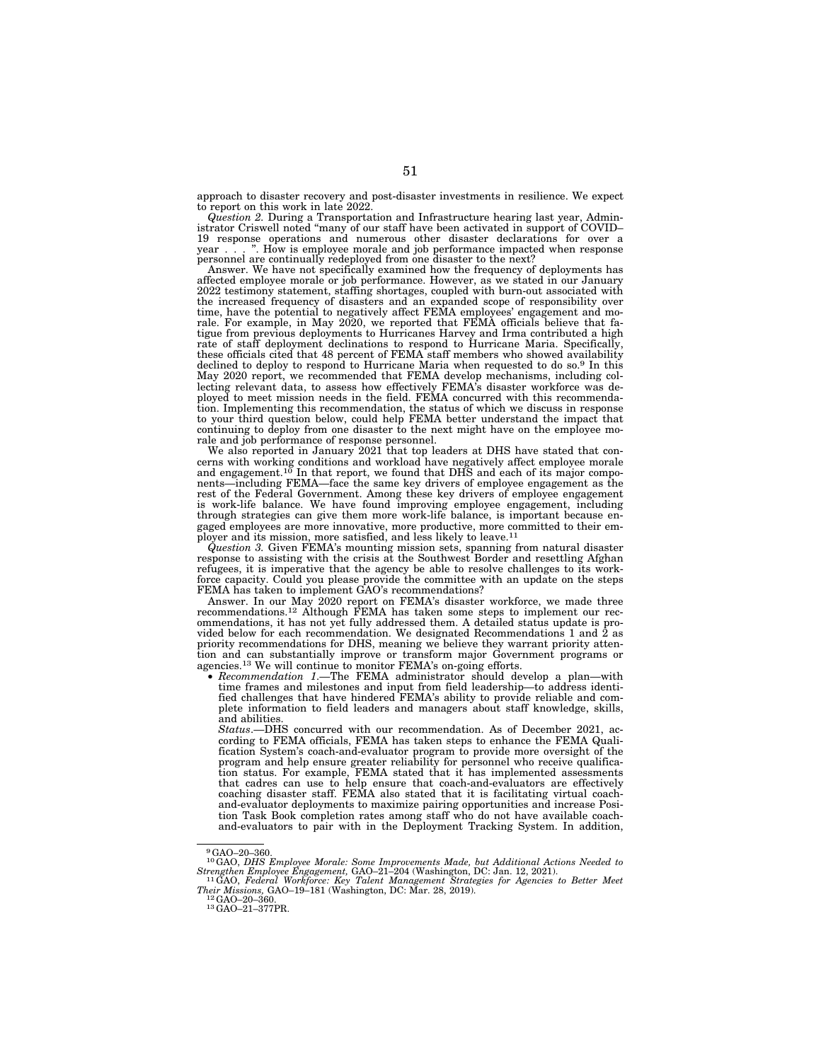approach to disaster recovery and post-disaster investments in resilience. We expect to report on this work in late 2022.

*Question 2.* During a Transportation and Infrastructure hearing last year, Administrator Criswell noted ''many of our staff have been activated in support of COVID– 19 response operations and numerous other disaster declarations for over a year . . . ''. How is employee morale and job performance impacted when response personnel are continually redeployed from one disaster to the next?

Answer. We have not specifically examined how the frequency of deployments has affected employee morale or job performance. However, as we stated in our January 2022 testimony statement, staffing shortages, coupled with burn-out associated with the increased frequency of disasters and an expanded scope of responsibility over time, have the potential to negatively affect FEMA employees' engagement and mo-rale. For example, in May 2020, we reported that FEMA officials believe that fatigue from previous deployments to Hurricanes Harvey and Irma contributed a high rate of staff deployment declinations to respond to Hurricane Maria. Specifically, these officials cited that 48 percent of FEMA staff members who showed availability declined to deploy to respond to Hurricane Maria when requested to do so.9 In this May 2020 report, we recommended that FEMA develop mechanisms, including collecting relevant data, to assess how effectively FEMA's disaster workforce was deployed to meet mission needs in the field. FEMA concurred with this recommendation. Implementing this recommendation, the status of which we discuss in response to your third question below, could help FEMA better understand the impact that continuing to deploy from one disaster to the next might have on the employee morale and job performance of response personnel.

We also reported in January 2021 that top leaders at DHS have stated that concerns with working conditions and workload have negatively affect employee morale and engagement.<sup>10</sup> In that report, we found that DHS and each of its major components—including FEMA—face the same key drivers of employee engagement as the rest of the Federal Government. Among these key drivers of employee engagement is work-life balance. We have found improving employee engagement, including through strategies can give them more work-life balance, is important because engaged employees are more innovative, more productive, more committed to their employer and its mission, more satisfied, and less likely to leave.<sup>11</sup>

*Question 3.* Given FEMA's mounting mission sets, spanning from natural disaster response to assisting with the crisis at the Southwest Border and resettling Afghan refugees, it is imperative that the agency be able to resolve challenges to its workforce capacity. Could you please provide the committee with an update on the steps FEMA has taken to implement GAO's recommendations?

Answer. In our May 2020 report on FEMA's disaster workforce, we made three recommendations.12 Although FEMA has taken some steps to implement our recommendations, it has not yet fully addressed them. A detailed status update is provided below for each recommendation. We designated Recommendations 1 and 2 as priority recommendations for DHS, meaning we believe they warrant priority attention and can substantially improve or transform major Government programs or agencies.13 We will continue to monitor FEMA's on-going efforts.

• *Recommendation 1*.—The FEMA administrator should develop a plan—with time frames and milestones and input from field leadership—to address identified challenges that have hindered FEMA's ability to provide reliable and complete information to field leaders and managers about staff knowledge, skills, and abilities.

*Status*.—DHS concurred with our recommendation. As of December 2021, according to FEMA officials, FEMA has taken steps to enhance the FEMA Qualification System's coach-and-evaluator program to provide more oversight of the program and help ensure greater reliability for personnel who receive qualification status. For example, FEMA stated that it has implemented assessments that cadres can use to help ensure that coach-and-evaluators are effectively coaching disaster staff. FEMA also stated that it is facilitating virtual coachand-evaluator deployments to maximize pairing opportunities and increase Position Task Book completion rates among staff who do not have available coachand-evaluators to pair with in the Deployment Tracking System. In addition,

<sup>9</sup>GAO–20–360.

<sup>10</sup>GAO, *DHS Employee Morale: Some Improvements Made, but Additional Actions Needed to Strengthen Employee Engagement,* GAO–21–204 (Washington, DC: Jan. 12, 2021). 11GAO, *Federal Workforce: Key Talent Management Strategies for Agencies to Better Meet* 

*Their Missions, GAO–19–181 (Washington, DC: Mar. 28, 2019).*<br><sup>12</sup> GAO–20–360. <sup>13</sup>GAO–21–377PR.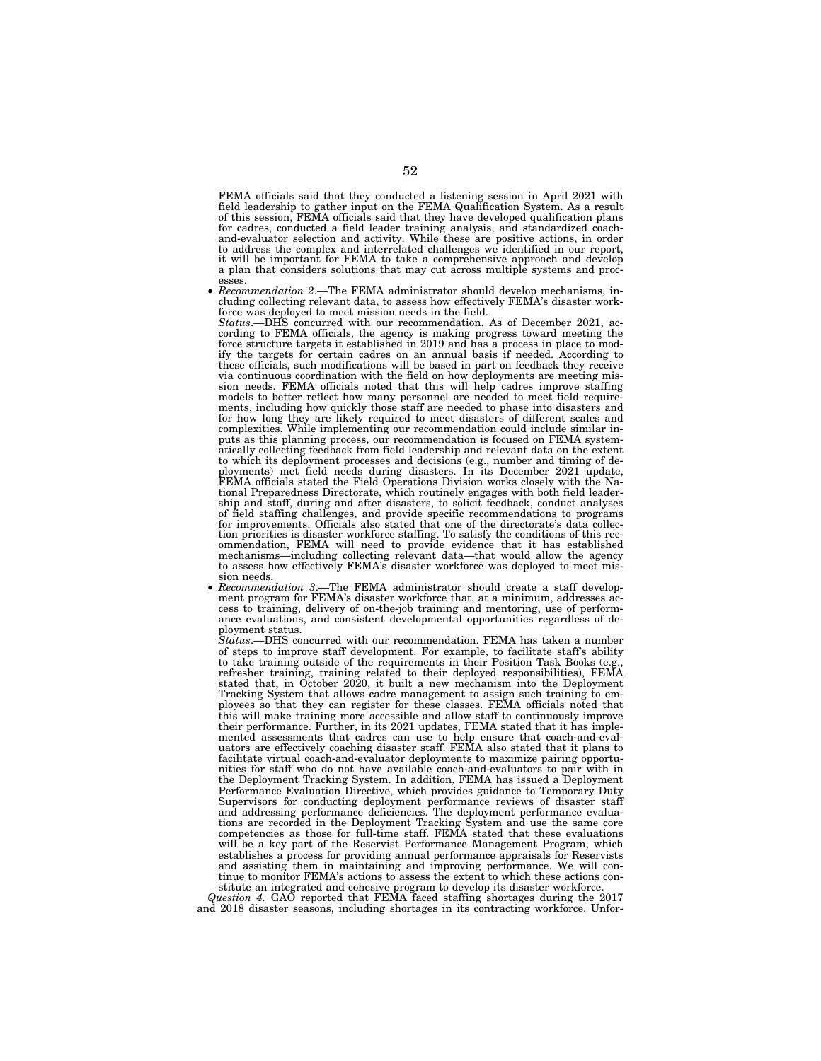FEMA officials said that they conducted a listening session in April 2021 with field leadership to gather input on the FEMA Qualification System. As a result of this session, FEMA officials said that they have developed qualification plans for cadres, conducted a field leader training analysis, and standardized coachand-evaluator selection and activity. While these are positive actions, in order to address the complex and interrelated challenges we identified in our report, it will be important for FEMA to take a comprehensive approach and develop a plan that considers solutions that may cut across multiple systems and proc-

esses. • *Recommendation 2*.—The FEMA administrator should develop mechanisms, including collecting relevant data, to assess how effectively FEMA's disaster workforce was deployed to meet mission needs in the field.

*Status*.—DHS concurred with our recommendation. As of December 2021, according to FEMA officials, the agency is making progress toward meeting the force structure targets it established in 2019 and has a process in place to modify the targets for certain cadres on an annual basis if needed. According to these officials, such modifications will be based in part on feedback they receive via continuous coordination with the field on how deployments are meeting mis-sion needs. FEMA officials noted that this will help cadres improve staffing models to better reflect how many personnel are needed to meet field requirements, including how quickly those staff are needed to phase into disasters and for how long they are likely required to meet disasters of different scales and complexities. While implementing our recommendation could include similar inputs as this planning process, our recommendation is focused on FEMA system-atically collecting feedback from field leadership and relevant data on the extent to which its deployment processes and decisions (e.g., number and timing of deployments) met field needs during disasters. In its December 2021 update, FEMA officials stated the Field Operations Division works closely with the National Preparedness Directorate, which routinely engages with both field leader-ship and staff, during and after disasters, to solicit feedback, conduct analyses of field staffing challenges, and provide specific recommendations to programs for improvements. Officials also stated that one of the directorate's data collection priorities is disaster workforce staffing. To satisfy the conditions of this recommendation, FEMA will need to provide evidence that it has established mechanisms—including collecting relevant data—that would allow the agency to assess how effectively FEMA's disaster workforce was deployed to meet mis sion needs.<br>*Recommendation 3.*—The FEMA administrator should create a staff develop-

ment program for FEMA's disaster workforce that, at a minimum, addresses access to training, delivery of on-the-job training and mentoring, use of performance evaluations, and consistent developmental opportunities regardless of deployment status.

*Status*.—DHS concurred with our recommendation. FEMA has taken a number of steps to improve staff development. For example, to facilitate staff's ability to take training outside of the requirements in their Position Task Books (e.g., refresher training, training related to their deployed responsibilities), FEMA stated that, in October 2020, it built a new mechanism into the Deployment Tracking System that allows cadre management to assign such training to employees so that they can register for these classes. FEMA officials noted that this will make training more accessible and allow staff to continuously improve their performance. Further, in its 2021 updates, FEMA stated that it has implemented assessments that cadres can use to help ensure that coach-and-evaluators are effectively coaching disaster staff. FEMA also stated that it plans to facilitate virtual coach-and-evaluator deployments to maximize pairing opportunities for staff who do not have available coach-and-evaluators to pair with in the Deployment Tracking System. In addition, FEMA has issued a Deployment Performance Evaluation Directive, which provides guidance to Temporary Duty Supervisors for conducting deployment performance reviews of disaster staff and addressing performance deficiencies. The deployment performance evaluations are recorded in the Deployment Tracking System and use the same core competencies as those for full-time staff. FEMA stated that these evaluations will be a key part of the Reservist Performance Management Program, which establishes a process for providing annual performance appraisals for Reservists and assisting them in maintaining and improving performance. We will continue to monitor FEMA's actions to assess the extent to which these actions con-

stitute an integrated and cohesive program to develop its disaster workforce. *Question 4.* GAO reported that FEMA faced staffing shortages during the 2017 and 2018 disaster seasons, including shortages in its contracting workforce. Unfor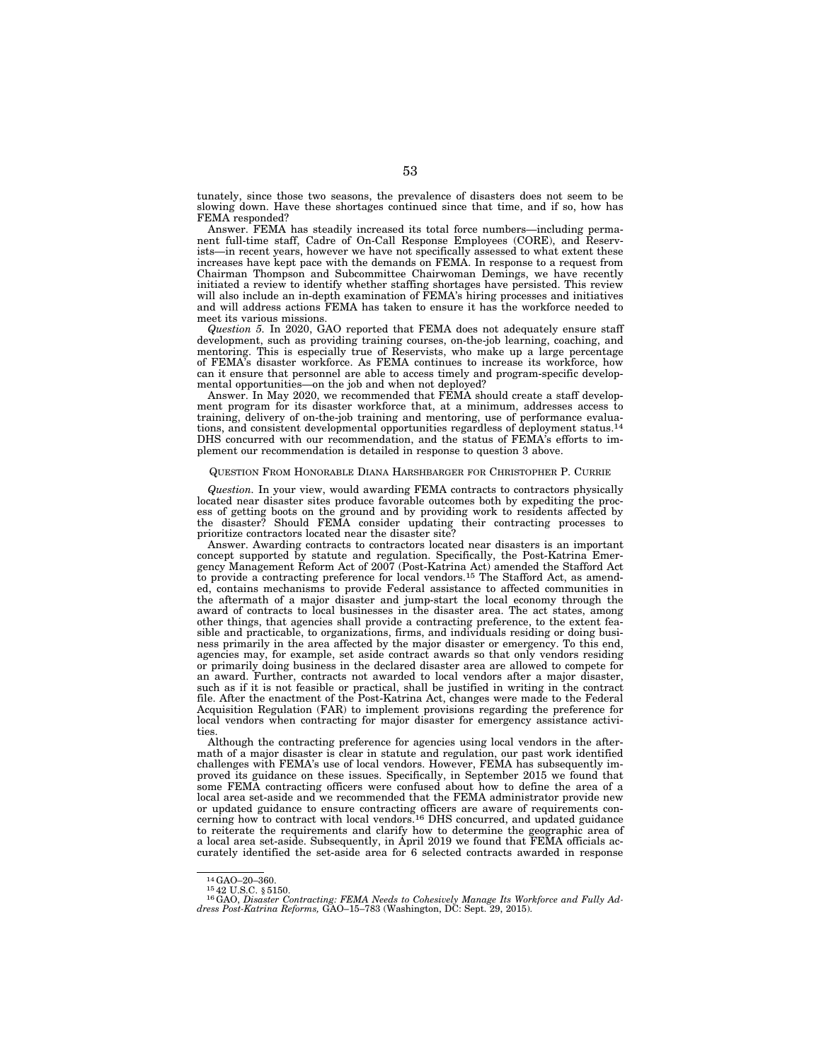tunately, since those two seasons, the prevalence of disasters does not seem to be slowing down. Have these shortages continued since that time, and if so, how has FEMA responded?

Answer. FEMA has steadily increased its total force numbers—including permanent full-time staff, Cadre of On-Call Response Employees (CORE), and Reservists—in recent years, however we have not specifically assessed to what extent these increases have kept pace with the demands on FEMA. In response to a request from Chairman Thompson and Subcommittee Chairwoman Demings, we have recently initiated a review to identify whether staffing shortages have persisted. This review will also include an in-depth examination of FEMA's hiring processes and initiatives and will address actions FEMA has taken to ensure it has the workforce needed to meet its various missions.

*Question 5.* In 2020, GAO reported that FEMA does not adequately ensure staff development, such as providing training courses, on-the-job learning, coaching, and mentoring. This is especially true of Reservists, who make up a large percentage of FEMA's disaster workforce. As FEMA continues to increase its workforce, how can it ensure that personnel are able to access timely and program-specific developmental opportunities—on the job and when not deployed?

Answer. In May 2020, we recommended that FEMA should create a staff development program for its disaster workforce that, at a minimum, addresses access to training, delivery of on-the-job training and mentoring, use of performance evaluations, and consistent developmental opportunities regardless of deployment status.<sup>14</sup> DHS concurred with our recommendation, and the status of FEMA's efforts to implement our recommendation is detailed in response to question 3 above.

#### QUESTION FROM HONORABLE DIANA HARSHBARGER FOR CHRISTOPHER P. CURRIE

*Question.* In your view, would awarding FEMA contracts to contractors physically located near disaster sites produce favorable outcomes both by expediting the process of getting boots on the ground and by providing work to residents affected by the disaster? Should FEMA consider updating their contracting processes to prioritize contractors located near the disaster site?

Answer. Awarding contracts to contractors located near disasters is an important concept supported by statute and regulation. Specifically, the Post-Katrina Emergency Management Reform Act of 2007 (Post-Katrina Act) amended the Stafford Act to provide a contracting preference for local vendors.15 The Stafford Act, as amended, contains mechanisms to provide Federal assistance to affected communities in the aftermath of a major disaster and jump-start the local economy through the award of contracts to local businesses in the disaster area. The act states, among other things, that agencies shall provide a contracting preference, to the extent feasible and practicable, to organizations, firms, and individuals residing or doing business primarily in the area affected by the major disaster or emergency. To this end, agencies may, for example, set aside contract awards so that only vendors residing or primarily doing business in the declared disaster area are allowed to compete for an award. Further, contracts not awarded to local vendors after a major disaster, such as if it is not feasible or practical, shall be justified in writing in the contract file. After the enactment of the Post-Katrina Act, changes were made to the Federal Acquisition Regulation (FAR) to implement provisions regarding the preference for local vendors when contracting for major disaster for emergency assistance activities.

Although the contracting preference for agencies using local vendors in the aftermath of a major disaster is clear in statute and regulation, our past work identified challenges with FEMA's use of local vendors. However, FEMA has subsequently improved its guidance on these issues. Specifically, in September 2015 we found that some FEMA contracting officers were confused about how to define the area of a local area set-aside and we recommended that the FEMA administrator provide new or updated guidance to ensure contracting officers are aware of requirements con-cerning how to contract with local vendors.16 DHS concurred, and updated guidance to reiterate the requirements and clarify how to determine the geographic area of a local area set-aside. Subsequently, in April 2019 we found that FEMA officials accurately identified the set-aside area for 6 selected contracts awarded in response

<sup>14</sup>GAO–20–360. 15 42 U.S.C. § 5150. 16GAO, *Disaster Contracting: FEMA Needs to Cohesively Manage Its Workforce and Fully Ad-dress Post-Katrina Reforms,* GAO–15–783 (Washington, DC: Sept. 29, 2015).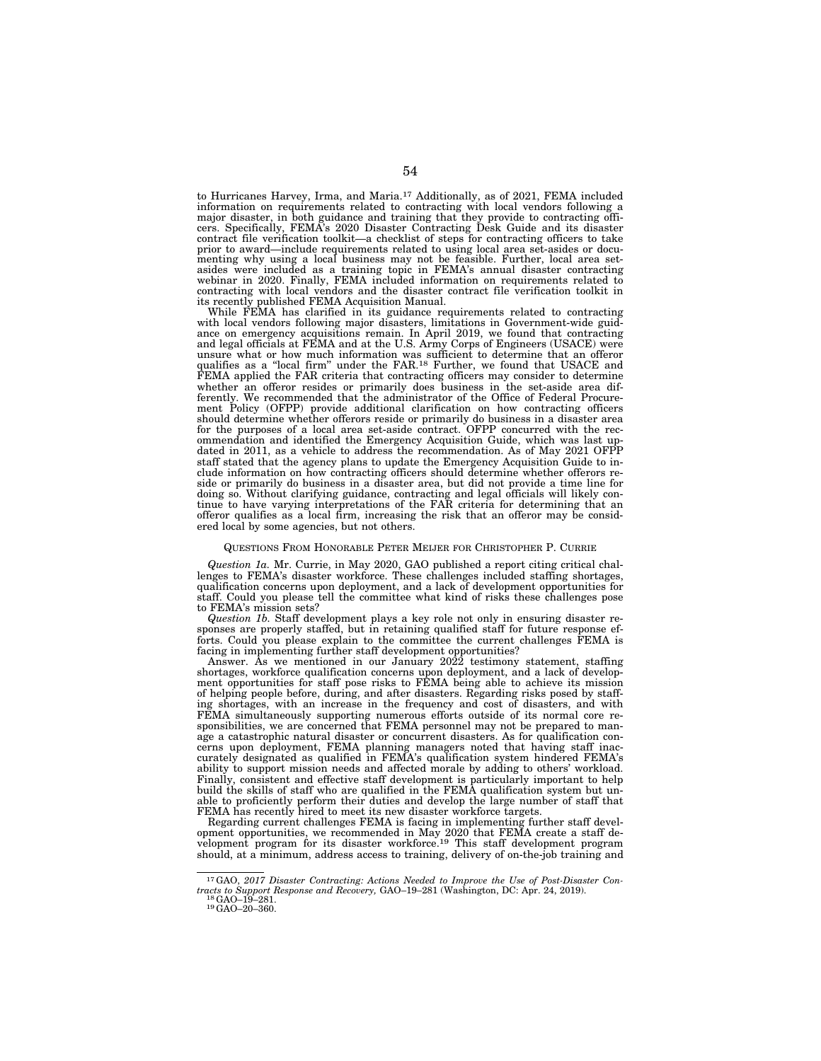to Hurricanes Harvey, Irma, and Maria.17 Additionally, as of 2021, FEMA included information on requirements related to contracting with local vendors following a major disaster, in both guidance and training that they provide to contracting officers. Specifically, FEMA's 2020 Disaster Contracting Desk Guide and its disaster contract file verification toolkit—a checklist of steps for contracting officers to take prior to award—include requirements related to using local area set-asides or documenting why using a local business may not be feasible. Further, local area setasides were included as a training topic in FEMA's annual disaster contracting webinar in 2020. Finally, FEMA included information on requirements related to contracting with local vendors and the disaster contract file verification toolkit in its recently published FEMA Acquisition Manual.

While FEMA has clarified in its guidance requirements related to contracting with local vendors following major disasters, limitations in Government-wide guidance on emergency acquisitions remain. In April 2019, we found that contracting and legal officials at FEMA and at the U.S. Army Corps of Engineers (USACE) were unsure what or how much information was sufficient to determine that an offeror qualifies as a ''local firm'' under the FAR.18 Further, we found that USACE and FEMA applied the FAR criteria that contracting officers may consider to determine whether an offeror resides or primarily does business in the set-aside area differently. We recommended that the administrator of the Office of Federal Procurement Policy (OFPP) provide additional clarification on how contracting officers should determine whether offerors reside or primarily do business in a disaster area for the purposes of a local area set-aside contract. OFPP concurred with the recommendation and identified the Emergency Acquisition Guide, which was last updated in 2011, as a vehicle to address the recommendation. As of May 2021 OFPP staff stated that the agency plans to update the Emergency Acquisition Guide to include information on how contracting officers should determine whether offerors reside or primarily do business in a disaster area, but did not provide a time line for doing so. Without clarifying guidance, contracting and legal officials will likely continue to have varying interpretations of the FAR criteria for determining that an offeror qualifies as a local firm, increasing the risk that an offeror may be considered local by some agencies, but not others.

#### QUESTIONS FROM HONORABLE PETER MEIJER FOR CHRISTOPHER P. CURRIE

*Question 1a.* Mr. Currie, in May 2020, GAO published a report citing critical challenges to FEMA's disaster workforce. These challenges included staffing shortages, qualification concerns upon deployment, and a lack of development opportunities for staff. Could you please tell the committee what kind of risks these challenges pose to FEMA's mission sets?

*Question 1b.* Staff development plays a key role not only in ensuring disaster responses are properly staffed, but in retaining qualified staff for future response efforts. Could you please explain to the committee the current challenges FEMA is facing in implementing further staff development opportunities?

Answer. As we mentioned in our January 2022 testimony statement, staffing shortages, workforce qualification concerns upon deployment, and a lack of development opportunities for staff pose risks to FEMA being able to achieve its mission of helping people before, during, and after disasters. Regarding risks posed by staffing shortages, with an increase in the frequency and cost of disasters, and with FEMA simultaneously supporting numerous efforts outside of its normal core responsibilities, we are concerned that FEMA personnel may not be prepared to manage a catastrophic natural disaster or concurrent disasters. As for qualification concerns upon deployment, FEMA planning managers noted that having staff inaccurately designated as qualified in FEMA's qualification system hindered FEMA's ability to support mission needs and affected morale by adding to others' workload. Finally, consistent and effective staff development is particularly important to help build the skills of staff who are qualified in the FEMA qualification system but unable to proficiently perform their duties and develop the large number of staff that FEMA has recently hired to meet its new disaster workforce targets.

Regarding current challenges FEMA is facing in implementing further staff development opportunities, we recommended in May 2020 that FEMA create a staff development program for its disaster workforce.<sup>19</sup> This staff development program should, at a minimum, address access to training, delivery of on-the-job training and

<sup>17</sup>GAO, *2017 Disaster Contracting: Actions Needed to Improve the Use of Post-Disaster Contracts to Support Response and Recovery, GAO–19–281* (Washington, DC: Apr. 24, 2019).<br><sup>18</sup>GAO–19–281. 19GAO–20–360.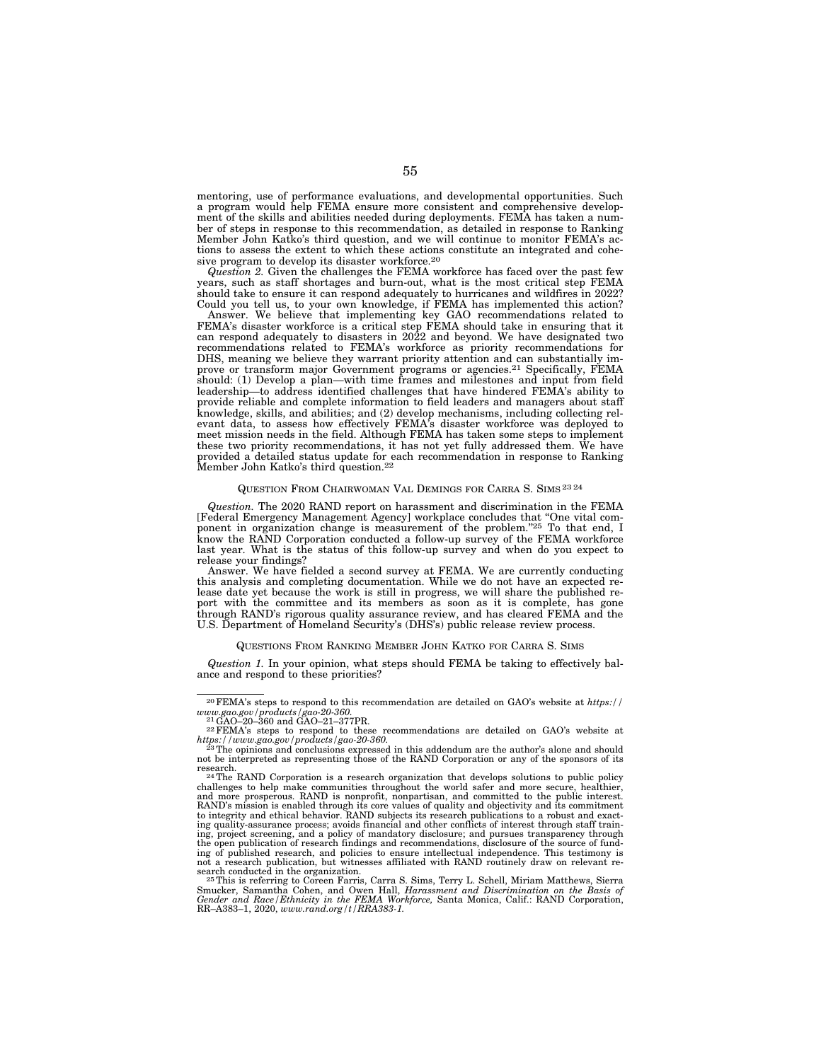mentoring, use of performance evaluations, and developmental opportunities. Such a program would help FEMA ensure more consistent and comprehensive development of the skills and abilities needed during deployments. FEMA has taken a number of steps in response to this recommendation, as detailed in response to Ranking Member John Katko's third question, and we will continue to monitor FEMA's actions to assess the extent to which these actions constitute an integrated and cohesive program to develop its disaster workforce.20

*Question 2.* Given the challenges the FEMA workforce has faced over the past few years, such as staff shortages and burn-out, what is the most critical step FEMA should take to ensure it can respond adequately to hurricanes and wildfires in 2022? Could you tell us, to your own knowledge, if FEMA has implemented this action?

Answer. We believe that implementing key GAO recommendations related to FEMA's disaster workforce is a critical step FEMA should take in ensuring that it can respond adequately to disasters in 2022 and beyond. We have designated two recommendations related to FEMA's workforce as priority recommendations for DHS, meaning we believe they warrant priority attention and can substantially improve or transform major Government programs or agencies.21 Specifically, FEMA should: (1) Develop a plan—with time frames and milestones and input from field leadership—to address identified challenges that have hindered FEMA's ability to provide reliable and complete information to field leaders and managers about staff knowledge, skills, and abilities; and (2) develop mechanisms, including collecting relevant data, to assess how effectively FEMA's disaster workforce was deployed to meet mission needs in the field. Although FEMA has taken some steps to implement these two priority recommendations, it has not yet fully addressed them. We have provided a detailed status update for each recommendation in response to Ranking Member John Katko's third question.22

#### QUESTION FROM CHAIRWOMAN VAL DEMINGS FOR CARRA S. SIMS 23 24

*Question.* The 2020 RAND report on harassment and discrimination in the FEMA [Federal Emergency Management Agency] workplace concludes that "One vital com-<br>ponent in organization change is measurement of the problem."<sup>25</sup> To that end, I know the RAND Corporation conducted a follow-up survey of the FEMA workforce last year. What is the status of this follow-up survey and when do you expect to release your findings?

Answer. We have fielded a second survey at FEMA. We are currently conducting this analysis and completing documentation. While we do not have an expected release date yet because the work is still in progress, we will share the published report with the committee and its members as soon as it is complete, has gone through RAND's rigorous quality assurance review, and has cleared FEMA and the U.S. Department of Homeland Security's (DHS's) public release review process.

#### QUESTIONS FROM RANKING MEMBER JOHN KATKO FOR CARRA S. SIMS

*Question 1.* In your opinion, what steps should FEMA be taking to effectively balance and respond to these priorities?

 $^{20}\mathrm{FEMA's}$  steps to respond to this recommendation are detailed on GAO's website at  $\mathit{https://www.gao.gov/products/gao-20-360}$ .  $^{21}\mathrm{GAO}-20-360$  and GAO–21–377PR. *www.gao.gov/products/gao-20-360.* 21GAO–20–360 and GAO–21–377PR. 22FEMA's steps to respond to these recommendations are detailed on GAO's website at

*https://www.gao.gov/products/gao-20-360.* 23The opinions and conclusions expressed in this addendum are the author's alone and should

not be interpreted as representing those of the RAND Corporation or any of the sponsors of its research.<br><sup>24</sup>The RAND Corporation is a research organization that develops solutions to public policy

challenges to help make communities throughout the world safer and more secure, healthier,<br>and more prosperous. RAND is nonprofit, nonpartisan, and committed to the public interest.<br>RAND's mission is enabled through its co to integrity and ethical behavior. RAND subjects its research publications to a robust and exact-ing quality-assurance process; avoids financial and other conflicts of interest through staff training, project screening, and a policy of mandatory disclosure; and pursues transparency through the open publication of research findings and recommendations, disclosure of the source of fund-<br>ing of published research, and policies to ensure intellectual independence. This testimony is<br>not a research publication, bu

search conducted in the organization.<br><sup>25 T</sup>his is referring to Coreen Farris, Carra S. Sims, Terry L. Schell, Miriam Matthews, Sierra<br>Smucker, Samantha Cohen, and Owen Hall, *Harassment and Discrimination on the Basis of Gender and Race/Ethnicity in the FEMA Workforce,* Santa Monica, Calif.: RAND Corporation, RR–A383–1, 2020, *www.rand.org/t/RRA383-1.*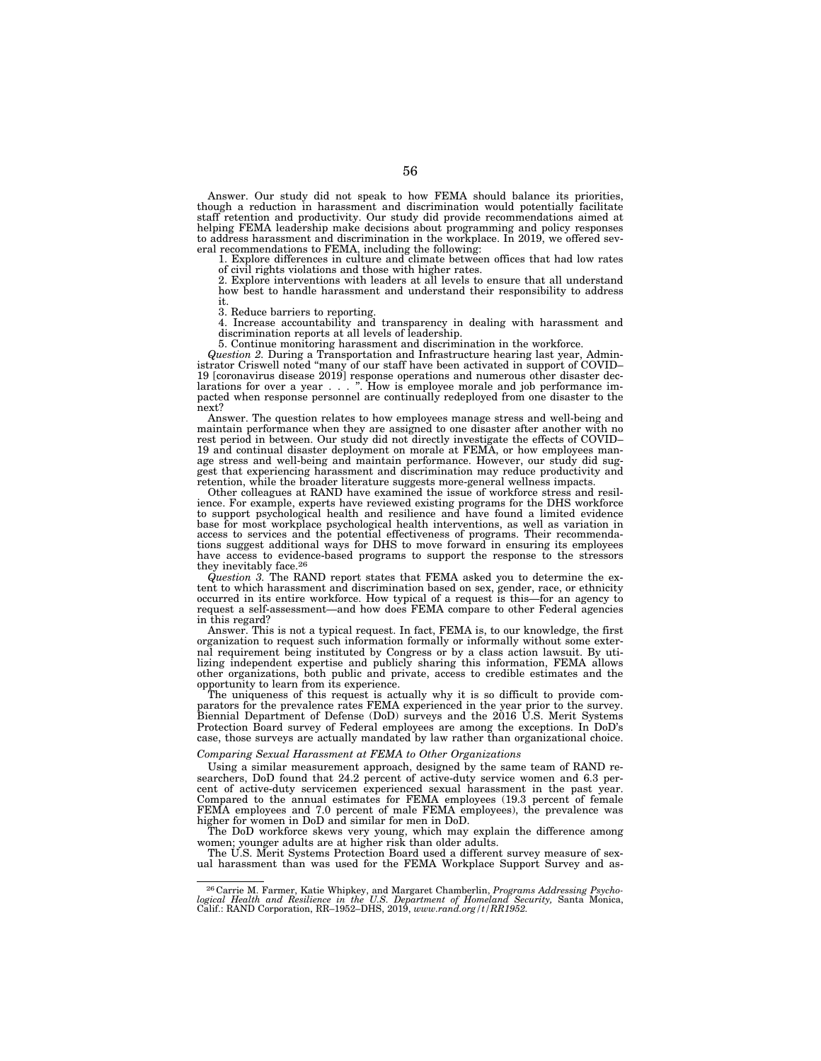Answer. Our study did not speak to how FEMA should balance its priorities, though a reduction in harassment and discrimination would potentially facilitate staff retention and productivity. Our study did provide recommendations aimed at<br>helping FEMA leadership make decisions about programming and policy responses<br>to address harassment and discrimination in the workplace. In 2 eral recommendations to FEMA, including the following:

1. Explore differences in culture and climate between offices that had low rates of civil rights violations and those with higher rates.

2. Explore interventions with leaders at all levels to ensure that all understand how best to handle harassment and understand their responsibility to address it.

3. Reduce barriers to reporting. 4. Increase accountability and transparency in dealing with harassment and discrimination reports at all levels of leadership.

5. Continue monitoring harassment and discrimination in the workforce.

*Question 2.* During a Transportation and Infrastructure hearing last year, Administrator Criswell noted "many of our staff have been activated in support of COVID– 19 [coronavirus disease 2019] response operations and numerous other disaster dec-larations for over a year... ''. How is employee morale and job performance impacted when response personnel are continually redeployed from one disaster to the next?

Answer. The question relates to how employees manage stress and well-being and maintain performance when they are assigned to one disaster after another with no rest period in between. Our study did not directly investigate the effects of COVID– 19 and continual disaster deployment on morale at FEMA, or how employees manage stress and well-being and maintain performance. However, our study did suggest that experiencing harassment and discrimination may reduce productivity and retention, while the broader literature suggests more-general wellness impacts.

Other colleagues at RAND have examined the issue of workforce stress and resilience. For example, experts have reviewed existing programs for the DHS workforce to support psychological health and resilience and have found a limited evidence base for most workplace psychological health interventions, as well as variation in access to services and the potential effectiveness of programs. Their recommendations suggest additional ways for DHS to move forward in ensuring its employees have access to evidence-based programs to support the response to the stressors they inevitably face.<sup>26</sup>

*Question 3.* The RAND report states that FEMA asked you to determine the extent to which harassment and discrimination based on sex, gender, race, or ethnicity occurred in its entire workforce. How typical of a request is this—for an agency to request a self-assessment—and how does FEMA compare to other Federal agencies in this regard?

Answer. This is not a typical request. In fact, FEMA is, to our knowledge, the first organization to request such information formally or informally without some external requirement being instituted by Congress or by a class action lawsuit. By utilizing independent expertise and publicly sharing this information, FEMA allows other organizations, both public and private, access to credible estimates and the opportunity to learn from its experience.

The uniqueness of this request is actually why it is so difficult to provide comparators for the prevalence rates FEMA experienced in the year prior to the survey. Biennial Department of Defense (DoD) surveys and the 2016 U.S. Merit Systems Protection Board survey of Federal employees are among the exceptions. In DoD's case, those surveys are actually mandated by law rather than organizational choice.

## *Comparing Sexual Harassment at FEMA to Other Organizations*

Using a similar measurement approach, designed by the same team of RAND researchers, DoD found that 24.2 percent of active-duty service women and 6.3 percent of active-duty servicemen experienced sexual harassment in the past year. Compared to the annual estimates for FEMA employees (19.3 percent of female FEMA employees and 7.0 percent of male FEMA employees), the prevalence was higher for women in DoD and similar for men in DoD.

The DoD workforce skews very young, which may explain the difference among women; younger adults are at higher risk than older adults.

The U.S. Merit Systems Protection Board used a different survey measure of sexual harassment than was used for the FEMA Workplace Support Survey and as-

<sup>26</sup> Carrie M. Farmer, Katie Whipkey, and Margaret Chamberlin, *Programs Addressing Psychological Health and Resilience in the U.S. Department of Homeland Security, Santa Monica, Calif.: RAND Corporation, RR–1952–DHS, 2019, <i>www.rand.org/t/RR1952*.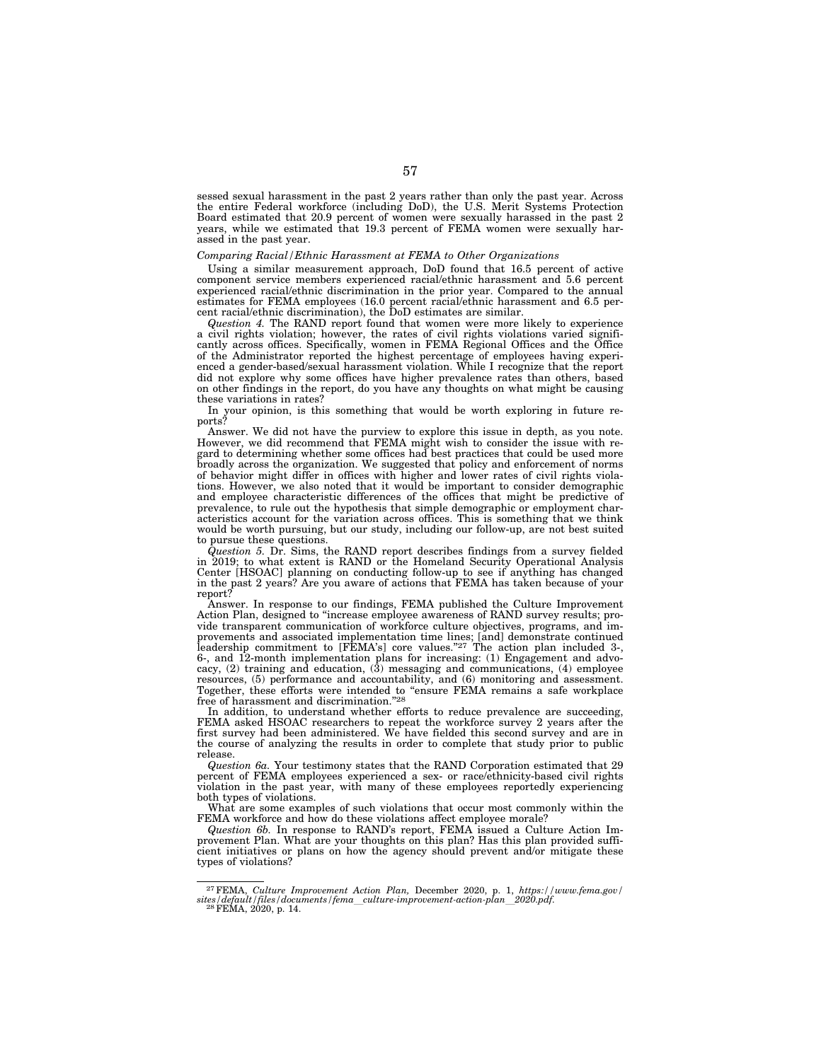sessed sexual harassment in the past 2 years rather than only the past year. Across the entire Federal workforce (including DoD), the U.S. Merit Systems Protection Board estimated that 20.9 percent of women were sexually harassed in the past 2 years, while we estimated that 19.3 percent of FEMA women were sexually harassed in the past year.

#### *Comparing Racial/Ethnic Harassment at FEMA to Other Organizations*

Using a similar measurement approach, DoD found that 16.5 percent of active component service members experienced racial/ethnic harassment and 5.6 percent experienced racial/ethnic discrimination in the prior year. Compared to the annual estimates for FEMA employees (16.0 percent racial/ethnic harassment and 6.5 percent racial/ethnic discrimination), the DoD estimates are similar.

*Question 4.* The RAND report found that women were more likely to experience a civil rights violation; however, the rates of civil rights violations varied significantly across offices. Specifically, women in FEMA Regional Offices and the Office of the Administrator reported the highest percentage of employees having experienced a gender-based/sexual harassment violation. While I recognize that the report did not explore why some offices have higher prevalence rates than others, based on other findings in the report, do you have any thoughts on what might be causing these variations in rates?

In your opinion, is this something that would be worth exploring in future reports?

Answer. We did not have the purview to explore this issue in depth, as you note. However, we did recommend that FEMA might wish to consider the issue with regard to determining whether some offices had best practices that could be used more broadly across the organization. We suggested that policy and enforcement of norms of behavior might differ in offices with higher and lower rates of civil rights violations. However, we also noted that it would be important to consider demographic and employee characteristic differences of the offices that might be predictive of prevalence, to rule out the hypothesis that simple demographic or employment characteristics account for the variation across offices. This is something that we think would be worth pursuing, but our study, including our follow-up, are not best suited to pursue these questions.

*Question 5.* Dr. Sims, the RAND report describes findings from a survey fielded in 2019; to what extent is RAND or the Homeland Security Operational Analysis Center [HSOAC] planning on conducting follow-up to see if anything has changed in the past 2 years? Are you aware of actions that FEMA has taken because of your report?

Answer. In response to our findings, FEMA published the Culture Improvement Action Plan, designed to ''increase employee awareness of RAND survey results; provide transparent communication of workforce culture objectives, programs, and improvements and associated implementation time lines; [and] demonstrate continued leadership commitment to [FEMA's] core values."<sup>27</sup> The action plan included 3-, 6-, and 12-month implementation plans for increasing: (1) Engagement and advocacy, (2) training and education, (3) messaging and communications, (4) employee resources, (5) performance and accountability, and (6) monitoring and assessment. Together, these efforts were intended to ''ensure FEMA remains a safe workplace free of harassment and discrimination.''28

In addition, to understand whether efforts to reduce prevalence are succeeding, FEMA asked HSOAC researchers to repeat the workforce survey 2 years after the first survey had been administered. We have fielded this second survey and are in the course of analyzing the results in order to complete that study prior to public release.

*Question 6a.* Your testimony states that the RAND Corporation estimated that 29 percent of FEMA employees experienced a sex- or race/ethnicity-based civil rights violation in the past year, with many of these employees reportedly experiencing both types of violations.

What are some examples of such violations that occur most commonly within the FEMA workforce and how do these violations affect employee morale?

*Question 6b.* In response to RAND's report, FEMA issued a Culture Action Improvement Plan. What are your thoughts on this plan? Has this plan provided sufficient initiatives or plans on how the agency should prevent and/or mitigate these types of violations?

<sup>27</sup>FEMA, *Culture Improvement Action Plan,* December 2020, p. 1, *https://www.fema.gov/ sites/default/files/documents/fema*l*culture-improvement-action-plan*l*2020.pdf.* 28FEMA, 2020, p. 14.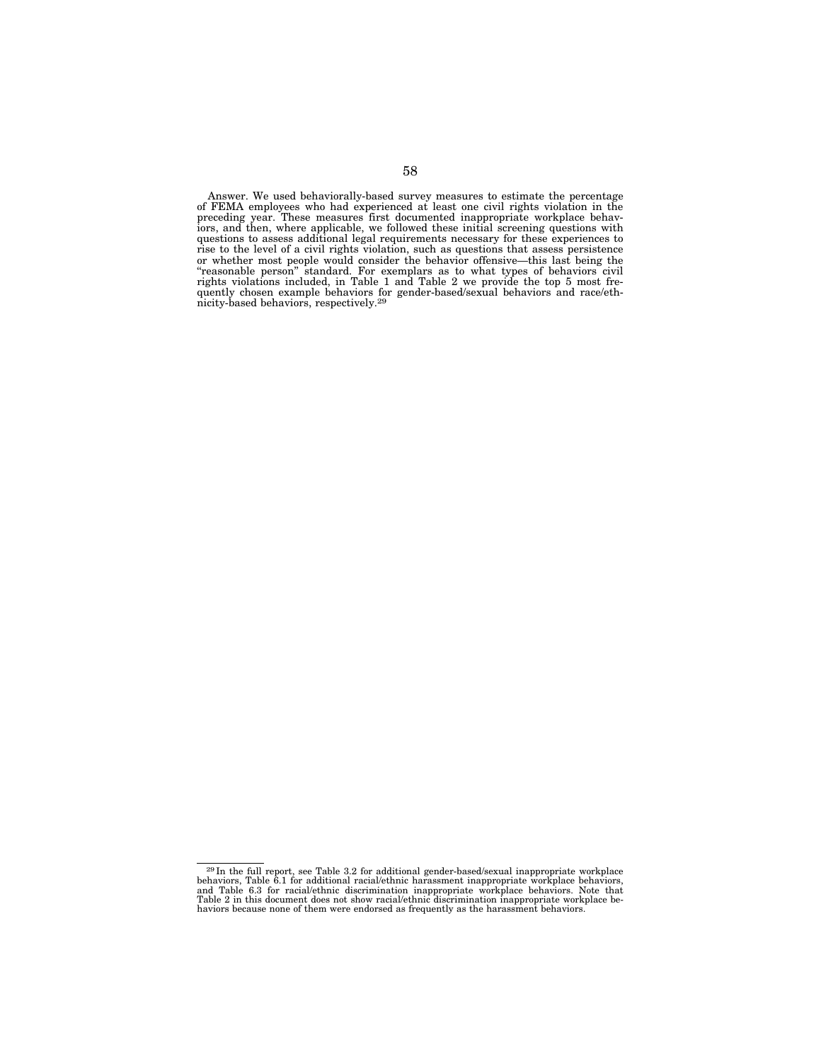Answer. We used behaviorally-based survey measures to estimate the percentage of FEMA employees who had experienced at least one civil rights violation in the preceding year. These measures first documented inappropriate workplace behaviors, and then, where applicable, we followed these initial screening questions with questions to assess additional legal requirements necessary for these experiences to rise to the level of a civil rights violation, such as questions that assess persistence or whether most people would consider the behavior offensive—this last being the ''reasonable person'' standard. For exemplars as to what types of behaviors civil rights violations included, in Table 1 and Table 2 we provide the top 5 most frequently chosen example behaviors for gender-based/sexual behaviors and race/eth-nicity-based behaviors, respectively.29

 $^{29}$ In the full report, see Table 3.2 for additional gender-based/sexual inappropriate workplace behaviors, Table 6.1 for additional racial/ethnic harassment inappropriate workplace behaviors, and Table 6.3 for racial/e Table 2 in this document does not show racial/ethnic discrimination inappropriate workplace be-haviors because none of them were endorsed as frequently as the harassment behaviors.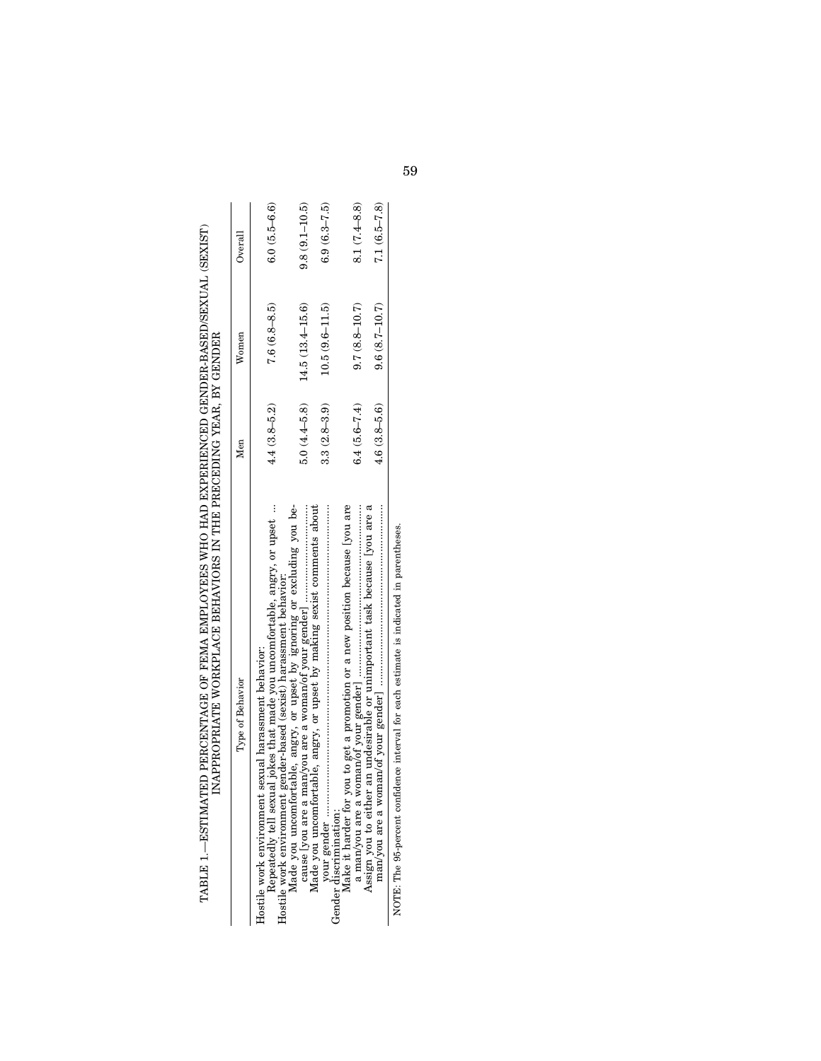| $\frac{1}{2}$<br>recording to the contract of the contract of the contract of the contract of the contract of the contract of the contract of the contract of the contract of the contract of the contract of the contract of the contract of t<br><b>FILED FILED AT A SECRET CONTRACT CONTRACT CONTRACT CONTRACT CONTRACT CONTRACT CONTRACT CONTRACT CONTRACT CONTRACT</b><br> <br> <br> <br> <br> |
|-----------------------------------------------------------------------------------------------------------------------------------------------------------------------------------------------------------------------------------------------------------------------------------------------------------------------------------------------------------------------------------------------------|
|-----------------------------------------------------------------------------------------------------------------------------------------------------------------------------------------------------------------------------------------------------------------------------------------------------------------------------------------------------------------------------------------------------|

| Type of Behavior                                                                                                                                                                                                                                                                                             | Men              | Women               | Overall           |
|--------------------------------------------------------------------------------------------------------------------------------------------------------------------------------------------------------------------------------------------------------------------------------------------------------------|------------------|---------------------|-------------------|
| Repeatedly tell sexual jokes that made you uncomfortable, angry, or upset<br>Hostile work environment gender-based (sexist) harassment behavior:<br>Hostile work environment sexual harassment behavior:                                                                                                     | $4.4(3.8 - 5.2)$ | $7.6(6.8 - 8.5)$    | $6.0(5.5-6.6)$    |
| Made you uncomfortable, angry, or upset by ignoring or excluding you be-                                                                                                                                                                                                                                     | $5.0(4.4-5.8)$   | $14.5(13.4 - 15.6)$ | $9.8(9.1 - 10.5)$ |
| Made you uncomfortable, angry, or upset by making sexist comments about                                                                                                                                                                                                                                      | $3.3(2.8 - 3.9)$ | $10.5(9.6 - 11.5)$  | $6.9(6.3 - 7.5)$  |
| Make it harder for you to get a promotion or a new position because lyou are<br>a man/you are a                                                                                                                                                                                                              | $6.4(5.6 - 7.4)$ | $9.7(8.8 - 10.7)$   | $8.1(7.4 - 8.8)$  |
| Assign you to either an undesirable or unimportant task because [you are a<br>man/you are a woman/of your gender communication is also all continuous continuous continuous continuous continuous continuous continuous continuous continuous continuous continuous continuous continuous continuous continu | $4.6(3.8 - 5.6)$ | $9.6(8.7 - 10.7)$   | $7.1(6.5 - 7.8)$  |
| NOTE: The 95-percent confidence interval for each estimate is indicated in parentheses.                                                                                                                                                                                                                      |                  |                     |                   |

> in par ē, ģ.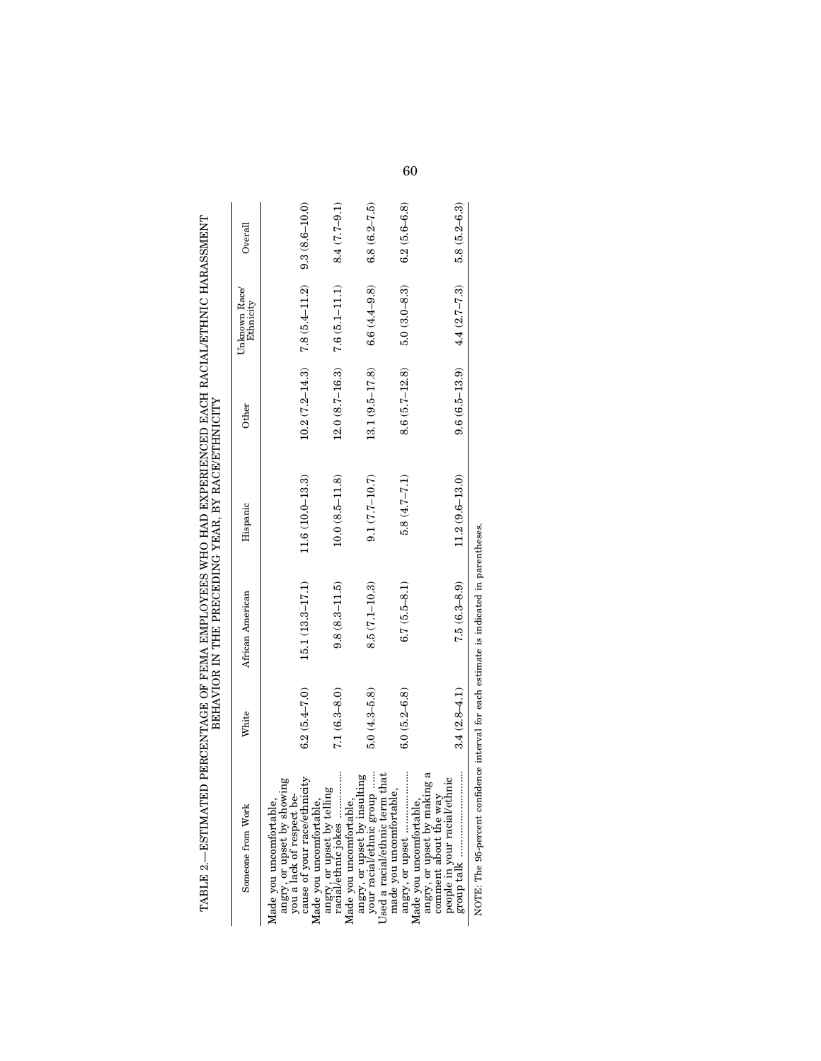|                                                                                                                 |                  | BEHAVIOR IN THE PRECEDING YEAR, BY RACE/ETHNICITY |                     |                    |                                  |                   |
|-----------------------------------------------------------------------------------------------------------------|------------------|---------------------------------------------------|---------------------|--------------------|----------------------------------|-------------------|
| Someone from Work                                                                                               | White            | African American                                  | Hispanic            | Other              | Unknown Race/<br>Ethnicity       | Overal            |
| angry, or upset by showing<br>you a lack of respect be-<br>Made you uncomfortable                               |                  |                                                   |                     |                    |                                  |                   |
| cause of your race/ethnicity<br>Made you uncomfortable                                                          | $6.2(5.4 - 7.0)$ | $15.1(13.3 - 17.1)$                               | $11.6(10.0 - 13.3)$ |                    | $10.2(7.2-14.3)$ $7.8(5.4-11.2)$ | $9.3(8.6 - 10.0)$ |
| angry, or upset by telling<br>racial/ethnic jokes ………………<br>Made you uncomfortable                              | $7.1(6.3 - 8.0)$ | $9.8(8.3 - 11.5)$                                 | $10.0(8.5 - 11.8)$  | $12.0(8.7 - 16.3)$ | $7.6(5.1 - 11.1)$                | $8.4(7.7-9.1)$    |
| your racial/ethnic group<br>Used a racial/ethnic term that<br>angry, or upset by insulting                      | $5.0(4.3-5.8)$   | $8.5(7.1 - 10.3)$                                 | $9.1(7.7-10.7)$     | $13.1(9.5 - 17.8)$ | $6.6(4.4 - 9.8)$                 | $6.8(6.2 - 7.5)$  |
| made you uncomfortable,<br>Made you uncomfortable                                                               | $6.0(5.2 - 6.8)$ | $6.7(5.5-8.1)$                                    | $5.8(4.7-7.1)$      | $8.6(5.7-12.8)$    | $5.0(3.0 - 8.3)$                 | $6.2(5.6 - 6.8)$  |
| angry, or upset by making a<br>comment about the way<br>www.weru. about the way<br>people in your racial/ethnic | $3.4(2.8 - 4.1)$ | $7.5(6.3 - 8.9)$                                  | $11.2(9.6 - 13.0)$  | $9.6(6.5-13.9)$    | $4.4(2.7 - 7.3)$                 | $5.8(5.2 - 6.3)$  |
| NOTE: The 95-percent confidence interval for each estimate is indicated in parentheses.                         |                  |                                                   |                     |                    |                                  |                   |

NOTE: The 95-percent confidence interval for each estimate is indicated in parentheses.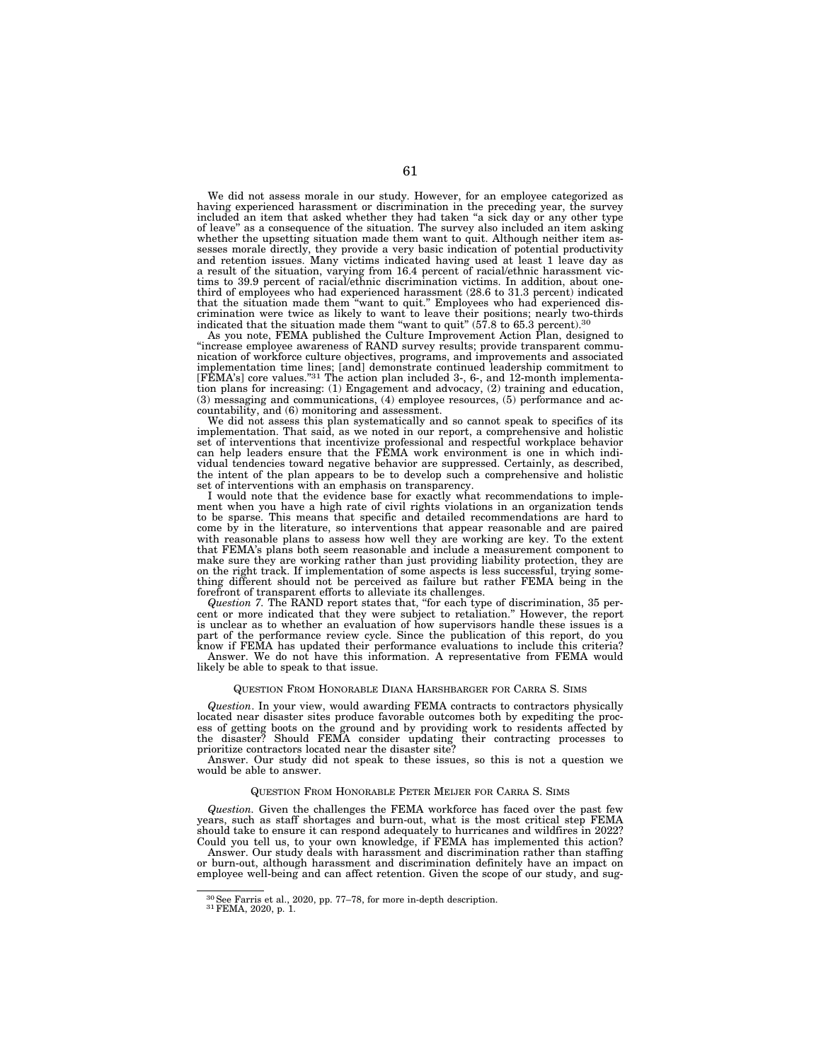We did not assess morale in our study. However, for an employee categorized as having experienced harassment or discrimination in the preceding year, the survey included an item that asked whether they had taken ''a sick day or any other type of leave'' as a consequence of the situation. The survey also included an item asking whether the upsetting situation made them want to quit. Although neither item assesses morale directly, they provide a very basic indication of potential productivity and retention issues. Many victims indicated having used at least 1 leave day as a result of the situation, varying from 16.4 percent of racial/ethnic harassment victims to 39.9 percent of racial/ethnic discrimination victims. In addition, about onethird of employees who had experienced harassment (28.6 to 31.3 percent) indicated that the situation made them ''want to quit.'' Employees who had experienced discrimination were twice as likely to want to leave their positions; nearly two-thirds indicated that the situation made them "want to quit" (57.8 to 65.3 percent).<sup>30</sup> As you note, FEMA published the Culture Improvement Action Plan, designed to

''increase employee awareness of RAND survey results; provide transparent communication of workforce culture objectives, programs, and improvements and associated implementation time lines; [and] demonstrate continued leadership commitment to [FEMA's] core values.''31 The action plan included 3-, 6-, and 12-month implementation plans for increasing: (1) Engagement and advocacy, (2) training and education, (3) messaging and communications, (4) employee resources, (5) performance and accountability, and (6) monitoring and assessment.

We did not assess this plan systematically and so cannot speak to specifics of its implementation. That said, as we noted in our report, a comprehensive and holistic set of interventions that incentivize professional and respectful workplace behavior can help leaders ensure that the FEMA work environment is one in which individual tendencies toward negative behavior are suppressed. Certainly, as described, the intent of the plan appears to be to develop such a comprehensive and holistic set of interventions with an emphasis on transparency.

I would note that the evidence base for exactly what recommendations to implement when you have a high rate of civil rights violations in an organization tends to be sparse. This means that specific and detailed recommendations are hard to come by in the literature, so interventions that appear reasonable and are paired with reasonable plans to assess how well they are working are key. To the extent that FEMA's plans both seem reasonable and include a measurement component to make sure they are working rather than just providing liability protection, they are on the right track. If implementation of some aspects is less successful, trying something different should not be perceived as failure but rather FEMA being in the forefront of transparent efforts to alleviate its challenges.

*Question 7.* The RAND report states that, ''for each type of discrimination, 35 percent or more indicated that they were subject to retaliation.'' However, the report is unclear as to whether an evaluation of how supervisors handle these issues is a part of the performance review cycle. Since the publication of this report, do you know if FEMA has updated their performance evaluations to include this criteria?

Answer. We do not have this information. A representative from FEMA would likely be able to speak to that issue.

#### QUESTION FROM HONORABLE DIANA HARSHBARGER FOR CARRA S. SIMS

*Question*. In your view, would awarding FEMA contracts to contractors physically located near disaster sites produce favorable outcomes both by expediting the process of getting boots on the ground and by providing work to residents affected by the disaster? Should FEMA consider updating their contracting processes to prioritize contractors located near the disaster site?

Answer. Our study did not speak to these issues, so this is not a question we would be able to answer.

#### QUESTION FROM HONORABLE PETER MEIJER FOR CARRA S. SIMS

*Question.* Given the challenges the FEMA workforce has faced over the past few years, such as staff shortages and burn-out, what is the most critical step FEMA should take to ensure it can respond adequately to hurricanes and wildfires in 2022? Could you tell us, to your own knowledge, if FEMA has implemented this action?

Answer. Our study deals with harassment and discrimination rather than staffing or burn-out, although harassment and discrimination definitely have an impact on employee well-being and can affect retention. Given the scope of our study, and sug-

 $30$  See Farris et al., 2020, pp. 77–78, for more in-depth description.  $31$  FEMA, 2020, p. 1.